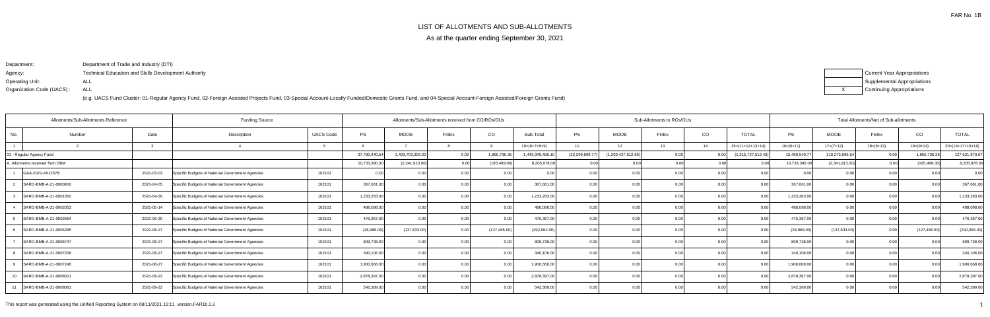# LIST OF ALLOTMENTS AND SUB-ALLOTMENTS

As at the quarter ending September 30, 2021

Department:Agency: Operating Unit:Organization Code (UACS) :Department of Trade and Industry (DTI)Technical Education and Skills Development AuthorityALLALL

| Current Year Appropriations        |
|------------------------------------|
| <b>Supplemental Appropriations</b> |
| Continuing Appropriations          |

| <b>Funding Source</b><br>Allotments/Sub-Allotments Reference |                                 |            |                                                  |                  | Allotments/Sub-Allotments received from CO/ROs/OUs |                   |       |                   |                 |                   |                    |                  | Sub-Allotments to ROs/OUs |                    |               |                |             | Total Allotments/Net of Sub-allotments |                    |  |  |  |  |
|--------------------------------------------------------------|---------------------------------|------------|--------------------------------------------------|------------------|----------------------------------------------------|-------------------|-------|-------------------|-----------------|-------------------|--------------------|------------------|---------------------------|--------------------|---------------|----------------|-------------|----------------------------------------|--------------------|--|--|--|--|
| No.                                                          | Number                          | Date       | Description                                      | <b>UACS Code</b> | PS                                                 | <b>MOOE</b>       | FinEx | CO                | Sub-Total       | PS                | <b>MOOE</b>        | FinEx            | CO                        | <b>TOTAL</b>       | PS            | <b>MOOE</b>    | FinEx       | CO                                     | <b>TOTAL</b>       |  |  |  |  |
|                                                              |                                 |            |                                                  |                  |                                                    |                   |       |                   | $10=(6+7+8+9)$  | 11                | 12 <sup>7</sup>    | 13 <sup>13</sup> | 14                        | $15=(11+12+13+14)$ | $16=(6+11)$   | $17=(7+12)$    | $18=(8+13)$ | $19=(9+14)$                            | $20=(16+17+18+19)$ |  |  |  |  |
| - Regular Agency Fund                                        |                                 |            |                                                  |                  | 37,780,440.54                                      | 1,403,703,309.20  |       | 1,865,736.36      | 1,443,349,486.1 | (22, 299, 899.77) | (1,293,427,612.66) | 0.00             | 0.00                      | (1,315,727,512.43) | 15,480,540.77 | 110,275,696.54 | 0.00        | 1,865,736.3                            | 127,621,973.67     |  |  |  |  |
|                                                              | A. Allotments received from DBM |            |                                                  |                  | 10,733,390.00                                      | (2,341,913.00)    |       | (185, 499.00)     | 8,205,978.00    |                   | 0.001              | 0.00             |                           |                    | 10,733,390.00 | (2,341,913.00) |             | (185, 499.00)                          | 8,205,978.00       |  |  |  |  |
|                                                              | GAA-2021-A01257B                | 2021-03-03 | Specific Budgets of National Government Agencies | 102101           | 0.00                                               |                   |       | 0.00              | 0.00            |                   | 0.0(               |                  | 0.00                      |                    |               | 0.0            | 0.001       |                                        | 0.00               |  |  |  |  |
|                                                              | SARO-BMB-A-21-0000916           | 2021-04-05 | Specific Budgets of National Government Agencies | 102101           | 367,661.00                                         | 0.00              |       | 0.00              | 367,661.00      |                   | 0.0                |                  | 0.00                      |                    | 367,661.00    | 0.0            | 0.00        |                                        | 367,661.00         |  |  |  |  |
|                                                              | SARO-BMB-A-21-0001062           | 2021-04-30 | Specific Budgets of National Government Agencies | 102101           | 1,233,283.00                                       | 0.00              |       | 0.00 <sub>1</sub> | 1,233,283.00    |                   | 0.0                |                  | 0.00                      | 0 <sub>0</sub>     | 1,233,283.00  | 0 <sub>0</sub> | 0.00        |                                        | 1,233,283.00       |  |  |  |  |
|                                                              | SARO-BMB-A-21-0002053           | 2021-05-14 | Specific Budgets of National Government Agencies | 102101           | 488,098.00                                         | 0.00              |       | 0.00              | 488,098.00      |                   | 0.0                |                  | 0.00                      |                    | 488,098.00    | 0 <sub>0</sub> | 0.00        |                                        | 488,098.00         |  |  |  |  |
|                                                              | SARO-BMB-A-21-0002664           | 2021-06-30 | Specific Budgets of National Government Agencies | 102101           | 476,367.00                                         | 0.00              |       | 0.00              | 476,367.00      |                   | 0.0                |                  | 0.00                      |                    | 476,367.00    | 0.0            | 0.00        |                                        | 476,367.00         |  |  |  |  |
|                                                              | SARO-BMB-A-21-0006265           | 2021-08-27 | Specific Budgets of National Government Agencies | 102101           | (26,966.00)                                        | (137, 633.00)     |       | (127, 465.00)     | (292,064.00)    |                   | 0.0                |                  | _0.00                     |                    | (26,966.00)   | (137, 633.00)  | 0.00        | (127, 465.00)                          | (292,064.00)       |  |  |  |  |
|                                                              | SARO-BMB-A-21-0006747           | 2021-08-27 | Specific Budgets of National Government Agencies | 102101           | 809,738.00                                         | 0.00              |       | 0.00 <sub>1</sub> | 809,738.00      |                   | 0.0                |                  | 0.00                      |                    | 809,738.00    | 0 <sub>0</sub> | 0.00        |                                        | 809,738.00         |  |  |  |  |
|                                                              | SARO-BMB-A-21-0007208           | 2021-08-27 | Specific Budgets of National Government Agencies | 102101           | 340,106.00                                         | 0.00 <sub>l</sub> |       | 0.00              | 340,106.00      |                   | 0 <sub>0</sub>     |                  | 0.00                      |                    | 340,106.00    | 0 <sub>0</sub> | 0.00        | $\Omega$                               | 340,106.00         |  |  |  |  |
|                                                              | SARO-BMB-A-21-0007246           | 2021-08-27 | Specific Budgets of National Government Agencies | 102101           | 1,900,668.00                                       | 0.00              |       | 0.00              | 1,900,668.00    |                   | 0.0                |                  | 0.00                      |                    | 1,900,668.00  | 0.0            | 0.00        |                                        | 1,900,668.00       |  |  |  |  |
| 10                                                           | SARO-BMB-A-21-0008011           | 2021-09-22 | Specific Budgets of National Government Agencies | 102101           | 2,878,397.00                                       | 0.00              |       | 0.00              | 2,878,397.00    |                   | 0.0                |                  | 0.00                      |                    | 2,878,397.00  | 0.0            | 0.00        |                                        | 2,878,397.00       |  |  |  |  |
|                                                              | SARO-BMB-A-21-0008081           | 2021-09-22 | Specific Budgets of National Government Agencies | 102101           | 542,389.00                                         | 0.00              |       | 0.001             | 542,389.00      |                   | 0.0                |                  | 0.00                      |                    | 542,389.00    |                | 0.00        |                                        | 542,389.00         |  |  |  |  |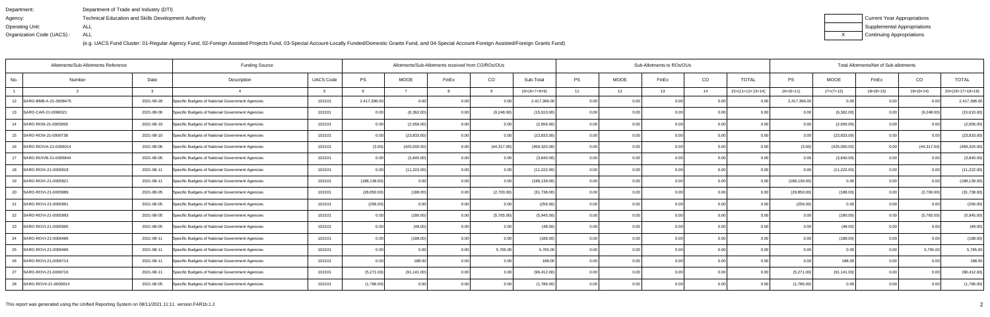| Department:               | Department of Trade and Industry (DTI)                      |
|---------------------------|-------------------------------------------------------------|
| Agency:                   | <b>Technical Education and Skills Development Authority</b> |
| Operating Unit:           | ALL                                                         |
| Organization Code (UACS): | ALL                                                         |

| Current Year Appropriations |
|-----------------------------|
| Supplemental Appropriations |
| Continuing Appropriations   |

| <b>Funding Source</b><br>Allotments/Sub-Allotments Reference |            |                                                  |                  |               | Allotments/Sub-Allotments received from CO/ROs/OUs |       |                   |                |           |             | Sub-Allotments to ROs/OUs |                |                    | Total Allotments/Net of Sub-allotments |              |                |                |                    |  |
|--------------------------------------------------------------|------------|--------------------------------------------------|------------------|---------------|----------------------------------------------------|-------|-------------------|----------------|-----------|-------------|---------------------------|----------------|--------------------|----------------------------------------|--------------|----------------|----------------|--------------------|--|
| Number<br>No.                                                | Date       | Description                                      | <b>UACS Code</b> | PS            | MOOE                                               | FinEx | CO                | Sub-Total      | <b>PS</b> | <b>MOOE</b> | FinEx                     | CO             | <b>TOTAL</b>       | PS                                     | <b>MOOE</b>  | FinEx          | CO             | <b>TOTAL</b>       |  |
|                                                              |            |                                                  |                  |               |                                                    |       | <b>Q</b>          | $10=(6+7+8+9)$ | 11        | 12          | 13                        | 14             | $15=(11+12+13+14)$ | $16=(6+11)$                            | $17=(7+12)$  | $18=(8+13)$    | $19=(9+14)$    | $20=(16+17+18+19)$ |  |
| SARO-BMB-A-21-0008475<br>12                                  | 2021-09-28 | Specific Budgets of National Government Agencies | 102101           | 2,417,396.00  | 0.00                                               |       | 0.00              | 2,417,396.00   | 0.00      | 0.00        |                           | 0.0            |                    | 2,417,396.00                           | 0.00         | 0.00           |                | 2,417,396.00       |  |
| 13<br>SARO-CAR-21-0006021                                    | 2021-08-06 | Specific Budgets of National Government Agencies | 102101           | 0.00          | (6,362.00)                                         |       | (9,248.00)        | (15,610.00)    | 0.00      | 0.00        |                           | 0.0            | n nr               | n nc                                   | (6,362.00)   | 0 <sub>0</sub> | (9,248.00)     | (15,610.00)        |  |
| SARO-ROIII-21-0005959<br>14                                  | 2021-08-10 | Specific Budgets of National Government Agencies | 102101           | 0.00          | (2,656.00)                                         |       | 0.00              | (2,656.00)     | 0.00      | 0.00        |                           | 0.00           | 0.00               | 0.00                                   | (2,656.00)   | 0.00           | 0 <sub>0</sub> | (2,656.00)         |  |
| SARO-ROIII-21-0006738<br>15                                  | 2021-08-10 | Specific Budgets of National Government Agencies | 102101           | 0.00          | (23, 833.00)                                       |       | 0.00              | (23, 833.00)   | 0.00      | 0.00        | 0.00                      | 0.00           | 0.00               | 0.00                                   | (23, 833.00) | 0.00           | 0.0(           | (23, 833.00)       |  |
| 16<br>SARO-ROIVA-21-0006014                                  | 2021-08-06 | Specific Budgets of National Government Agencies | 102101           | (3.00)        | (425,000.00)                                       |       | (44, 317.00)      | (469, 320.00)  | 0.00      | 0.00        |                           | 0.0            | 0.00               | (3.00)                                 | (425,000.00) | 0 <sub>0</sub> | (44, 317.00)   | (469, 320.00)      |  |
| SARO-ROIVB-21-0005844<br>17                                  | 2021-08-05 | Specific Budgets of National Government Agencies | 102101           | 0.00          | (3,840.00)                                         |       | 0.00              | (3,840.00)     | 0.00      | 0.00        |                           | 0.0            | 0.00               | 0.OC                                   | (3,840.00)   | 0.00           | 0.0(           | (3,840.00)         |  |
| SARO-ROIX-21-0005918<br>18                                   | 2021-08-11 | Specific Budgets of National Government Agencies | 102101           | 0.00          | (11, 222.00)                                       |       | 0.00              | (11, 222.00)   | 0.00      | 0.00        | 0.00                      | 0.00           | 0.00               | 0.00                                   | (11, 222.00) | 0.00           | 0.00           | (11, 222.00)       |  |
| SARO-ROIX-21-0005921<br>19                                   | 2021-08-11 | Specific Budgets of National Government Agencies | 102101           | (188, 139.00) | 0 <sub>0</sub>                                     |       | 0.0               | (188, 139.00)  | 0.00      | 0.00        |                           | 0.0            |                    | (188, 139.00)                          | 0.00         | 0.00           | 0 <sub>0</sub> | (188, 139.00)      |  |
| 20<br>SARO-ROVI-21-0005989                                   | 2021-08-05 | Specific Budgets of National Government Agencies | 102101           | (28, 850.00)  | (188.00)                                           |       | (2,700.00)        | (31,738.00)    | 0.00      | 0.00        | 0.00                      | 0 <sub>0</sub> | 0.00               | (28, 850.00)                           | (188.00)     | 0.00           | (2,700.00)     | (31, 738.00)       |  |
| 21<br>SARO-ROVI-21-0005991                                   | 2021-08-05 | Specific Budgets of National Government Agencies | 102101           | (256.00)      | 0.00                                               | 0.00  | 0.00              | (256.00)       | 0.00      | 0.00        | 0.00                      | 0.00           | 0.00               | (256.00)                               | 0.00         | 0.00           | 0.0(           | (256.00)           |  |
| 22<br>SARO-ROVI-21-0005993                                   | 2021-08-05 | Specific Budgets of National Government Agencies | 102101           | 0.00          | (180.00)                                           | 0.00  | (5,765.00)        | (5,945.00)     | 0.00      | 0.00        | 0.00                      | 0.00           | 0.00               | 0.00 <sub>1</sub>                      | (180.00)     | 0.00           | (5,765.00)     | (5,945.00)         |  |
| 23<br>SARO-ROVI-21-0005995                                   | 2021-08-05 | Specific Budgets of National Government Agencies | 102101           | 0.00          | (48.00)                                            |       | 0.00              | (48.00)        | 0.00      | 0.00        | 0.00                      | 0.0            | 0.00               | 0.00                                   | (48.00)      | 0.00           | 0.0(           | (48.00)            |  |
| SARO-ROVI-21-0006486<br>24                                   | 2021-08-11 | Specific Budgets of National Government Agencies | 102101           | 0.00          | (188.00)                                           | 0.00  | 0.00              | (188.00)       | 0.00      | 0.00        | 0 Q                       | 0.0            | 0.00               | 0.00                                   | (188.00)     | 0.00           | 0.00           | (188.00)           |  |
| 25<br>SARO-ROVI-21-0006496                                   | 2021-08-11 | Specific Budgets of National Government Agencies | 102101           | 0.00          | 0.00                                               | 0.00  | 5,765.00          | 5,765.00       | 0.00      | 0.00        | 0.00                      | 0.00           | 0.00               | 0.00 <sub>1</sub>                      | 0.00         | 0.00           | 5,765.00       | 5,765.00           |  |
| 26<br>SARO-ROVI-21-0006714                                   | 2021-08-11 | Specific Budgets of National Government Agencies | 102101           | 0.00          | 188.00                                             |       | 0.00              | 188.00         | 0.00      | 0.00        | ი იი                      | 0.00           | 0.00               |                                        | 188.00       | 0.00           | 0.00           | 188.00             |  |
| 27<br>SARO-ROVI-21-0006716                                   | 2021-08-11 | Specific Budgets of National Government Agencies | 102101           | (5,271.00)    | (91, 141.00)                                       |       | 0.00              | (96, 412.00)   | 0.00      | 0.00        | n nn                      | 0.00           | 0.00               | (5,271.00)                             | (91, 141.00) | 0.00           | 0.00           | (96, 412.00)       |  |
| 28 SARO-ROVII-21-0005814                                     | 2021-08-05 | Specific Budgets of National Government Agencies | 102101           | (1,786.00)    | 0.001                                              | 0.00  | 0.00 <sub>l</sub> | (1,786.00)     | 0.00      | 0.00        | 0.00                      | 0.00           | 0.00               | (1,786.00)                             | 0.00         | 0.00           | 0.00           | (1,786.00)         |  |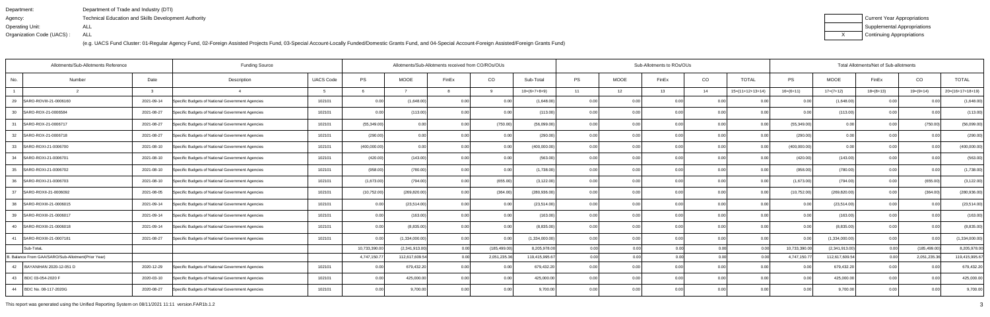| Department:               | Department of Trade and Industry (DTI)                      |
|---------------------------|-------------------------------------------------------------|
| Agency:                   | <b>Technical Education and Skills Development Authority</b> |
| Operating Unit:           | ALL                                                         |
| Organization Code (UACS): | ALL                                                         |

| Current Year Appropriations |
|-----------------------------|
| Supplemental Appropriations |
| Continuing Appropriations   |

| Allotments/Sub-Allotments Reference               | <b>Funding Source</b> |                                                  |                  |               | Sub-Allotments to ROs/OUs<br>Allotments/Sub-Allotments received from CO/ROs/OUs |                |               |                |           |      |       |       |                    | Total Allotments/Net of Sub-allotments |                |                |                |                    |  |
|---------------------------------------------------|-----------------------|--------------------------------------------------|------------------|---------------|---------------------------------------------------------------------------------|----------------|---------------|----------------|-----------|------|-------|-------|--------------------|----------------------------------------|----------------|----------------|----------------|--------------------|--|
| No.<br>Number                                     | Date                  | Description                                      | <b>UACS Code</b> | PS            | <b>MOOE</b>                                                                     | FinEx          | CO            | Sub-Total      | <b>PS</b> | MOOE | FinEx | CO    | <b>TOTAL</b>       | <b>PS</b>                              | <b>MOOE</b>    | FinEx          | CO             | <b>TOTAL</b>       |  |
|                                                   | 3                     |                                                  |                  |               |                                                                                 |                | 9             | $10=(6+7+8+9)$ | 11        | 12   | 13    | 14    | $15=(11+12+13+14)$ | $16=(6+11)$                            | $17=(7+12)$    | $18=(8+13)$    | $19=(9+14)$    | $20=(16+17+18+19)$ |  |
| SARO-ROVIII-21-0006160<br>29                      | 2021-09-14            | Specific Budgets of National Government Agencies | 102101           | 0.00          | (1,648.00)                                                                      |                | 0.00          | (1,648.00)     | 0.00      |      | 0.00  | - റ റ | 0.00               | n nr                                   | (1,648.00)     | 0 <sub>0</sub> |                | (1,648.00)         |  |
| 30<br>SARO-ROX-21-0006584                         | 2021-08-27            | Specific Budgets of National Government Agencies | 102101           | 0.00          | (113.00)                                                                        | 0.00           | 0.00          | (113.00)       | 0.00      | 0.00 | 0.00  | 0.00  | 0.00               | 0.00                                   | (113.00)       | 0.00           | 0.00           | (113.00)           |  |
| SARO-ROX-21-0006717<br>31                         | 2021-08-27            | Specific Budgets of National Government Agencies | 102101           | (55, 349.00)  | 0.00                                                                            | 0 <sub>0</sub> | (750.00)      | (56,099.00)    | 0.001     | 0.00 | 0.00  | 0.00  | 0.00               | (55, 349.00)                           | 0.00           | 0.0(           | (750.00)       | (56,099.00)        |  |
| SARO-ROX-21-0006718<br>32                         | 2021-08-27            | Specific Budgets of National Government Agencies | 102101           | (290.00)      | 0.00                                                                            | 0.00           | 0.00          | (290.00)       | 0.00      | 0.00 | 0.00  | 0.00  | 0.00               | (290.00)                               | 0.00           | 0.00           | 0.00           | (290.00)           |  |
| SARO-ROXI-21-0006700<br>33                        | 2021-08-10            | Specific Budgets of National Government Agencies | 102101           | (400,000.00)  | 0.00                                                                            | 0.00           | 0.00          | (400,000.00)   | 0.00      | 0.00 | 0.00  | 0.00  | 0.00               | (400,000.00)                           | 0.00           | 0.00           | 0.00           | (400,000.00)       |  |
| 34<br>SARO-ROXI-21-0006701                        | 2021-08-10            | Specific Budgets of National Government Agencies | 102101           | (420.00)      | (143.00)                                                                        | 0.00           | 0.001         | (563.00)       | 0.00      | 0.00 | 0.00  | 0.00  | 0.00               | (420.00)                               | (143.00)       | 0.00           | 0.00           | (563.00)           |  |
| 35<br>SARO-ROXI-21-0006702                        | 2021-08-10            | Specific Budgets of National Government Agencies | 102101           | (958.00)      | (780.00)                                                                        | 0.00           | 0.00          | (1,738.00)     | 0.00      | 0.00 | 0.00  | 0.00  | 0.00               | (958.00)                               | (780.00)       | 0.00           | 0.00           | (1,738.00)         |  |
| SARO-ROXI-21-0006703<br>36                        | 2021-08-10            | Specific Budgets of National Government Agencies | 102101           | (1,673.00)    | (794.00)                                                                        | 0.00           | (655.00)      | (3, 122.00)    | 0.00      | 0.00 | 0.00  | 0.0   | 0.00               | (1,673.00)                             | (794.00)       | 0.0            | (655.00)       | (3, 122.00)        |  |
| 37<br>SARO-ROXII-21-0006092                       | 2021-08-05            | Specific Budgets of National Government Agencies | 102101           | (10, 752.00)  | (269, 820.00)                                                                   | 0.00           | (364.00)      | (280, 936.00)  | 0.00      | 0.00 | 0.00  | 0.00  | 0.00               | (10,752.00)                            | (269, 820.00)  | 0.001          | (364.00)       | (280, 936.00)      |  |
| SARO-ROXIII-21-0006015<br>38                      | 2021-09-14            | Specific Budgets of National Government Agencies | 102101           | 0.00          | (23, 514.00)                                                                    | 0.00           | 0.00          | (23,514.00)    | 0.00      | 0.00 | 0.00  | 0.00  | 0.00               | 0.00                                   | (23, 514.00)   | 0.00           | 0.00           | (23, 514.00)       |  |
| SARO-ROXIII-21-0006017<br>39                      | 2021-09-14            | Specific Budgets of National Government Agencies | 102101           | 0.00          | (163.00)                                                                        | 0.00           | 0.00          | (163.00)       | 0.001     | 0.00 | 0.00  | 0.00  | 0.00               | 0.00                                   | (163.00)       | 0.00           | 0.00           | (163.00)           |  |
| SARO-ROXIII-21-0006018<br>40                      | 2021-09-14            | Specific Budgets of National Government Agencies | 102101           | 0.00          | (8,835.00)                                                                      | 0.00           | 0.00          | (8,835.00)     | 0.00      | 0.00 | 0.00  | 0.00  | 0.00               | 0.00                                   | (8,835.00)     | 0.00           | 0.00           | (8,835.00)         |  |
| SARO-ROXIII-21-0007181<br>41                      | 2021-08-27            | Specific Budgets of National Government Agencies | 102101           | 0.00          | (1,334,000.00)                                                                  | 0.00           | 0.00          | (1,334,000.00) | 0.001     | 0.00 | 0.00  | 0.00  | 0.00               | 0.00                                   | (1,334,000.00) | 0.00           | 0.00           | (1,334,000.00)     |  |
| Sub-TotaL                                         |                       |                                                  |                  | 10,733,390.00 | (2,341,913.00)                                                                  | 0.00           | (185, 499.00) | 8,205,978.00   | 0.00      | 0.00 | 0.00  |       | 0.00               | 10,733,390.00                          | (2,341,913.00) | 0.00           | (185, 499.00)  | 8,205,978.00       |  |
| . Balance From GAA/SARO/Sub-Allotment(Prior Year) |                       |                                                  |                  | 4,747,150.77  | 112,617,609.54                                                                  | 0.00           | 2,051,235.36  | 119,415,995.67 | 0.001     | 0.00 | 0.00  | 0.00  | n no               | 4,747,150.77                           | 112,617,609.54 | _0.0C          | 2,051,235.3    | 119,415,995.67     |  |
| 42<br>BAYANIHAN 2020-12-051 D                     | 2020-12-29            | Specific Budgets of National Government Agencies | 102101           | 0.00          | 679,432.20                                                                      | 0.00           | 0.00          | 679,432.20     | 0.00      | 0.00 | 0.00  | . റ റ | 0.00               | 0.00                                   | 679,432.20     |                | 0 <sub>0</sub> | 679,432.20         |  |
| 43<br>BDC 03-054-2020 F                           | 2020-03-10            | Specific Budgets of National Government Agencies | 102101           | 0.00          | 425,000.00                                                                      | 0 <sub>0</sub> | 0.00          | 425,000.00     | 0.001     | 0.00 | n nr  | 0.00  | 0.00               | 0.00                                   | 425,000.00     | 0.00           | 0 <sub>0</sub> | 425,000.00         |  |
| BDC No. 08-117-2020G<br>44                        | 2020-08-27            | Specific Budgets of National Government Agencies | 102101           | 0.00          | 9,700.00                                                                        | 0.00           | 0.001         | 9,700.00       | 0.001     | 0.00 | 0.00  | 0.00  | 0.00               | 0.001                                  | 9,700.00       | 0.00           | 0.00           | 9,700.00           |  |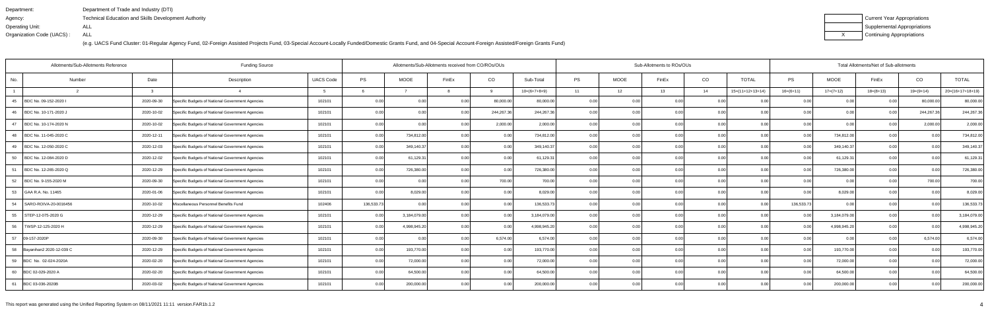| Department:               | Department of Trade and Industry (DTI)               |
|---------------------------|------------------------------------------------------|
| Agency:                   | Technical Education and Skills Development Authority |
| Operating Unit:           | ALL                                                  |
| Organization Code (UACS): | ALL                                                  |

| Current Year Appropriations |
|-----------------------------|
| Supplemental Appropriations |
| Continuing Appropriations   |

| Allotments/Sub-Allotments Reference |              |                                                  | Allotments/Sub-Allotments received from CO/ROs/OUs |            |              |                |                | Sub-Allotments to ROs/OUs |           |             |                   | Total Allotments/Net of Sub-allotments |                    |                |              |             |             |                    |
|-------------------------------------|--------------|--------------------------------------------------|----------------------------------------------------|------------|--------------|----------------|----------------|---------------------------|-----------|-------------|-------------------|----------------------------------------|--------------------|----------------|--------------|-------------|-------------|--------------------|
| No.<br>Number                       | Date         | Description                                      | <b>UACS Code</b>                                   | PS         | <b>MOOE</b>  | FinEx          | CO             | Sub-Total                 | <b>PS</b> | <b>MOOE</b> | FinEx             | CO                                     | <b>TOTAL</b>       | <b>PS</b>      | <b>MOOE</b>  | FinEx       | CO          | <b>TOTAL</b>       |
|                                     | $\mathbf{R}$ |                                                  |                                                    |            |              |                | $\overline{q}$ | $10=(6+7+8+9)$            | 11        | 12          | 13                | 14                                     | $15=(11+12+13+14)$ | $16=(6+11)$    | $17=(7+12)$  | $18=(8+13)$ | $19=(9+14)$ | $20=(16+17+18+19)$ |
| BDC No. 09-152-2020 I<br>45         | 2020-09-30   | Specific Budgets of National Government Agencies | 102101                                             | 0.00       | 0.00         | 0.00           | 80,000.00      | 80,000.00                 | 0.00      | 0.00        | 0.00              | 0.00                                   |                    | 0.00           | 0.00         | 0.00        | 80,000.00   | 80,000.00          |
| BDC No. 10-171-2020 J<br>- 46       | 2020-10-02   | Specific Budgets of National Government Agencies | 102101                                             | 0.00       | 0.00         | 0.00           | 244,267.36     | 244,267.36                | 0.00      | 0.00        | 0.00              | 0.00                                   | 0.00               | 0.00           | 0.00         | 0.00        | 244,267.36  | 244,267.36         |
| BDC No. 10-174-2020 N<br>47         | 2020-10-02   | Specific Budgets of National Government Agencies | 102101                                             | 0.00       | 0.00         | 0.00           | 2,000.00       | 2,000.00                  | 0.00      | 0.00        | 0.00 <sub>l</sub> | 0.00                                   | 0.00               | 0.00           | 0.00         | 0.00        | 2,000.00    | 2,000.00           |
| BDC No. 11-045-2020 C<br>48         | 2020-12-11   | Specific Budgets of National Government Agencies | 102101                                             | 0.00       | 734,812.00   | 0.00           | 0.00           | 734,812.00                | 0.00      | 0.00        | 0.00              | 0.00                                   | 0.00               | 0.00           | 734,812.00   | 0.00        | 0.00        | 734,812.00         |
| 49<br>BDC No. 12-050-2020 C         | 2020-12-03   | Specific Budgets of National Government Agencies | 102101                                             | 0.00       | 349,140.37   | 0.00           | 0.00           | 349,140.37                | 0.00      | 0.00        | 0.00              | 0.00                                   | 0.0                | 0.00           | 349,140.37   | 0.00        | 0.00        | 349,140.37         |
| 50<br>BDC No. 12-084-2020 D         | 2020-12-02   | Specific Budgets of National Government Agencies | 102101                                             | 0.00       | 61,129.31    | 0.00           | 0.00           | 61,129.31                 | 0.00      | 0.00        | 0.001             | 0.00                                   | 0.00               | 0.00           | 61,129.31    | 0.00        | 0.00        | 61,129.31          |
| 51<br>BDC No. 12-265-2020 Q         | 2020-12-29   | Specific Budgets of National Government Agencies | 102101                                             | 0.00       | 726,380.00   | 0.00           | 0.00           | 726,380.00                | 0.00      | 0.00        | 0.00              | 0.00                                   | 0.00               | 0.00           | 726,380.00   | 0.00        | 0.00        | 726,380.00         |
| 52<br>BDC No. 9-155-2020 M          | 2020-09-30   | Specific Budgets of National Government Agencies | 102101                                             | 0.00       | 0.00         | 0 <sub>0</sub> | 700.00         | 700.00                    | 0.0       | 0.00        | 0.00              | 0.00                                   | 0.00               | 0 O            | 0.00         | 0.00        | 700.00      | 700.00             |
| 53<br>GAA R.A. No. 11465            | 2020-01-06   | Specific Budgets of National Government Agencies | 102101                                             | 0.00       | 8,029.00     | 0 <sub>0</sub> | 0.00           | 8,029.00                  | 0.00      | 0.00        | 0.00              | 0.00                                   | 0.00               | 0.00           | 8,029.00     | 0.00        | 0.00        | 8,029.00           |
| SARO-ROIVA-20-0016456<br>54         | 2020-10-02   | Miscellaneous Personnel Benefits Fund            | 102406                                             | 136,533.73 | 0.00         | 0.00           | 0.00           | 136,533.73                | 0.00      | 0.00        | 0.00              | 0.00                                   | 0.00               | 136,533.7      | 0.00         | 0.00        | 0.00        | 136,533.73         |
| 55<br>STEP-12-075-2020 G            | 2020-12-29   | Specific Budgets of National Government Agencies | 102101                                             | 0.00       | 3,184,079.00 | 0.00           | 0.00           | 3,184,079.00              | 0.00      | 0.00        | 0.00              | 0.00                                   | 0.00               | 0.00           | 3,184,079.00 | 0.00        | 0.00        | 3,184,079.00       |
| 56<br>TWSP-12-125-2020 H            | 2020-12-29   | Specific Budgets of National Government Agencies | 102101                                             | 0.00       | 4,998,945.20 | 0 <sub>0</sub> | 0.00           | 4,998,945.20              | 0.00      | 0.00        | 0.00              | 0.00                                   | 0.00               |                | 4,998,945.20 | 0.00        | 0.00        | 4,998,945.20       |
| 09-157-2020P<br>57                  | 2020-09-30   | Specific Budgets of National Government Agencies | 102101                                             | 0.00       | 0.00         | 0.00           | 6,574.00       | 6,574.00                  | 0.00      | 0.00        | 0.00              | 0.00                                   | 0.00               | 0 <sub>0</sub> | 0.00         | 0.00        | 6,574.00    | 6,574.00           |
| Bayanihan2 2020-12-039 C<br>58      | 2020-12-29   | Specific Budgets of National Government Agencies | 102101                                             | 0.00       | 193,770.00   |                | 0.00           | 193,770.00                | 0.00      | 0.00        | 0.00              | 0.00                                   | 0 <sub>0</sub>     | 0.00           | 193,770.00   | 0.00        | 0.00        | 193,770.00         |
| 59<br>BDC No. 02-024-2020A          | 2020-02-20   | Specific Budgets of National Government Agencies | 102101                                             | 0.00       | 72,000.00    | 0 <sub>0</sub> | 0.00           | 72,000.00                 | 0.00      | 0.00        | 0.00 <sub>l</sub> | 0.00                                   | 0 <sub>0</sub>     | 0 <sub>0</sub> | 72,000.00    | 0.00        | 0.00        | 72,000.00          |
| 60 BDC 02-029-2020 A                | 2020-02-20   | Specific Budgets of National Government Agencies | 102101                                             | 0.00       | 64,500.00    |                | 0.00           | 64,500.00                 | 0.00      | 0.00        | 0.00              | 0.00                                   | 0 <sub>0</sub>     |                | 64,500.00    | 0.00        | 0.00        | 64,500.00          |
| 61<br>BDC 03-036-2020B              | 2020-03-02   | Specific Budgets of National Government Agencies | 102101                                             | 0.00       | 200,000.00   | n nr           | 0.00           | 200,000.00                | 0.00      | 0.00        | 0.00              | 0.00                                   | 0.00               | 0.00           | 200,000.00   | 0.00        | 0.00        | 200,000.00         |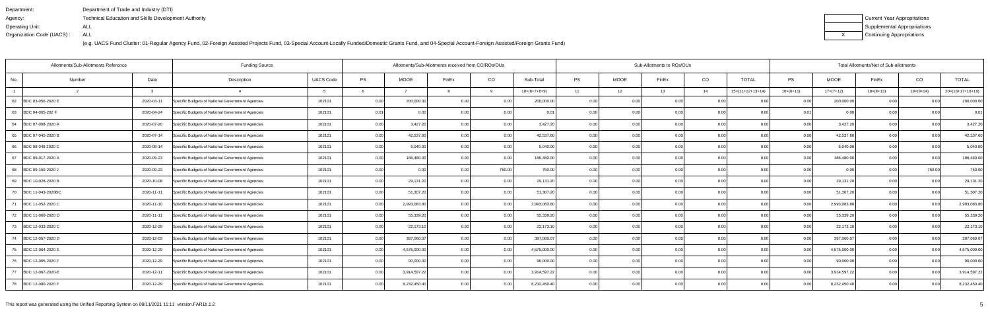| Department:               | Department of Trade and Industry (DTI)                      |
|---------------------------|-------------------------------------------------------------|
| Agency:                   | <b>Technical Education and Skills Development Authority</b> |
| Operating Unit:           | ALL                                                         |
| Organization Code (UACS): | ALL                                                         |

| Current Year Appropriations |
|-----------------------------|
| Supplemental Appropriations |
| Continuing Appropriations   |

| Allotments/Sub-Allotments Reference<br><b>Funding Source</b> |        |            |                                                  |                  |      |              | Allotments/Sub-Allotments received from CO/ROs/OUs |        |                |       |             | Sub-Allotments to ROs/OUs |      | Total Allotments/Net of Sub-allotments<br><b>TOTAL</b><br><b>TOTAL</b><br><b>PS</b><br><b>MOOE</b><br>CO<br>FinEx<br>$15=(11+12+13+14)$<br>$16=(6+11)$<br>$17=(7+12)$<br>$18=(8+13)$<br>19=(9+14)<br>$20=(16+17+18+19)$<br>0.00<br>200,000.00<br>0.00<br>0.00<br>0.00<br>0.01<br>0.00<br>0.00<br>0.00<br>3,427.20<br>0.00<br>0.00<br>0.00<br>0.00<br>42,537.60<br>0.00<br>0.00<br>0.00<br>0.00<br>5,040.00<br>0.0<br>0.00<br>0 Q<br>0 <sub>0</sub><br>186,480.00<br>0.00<br>0.00<br>0 <sub>0</sub><br>0.00<br>750.00<br>0.00<br>0.00<br>0.00<br>0.00 |                |              |      |      |              |  |  |
|--------------------------------------------------------------|--------|------------|--------------------------------------------------|------------------|------|--------------|----------------------------------------------------|--------|----------------|-------|-------------|---------------------------|------|------------------------------------------------------------------------------------------------------------------------------------------------------------------------------------------------------------------------------------------------------------------------------------------------------------------------------------------------------------------------------------------------------------------------------------------------------------------------------------------------------------------------------------------------------|----------------|--------------|------|------|--------------|--|--|
| No.                                                          | Number | Date       | Description                                      | <b>UACS Code</b> | PS   | <b>MOOE</b>  | FinEx                                              | CO     | Sub-Total      | PS    | <b>MOOE</b> | FinEx                     | CO   |                                                                                                                                                                                                                                                                                                                                                                                                                                                                                                                                                      |                |              |      |      |              |  |  |
|                                                              |        |            |                                                  |                  |      |              |                                                    | റ      | $10=(6+7+8+9)$ | 11    | 12          | 13                        | 14   |                                                                                                                                                                                                                                                                                                                                                                                                                                                                                                                                                      |                |              |      |      |              |  |  |
| 62<br>BDC 03-056-2020 E                                      |        | 2020-03-11 | Specific Budgets of National Government Agencies | 102101           | 0.00 | 200,000.00   | 0.00                                               | 0.00   | 200,000.00     | 0.00  | 0.00        | 0.00                      | 0.00 |                                                                                                                                                                                                                                                                                                                                                                                                                                                                                                                                                      |                |              |      |      | 200,000.00   |  |  |
| 63<br>BDC 04-065-202 F                                       |        | 2020-04-24 | Specific Budgets of National Government Agencies | 102101           | 0.01 | 0.00         | 0.00                                               | 0.00   | $0.0^{\circ}$  | 0.00  | 0.00        | 0.00                      | 0.00 |                                                                                                                                                                                                                                                                                                                                                                                                                                                                                                                                                      |                |              |      |      | 0.01         |  |  |
| 64 BDC 07-008-2020 A                                         |        | 2020-07-20 | Specific Budgets of National Government Agencies | 102101           | 0.00 | 3,427.20     | 0.00                                               | 0.00   | 3,427.20       | 0.00  | 0.00        | 0.00                      | 0.00 |                                                                                                                                                                                                                                                                                                                                                                                                                                                                                                                                                      |                |              |      |      | 3,427.20     |  |  |
| 65<br>BDC 07-045-2020 B                                      |        | 2020-07-14 | Specific Budgets of National Government Agencies | 102101           | 0.00 | 42,537.60    | 0.00                                               | 0.00   | 42,537.60      | 0.00  | 0.00        | 0.00                      | 0.00 |                                                                                                                                                                                                                                                                                                                                                                                                                                                                                                                                                      |                |              |      |      | 42,537.60    |  |  |
| 66<br>BDC 08-048 2020 C                                      |        | 2020-08-14 | Specific Budgets of National Government Agencies | 102101           | 0.00 | 5,040.00     | 0.00                                               | 0.00   | 5,040.00       | 0.0(  | 0.00        | 0.00                      | 0.00 |                                                                                                                                                                                                                                                                                                                                                                                                                                                                                                                                                      |                |              |      |      | 5,040.00     |  |  |
| 67 BDC 09-017-2020 A                                         |        | 2020-09-23 | Specific Budgets of National Government Agencies | 102101           | 0.00 | 186,480.00   | 0.00                                               | 0.00   | 186,480.00     | 0.00  | 0.00        | 0.00                      | 0.00 |                                                                                                                                                                                                                                                                                                                                                                                                                                                                                                                                                      |                |              |      |      | 186,480.00   |  |  |
| 68 BDC 09-159-2020 J                                         |        | 2020-09-23 | Specific Budgets of National Government Agencies | 102101           | 0.00 | 0.00         | 0.00                                               | 750.00 | 750.00         | 0.00  | 0.00        | 0.00                      | 0.00 |                                                                                                                                                                                                                                                                                                                                                                                                                                                                                                                                                      |                |              |      |      | 750.00       |  |  |
| 69 BDC 10-028-2020 B                                         |        | 2020-10-08 | Specific Budgets of National Government Agencies | 102101           | 0.00 | 29,131.20    | 0 <sub>0</sub>                                     | 0.00   | 29,131.20      | 0.00  | 0.00        | 0.00                      | 0.00 | 0.00                                                                                                                                                                                                                                                                                                                                                                                                                                                                                                                                                 | 0 Q            | 29,131.20    | 0.00 | ი იი | 29,131.20    |  |  |
| 70<br>BDC 11-043-2020BC                                      |        | 2020-11-11 | Specific Budgets of National Government Agencies | 102101           | 0.00 | 51,307.20    | 0.00                                               | 0.00   | 51,307.20      | 0.00  | 0.00        | 0.00                      | 0.00 | 0.00                                                                                                                                                                                                                                                                                                                                                                                                                                                                                                                                                 | 0 <sub>0</sub> | 51,307.20    | 0.00 | 0.00 | 51,307.20    |  |  |
| 71<br>BDC 11-052-2020 C                                      |        | 2020-11-10 | Specific Budgets of National Government Agencies | 102101           | 0.00 | 2,993,083.80 | 0 <sub>0</sub>                                     | 0.00   | 2,993,083.80   | 0.00  | 0.00        | 0.00                      | 0.00 | 0.00                                                                                                                                                                                                                                                                                                                                                                                                                                                                                                                                                 | 0.00           | 2,993,083.80 | 0.00 | 0.00 | 2,993,083.80 |  |  |
| 72 BDC 11-060-2020 D                                         |        | 2020-11-11 | Specific Budgets of National Government Agencies | 102101           | 0.00 | 55,339.20    | 0.00                                               | 0.00   | 55,339.20      | 0.00  | 0.00        | 0.00                      | 0.00 | 0.00                                                                                                                                                                                                                                                                                                                                                                                                                                                                                                                                                 | 0.00           | 55,339.20    | 0.00 | ი იი | 55,339.20    |  |  |
| 73<br>BDC 12-033-2020 C                                      |        | 2020-12-29 | Specific Budgets of National Government Agencies | 102101           | 0.00 | 22,173.10    | 0.00                                               | 0.00   | 22,173.10      | 0.00  | 0.00        | 0.00                      | 0.00 | 0.001                                                                                                                                                                                                                                                                                                                                                                                                                                                                                                                                                | 0.00           | 22,173.10    | 0.00 | 0.00 | 22,173.10    |  |  |
| 74 BDC 12-057-2020 D                                         |        | 2020-12-03 | Specific Budgets of National Government Agencies | 102101           | 0.00 | 397,060.07   | 0.00                                               | 0.00   | 397,060.07     | 0.00  | 0.00        | 0.00                      | 0.00 | 0.00                                                                                                                                                                                                                                                                                                                                                                                                                                                                                                                                                 | $\cap$ $\cap$  | 397,060.07   | 0.00 | 0.00 | 397,060.07   |  |  |
| 75<br>BDC 12-064-2020 E                                      |        | 2020-12-29 | Specific Budgets of National Government Agencies | 102101           | 0.00 | 4,575,000.00 | 0.00                                               | 0.00   | 4,575,000.00   | 0.001 | 0.00        | 0.00                      | 0.00 | 0.00                                                                                                                                                                                                                                                                                                                                                                                                                                                                                                                                                 | 0.00           | 4,575,000.00 | 0.00 | 0.00 | 4,575,000.00 |  |  |
| 76<br>BDC 12-065-2020 F                                      |        | 2020-12-29 | Specific Budgets of National Government Agencies | 102101           | 0.00 | 90,000.00    | 0.00                                               | 0.00   | 90,000.00      | 0.00  | 0.00        | 0.00                      | 0.00 | 0.00                                                                                                                                                                                                                                                                                                                                                                                                                                                                                                                                                 | 0 Q            | 90,000.00    | 0.00 | 0.00 | 90,000.00    |  |  |
| 77 BDC 12-067-2020-E                                         |        | 2020-12-11 | Specific Budgets of National Government Agencies | 102101           | 0.00 | 3,914,597.22 | 0.00                                               | 0.00   | 3,914,597.22   | 0.001 | 0.00        | 0.00                      | 0.00 | 0.00                                                                                                                                                                                                                                                                                                                                                                                                                                                                                                                                                 | 0 <sub>0</sub> | 3,914,597.22 | 0.00 | 0.00 | 3,914,597.22 |  |  |
| 78 BDC 12-080-2020 F                                         |        | 2020-12-29 | Specific Budgets of National Government Agencies | 102101           | 0.00 | 8,232,450.40 | 0.00                                               | 0.00   | 8,232,450.40   | 0.00  | 0.00        | 0.00                      | 0.00 | 0.00                                                                                                                                                                                                                                                                                                                                                                                                                                                                                                                                                 | 0.00           | 8,232,450.40 | 0.00 | 0.00 | 8,232,450.40 |  |  |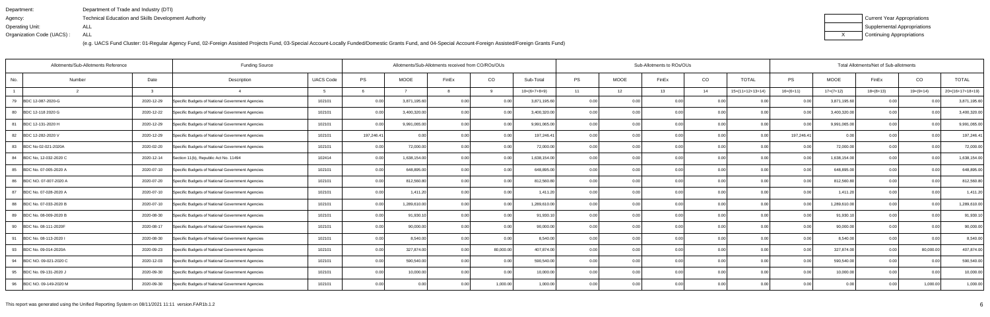| Department:               | Department of Trade and Industry (DTI)                      |
|---------------------------|-------------------------------------------------------------|
| Agency:                   | <b>Technical Education and Skills Development Authority</b> |
| Operating Unit:           | ALL                                                         |
| Organization Code (UACS): | ALL                                                         |

| Current Year Appropriations |
|-----------------------------|
| Supplemental Appropriations |
| Continuing Appropriations   |

| <b>Funding Source</b><br>Allotments/Sub-Allotments Reference |        |            |                                                  |                  | Sub-Allotments to ROs/OUs<br>Allotments/Sub-Allotments received from CO/ROs/OUs<br>CO<br><b>PS</b><br>MOOE<br>CO<br><b>TOTAL</b><br>PS<br>Sub-Total<br>FinEx<br>FinEx<br>$16=(6+11)$<br>9<br>$10=(6+7+8+9)$<br>11<br>12<br>13<br>14<br>$15=(11+12+13+14)$<br>0.00<br>3,871,195.60<br>0.00<br>0.00<br>0.00<br>0.00<br>0.00<br>0.0<br>0.00<br>0.00<br>3,400,320.00<br>0.00<br>0.00<br>0.00<br>0.00<br>0.00<br>0.00<br>0.00 |              |                |           |              |       |      |      |      |      | Total Allotments/Net of Sub-allotments |              |             |                |                    |
|--------------------------------------------------------------|--------|------------|--------------------------------------------------|------------------|--------------------------------------------------------------------------------------------------------------------------------------------------------------------------------------------------------------------------------------------------------------------------------------------------------------------------------------------------------------------------------------------------------------------------|--------------|----------------|-----------|--------------|-------|------|------|------|------|----------------------------------------|--------------|-------------|----------------|--------------------|
| No.                                                          | Number | Date       | Description                                      | <b>UACS Code</b> | PS                                                                                                                                                                                                                                                                                                                                                                                                                       | <b>MOOE</b>  |                |           |              |       |      |      |      |      |                                        | MOOE         | FinEx       | CO             | <b>TOTAL</b>       |
|                                                              |        | ູ          |                                                  |                  |                                                                                                                                                                                                                                                                                                                                                                                                                          |              |                |           |              |       |      |      |      |      |                                        | $17=(7+12)$  | $18=(8+13)$ | $19=(9+14)$    | $20=(16+17+18+19)$ |
| BDC 12-087-2020-G<br>79                                      |        | 2020-12-29 | Specific Budgets of National Government Agencies | 102101           | 0.00                                                                                                                                                                                                                                                                                                                                                                                                                     | 3,871,195.60 |                |           |              |       |      |      |      |      |                                        | 3,871,195.60 | 0.00        | 0.0(           | 3,871,195.60       |
| 80<br>BDC 12-118 2020 G                                      |        | 2020-12-22 | Specific Budgets of National Government Agencies | 102101           | 0.00                                                                                                                                                                                                                                                                                                                                                                                                                     | 3,400,320.00 |                |           |              |       |      |      |      |      |                                        | 3,400,320.00 | 0.00        | 0.00           | 3,400,320.00       |
| 81<br>BDC 12-131-2020 H                                      |        | 2020-12-29 | Specific Budgets of National Government Agencies | 102101           | 0.00                                                                                                                                                                                                                                                                                                                                                                                                                     | 9,991,065.00 | 0.00           | 0.00      | 9,991,065.00 | 0.00  | 0.00 | 0.00 | 0.00 | 0.00 | 0.00                                   | 9,991,065.00 | 0.00        | 0.00           | 9,991,065.00       |
| 82<br>BDC 12-282-2020 V                                      |        | 2020-12-29 | Specific Budgets of National Government Agencies | 102101           | 197,246.41                                                                                                                                                                                                                                                                                                                                                                                                               | 0.00         | 0.00           | 0.00      | 197,246.41   | 0.00  | 0.00 | 0.00 | 0.00 | 0.00 | 197,246.41                             | 0.00         | 0.00        | 0.00           | 197,246.41         |
| BDC No 02-021-2020A<br>83                                    |        | 2020-02-20 | Specific Budgets of National Government Agencies | 102101           | 0.00                                                                                                                                                                                                                                                                                                                                                                                                                     | 72,000.00    | 0.00           | 0.00      | 72,000.00    | 0.00  | 0.00 | 0 Q  | 0.0  | 0.00 | 0.00                                   | 72,000.00    | 0.00        | 0.00           | 72,000.00          |
| 84<br>BDC No, 12-032-2020 C                                  |        | 2020-12-14 | Section 11(b), Republic Act No. 11494            | 102414           | 0.00                                                                                                                                                                                                                                                                                                                                                                                                                     | 1,638,154.00 | 0.00           | 0.00      | 1,638,154.00 | 0.00  | 0.00 | ი იი | 0.00 | 0.00 | 0.00                                   | 1,638,154.00 | 0.00        | 0.00           | 1,638,154.00       |
| 85<br>BDC No. 07-005-2020 A                                  |        | 2020-07-10 | Specific Budgets of National Government Agencies | 102101           | 0.00                                                                                                                                                                                                                                                                                                                                                                                                                     | 648,895.00   | 0.00           | 0.00      | 648,895.00   | 0.00  | 0.00 | 0.00 | 0.00 | 0.00 | 0.00                                   | 648,895.00   | 0.00        | 0.00           | 648,895.00         |
| BDC NO. 07-007-2020 A<br>86                                  |        | 2020-07-20 | Specific Budgets of National Government Agencies | 102101           | 0.00                                                                                                                                                                                                                                                                                                                                                                                                                     | 812,560.80   | 0.00           | 0.00      | 812,560.80   | 0.00  | 0.00 |      | 0.0  | 0.00 | 0.00                                   | 812,560.80   | 0.00        | 0.0(           | 812,560.80         |
| 87<br>BDC No. 07-028-2020 A                                  |        | 2020-07-10 | Specific Budgets of National Government Agencies | 102101           | 0.00                                                                                                                                                                                                                                                                                                                                                                                                                     | 1,411.20     | 0.00           | 0.00      | 1,411.20     | 0.001 | 0.00 | 0.00 | 0.0  | 0.00 | 0.00                                   | 1,411.20     | 0.00        | 0 <sub>0</sub> | 1,411.20           |
| BDC No. 07-033-2020 B<br>88                                  |        | 2020-07-10 | Specific Budgets of National Government Agencies | 102101           | 0.00                                                                                                                                                                                                                                                                                                                                                                                                                     | 1,289,610.00 | 0.00           | 0.00      | 1,289,610.00 | 0.00  | 0.00 | 0.00 | 0.00 | 0.00 | 0.00                                   | 1,289,610.00 | 0.00        | 0.00           | 1,289,610.00       |
| 89<br>BDC No. 08-009-2020 B                                  |        | 2020-08-30 | Specific Budgets of National Government Agencies | 102101           | 0.00                                                                                                                                                                                                                                                                                                                                                                                                                     | 91,930.10    | 0.00           | 0.00      | 91,930.10    | 0.00  | 0.00 |      | 0.0  |      | 0.00                                   | 91,930.10    | 0.00        | 0.00           | 91,930.10          |
| 90<br>BDC No. 08-111-2020F                                   |        | 2020-08-17 | Specific Budgets of National Government Agencies | 102101           | 0.00                                                                                                                                                                                                                                                                                                                                                                                                                     | 90,000.00    |                | 0.00      | 90,000.00    | 0.00  | 0.00 | 0 U  | 0.0  | 0.00 | 0.00                                   | 90,000.00    | 0.00        | 0 <sub>0</sub> | 90,000.00          |
| 91<br>BDC No. 08-113-2020 I                                  |        | 2020-08-30 | Specific Budgets of National Government Agencies | 102101           | 0.00                                                                                                                                                                                                                                                                                                                                                                                                                     | 8,540.00     | 0.00           | 0.00      | 8,540.00     | 0.00  | 0.00 | ი იი | 0.00 | 0.00 | 0.00                                   | 8,540.00     | 0.00        | 0.0(           | 8,540.00           |
| 93<br>BDC No. 09-014-2020A                                   |        | 2020-09-23 | Specific Budgets of National Government Agencies | 102101           | 0.00                                                                                                                                                                                                                                                                                                                                                                                                                     | 327,874.00   | 0.00           | 80,000.00 | 407,874.00   | 0.00  | 0.00 | 0.00 | 0.0  | 0.00 | 0.00                                   | 327,874.00   | 0.00        | 80,000.00      | 407,874.00         |
| 94<br>BDC NO. 09-021-2020 C                                  |        | 2020-12-03 | Specific Budgets of National Government Agencies | 102101           | 0.00                                                                                                                                                                                                                                                                                                                                                                                                                     | 590,540.00   | 0 <sub>0</sub> | 0.00      | 590,540.00   | 0.00  | 0.00 | 0.00 | 0.00 | 0.00 | 0.00                                   | 590,540.00   | 0.00        | 0 <sub>0</sub> | 590,540.00         |
| 95 BDC No. 09-131-2020 J                                     |        | 2020-09-30 | Specific Budgets of National Government Agencies | 102101           | 0.00                                                                                                                                                                                                                                                                                                                                                                                                                     | 10,000.00    |                | 0.00      | 10,000.00    | 0.00  | 0.00 | n nn | 0.00 | 0.00 | 0.00                                   | 10,000.00    | 0.00        | 0.00           | 10,000.00          |
| 96 BDC NO. 09-149-2020 M                                     |        | 2020-09-30 | Specific Budgets of National Government Agencies | 102101           | 0.00                                                                                                                                                                                                                                                                                                                                                                                                                     | 0.00         | 0 <sub>0</sub> | 1,000.00  | 1,000.00     | 0.00  | 0.00 | 0.00 | 0.00 | 0.00 | 0.00 l                                 | 0.00         | 0.00        | 1,000.00       | 1,000.00           |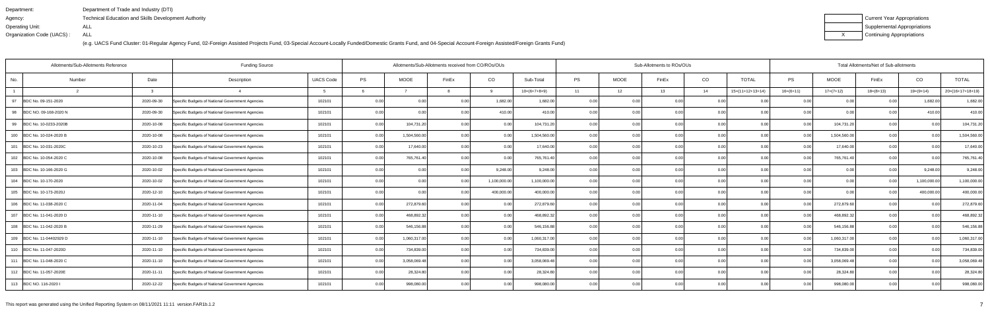| Department:               | Department of Trade and Industry (DTI)                      |
|---------------------------|-------------------------------------------------------------|
| Agency:                   | <b>Technical Education and Skills Development Authority</b> |
| Operating Unit:           | ALL                                                         |
| Organization Code (UACS): | ALL                                                         |

| Current Year Appropriations |
|-----------------------------|
| Supplemental Appropriations |
| Continuing Appropriations   |

| Allotments/Sub-Allotments Reference |        |            | <b>Funding Source</b>                            |                  |      | Allotments/Sub-Allotments received from CO/ROs/OUs |       |             |                |           |             | Sub-Allotments to ROs/OUs |                |                    |                   |              | Total Allotments/Net of Sub-allotments |                |                    |
|-------------------------------------|--------|------------|--------------------------------------------------|------------------|------|----------------------------------------------------|-------|-------------|----------------|-----------|-------------|---------------------------|----------------|--------------------|-------------------|--------------|----------------------------------------|----------------|--------------------|
| No.                                 | Number | Date       | Description                                      | <b>UACS Code</b> | PS   | MOOE                                               | FinEx | CO          | Sub-Total      | <b>PS</b> | <b>MOOE</b> | FinEx                     | CO             | <b>TOTAL</b>       | PS                | <b>MOOE</b>  | FinEx                                  | CO             | <b>TOTAL</b>       |
|                                     |        |            |                                                  |                  |      |                                                    |       | <b>Q</b>    | $10=(6+7+8+9)$ | 11        | 12          | 13                        | 14             | $15=(11+12+13+14)$ | $16=(6+11)$       | $17=(7+12)$  | $18=(8+13)$                            | $19=(9+14)$    | $20=(16+17+18+19)$ |
| 97<br>BDC No. 09-151-2020           |        | 2020-09-30 | Specific Budgets of National Government Agencies | 102101           | 0.00 | 0.00                                               |       | 1,682.00    | 1,682.00       | 0.00      | 0.00        | 0.00                      | 0.0            |                    | 0.00              | 0.00         | 0.00                                   | 1,682.0        | 1,682.00           |
| 98<br>BDC NO. 09-168-2020 N         |        | 2020-09-30 | Specific Budgets of National Government Agencies | 102101           | 0.00 | 0.00                                               |       | 410.00      | 410.00         | 0.00      | 0.00        | 0.00                      | 0.00           | 0.00               | 0.00 <sub>1</sub> | 0.00         | 0.00                                   | 410.00         | 410.00             |
| 99<br>BDC No. 10-0233-2020B         |        | 2020-10-08 | Specific Budgets of National Government Agencies | 102101           | 0.00 | 104,731.20                                         |       | 0.00        | 104,731.20     | 0.00      | 0.00        | ი იი                      | 0.00           | 0.00               | 0.00              | 104,731.20   | 0.00                                   | 0.00           | 104,731.20         |
| 100 BDC No. 10-024-2020 B           |        | 2020-10-08 | Specific Budgets of National Government Agencies | 102101           | 0.00 | 1,504,560.00                                       | 0.00  | 0.00        | 1,504,560.00   | 0.00      | 0.00        | 0.00                      | 0.00           | 0.00               | 0.00 <sub>1</sub> | 1,504,560.00 | 0.00                                   | 0.00           | 1,504,560.00       |
| 101 BDC No. 10-031-2020C            |        | 2020-10-23 | Specific Budgets of National Government Agencies | 102101           | 0.00 | 17,640.00                                          |       | 0.00        | 17,640.00      | 0.00      | 0.00        |                           | 0.0            | 0.00               |                   | 17,640.00    | 0.00                                   | 0 <sub>0</sub> | 17,640.00          |
| 102 BDC No. 10-054-2020 C           |        | 2020-10-08 | Specific Budgets of National Government Agencies | 102101           | 0.00 | 765,761.40                                         |       | 0.00        | 765,761.40     | 0.00      | 0.00        |                           | 0.00           | 0.00               | 0.OC              | 765,761.40   | 0.00                                   | 0.0(           | 765,761.40         |
| 103 BDC No. 10-166-2020 G           |        | 2020-10-02 | Specific Budgets of National Government Agencies | 102101           | 0.00 | 0.00                                               | 0.00  | 9,248.00    | 9,248.00       | 0.00      | 0.00        | 0.00                      | 0.00           | 0.00               | 0.00 <sub>1</sub> | 0.00         | 0.00                                   | 9,248.00       | 9,248.00           |
| 104 BDC No. 10-170-2020             |        | 2020-10-02 | Specific Budgets of National Government Agencies | 102101           | 0.00 | 0.00                                               |       | 1,100,000.0 | 1,100,000.00   | 0.00      | 0.00        |                           | 0.0            | 0.00               |                   | 0.00         |                                        | 1,100,000.0    | 1,100,000.00       |
| 105 BDC No. 10-173-2020J            |        | 2020-12-10 | Specific Budgets of National Government Agencies | 102101           | 0.00 | 0.00                                               |       | 400,000.00  | 400,000.00     | 0.00      | 0.00        | ስ በ(                      | 0.00           | 0.00               | 0.001             | 0.00         | 0 <sub>0</sub>                         | 400,000.00     | 400,000.00         |
| 106 BDC No. 11-038-2020 C           |        | 2020-11-04 | Specific Budgets of National Government Agencies | 102101           | 0.00 | 272,879.60                                         | 0.00  | 0.00        | 272,879.60     | 0.00      | 0.00        | 0.00                      | 0.00           | 0.00               | 0.00              | 272,879.60   | 0.00                                   | 0.00           | 272,879.60         |
| 107 BDC No. 11-041-2020 D           |        | 2020-11-10 | Specific Budgets of National Government Agencies | 102101           | 0.00 | 468,892.32                                         |       | 0.00        | 468,892.32     | 0.00      | 0.00        |                           | 0.0            | 0.00               | 0.00              | 468,892.32   | 0.00                                   | 0.00           | 468,892.32         |
| 108 BDC No. 11-042-2020 B           |        | 2020-11-29 | Specific Budgets of National Government Agencies | 102101           | 0.00 | 546,156.88                                         |       | 0.00        | 546,156.88     | 0.00      | 0.00        |                           | 0 <sub>0</sub> | 0.00               | 0.00              | 546,156.88   | 0.00                                   | 0 <sub>0</sub> | 546,156.88         |
| 109 BDC No. 11-04402929 D           |        | 2020-11-10 | Specific Budgets of National Government Agencies | 102101           | 0.00 | 1,060,317.00                                       |       | 0.00        | 1,060,317.00   | 0.00      | 0.00        | ი იი                      | 0.00           | 0.00               | 0.00              | 1,060,317.00 | 0.00                                   | 0.00           | 1,060,317.00       |
| 110 BDC No. 11-047-2020D            |        | 2020-11-10 | Specific Budgets of National Government Agencies | 102101           | 0.00 | 734,839.00                                         |       | 0.00        | 734,839.00     | 0.00      | 0.00        | 0.00                      | 0.0            | 0.00               | 0.00              | 734,839.00   | 0.00                                   | 0.00           | 734,839.00         |
| 111 BDC No. 11-048-2020 C           |        | 2020-11-10 | Specific Budgets of National Government Agencies | 102101           | 0.00 | 3,058,069.48                                       |       | 0.00        | 3,058,069.48   | 0.00      | 0.00        | 0.00                      | 0.00           | 0.00               | 0.OC              | 3,058,069.48 | 0.00                                   | 0 <sub>0</sub> | 3,058,069.48       |
| 112 BDC No. 11-057-2020E            |        | 2020-11-11 | Specific Budgets of National Government Agencies | 102101           | 0.00 | 28,324.80                                          |       | 0.00        | 28,324.80      | 0.00      | 0.00        |                           | 0.00           | 0.00               | 0. OO             | 28,324.80    | 0.00                                   |                | 28,324.80          |
| 113 BDC NO. 116-2020 I              |        | 2020-12-22 | Specific Budgets of National Government Agencies | 102101           | 0.00 | 998,080.00                                         |       | 0.001       | 998,080.00     | 0.00      | 0.00        | 0.00                      | 0.00           | 0.00               | 0.001             | 998,080.00   | 0.00                                   | 0.00           | 998,080.00         |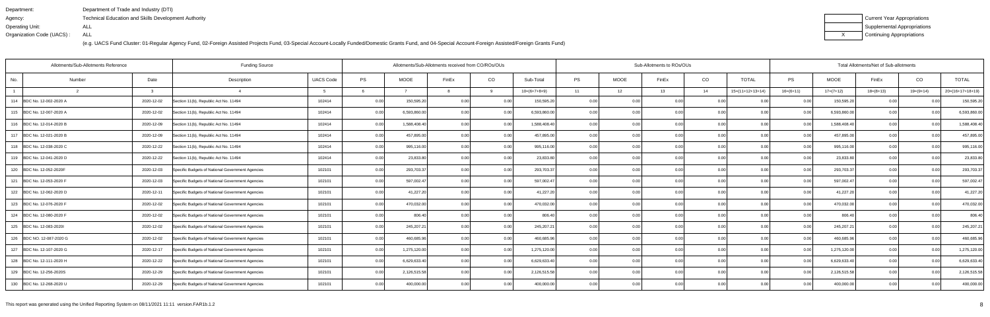| Department:               | Department of Trade and Industry (DTI)               |
|---------------------------|------------------------------------------------------|
| Agency:                   | Technical Education and Skills Development Authority |
| Operating Unit:           | ALL                                                  |
| Organization Code (UACS): | ALL                                                  |

| Current Year Appropriations |
|-----------------------------|
| Supplemental Appropriations |
| Continuing Appropriations   |

| Allotments/Sub-Allotments Reference | <b>Funding Source</b> |                                                  |                  |           | Allotments/Sub-Allotments received from CO/ROs/OUs |       |          |                |           | Sub-Allotments to ROs/OUs |                   |      |                    |                | Total Allotments/Net of Sub-allotments |             |                |                    |
|-------------------------------------|-----------------------|--------------------------------------------------|------------------|-----------|----------------------------------------------------|-------|----------|----------------|-----------|---------------------------|-------------------|------|--------------------|----------------|----------------------------------------|-------------|----------------|--------------------|
| No.<br>Number                       | Date                  | Description                                      | <b>UACS Code</b> | <b>PS</b> | <b>MOOE</b>                                        | FinEx | CO       | Sub-Total      | <b>PS</b> | <b>MOOE</b>               | FinEx             | CO   | <b>TOTAL</b>       | <b>PS</b>      | <b>MOOE</b>                            | FinEx       | CO             | <b>TOTAL</b>       |
|                                     | $\mathbf{R}$          |                                                  |                  |           |                                                    |       | $\alpha$ | $10=(6+7+8+9)$ | 11        | 12                        | 13                | 14   | $15=(11+12+13+14)$ | $16=(6+11)$    | $17=(7+12)$                            | $18=(8+13)$ | $19=(9+14)$    | $20=(16+17+18+19)$ |
| 114 BDC No. 12-002-2020 A           | 2020-12-02            | Section 11(b), Republic Act No. 11494            | 102414           | 0.00      | 150,595.20                                         | 0.00  | 0.00     | 150,595.20     | 0.00      | 0.00                      | 0.00              | 0.00 | 0.00               | 0.00           | 150,595.20                             | 0.00        | 0 <sub>0</sub> | 150,595.20         |
| 115 BDC No. 12-007-2020 A           | 2020-12-02            | Section 11(b), Republic Act No. 11494            | 102414           | 0.00      | 6,593,860.00                                       | 0.00  | 0.00     | 6,593,860.00   | 0.00      | 0.00                      | 0.00              | 0.00 | 0.00               | 0.00           | 6,593,860.00                           | 0.00        | 0.00           | 6,593,860.00       |
| 116 BDC No. 12-014-2020 B           | 2020-12-09            | Section 11(b), Republic Act No. 11494            | 102414           | 0.00      | 1,588,408.40                                       | 0.00  | 0.00     | 1.588.408.40   | 0.001     | 0.00                      | 0.00              | 0.00 | 0.00               | 0.00           | 1,588,408.40                           | 0.00        | 0.00           | 1,588,408.40       |
| 117 BDC No. 12-021-2020 B           | 2020-12-09            | Section 11(b), Republic Act No. 11494            | 102414           | 0.00      | 457,895.00                                         | 0.00  | 0.00     | 457,895.00     | 0.00      | 0.00                      | 0.00              | 0.00 | 0.00               | 0.00           | 457,895.00                             | 0.00        | 0.00           | 457,895.00         |
| 118 BDC No. 12-038-2020 C           | 2020-12-22            | Section 11(b), Republic Act No. 11494            | 102414           | 0.00      | 995,116.00                                         | 0.00  | 0.00     | 995,116.00     | 0.00      | 0.00                      | 0.00              | 0.00 | 0.00               | 0.00           | 995,116.00                             | 0.00        | 0.00           | 995,116.00         |
| 119 BDC No. 12-041-2020 D           | 2020-12-22            | Section 11(b), Republic Act No. 11494            | 102414           | 0.00      | 23,833.80                                          | 0.00  | 0.00     | 23,833.80      | 0.001     | 0.00                      | 0.00              | 0.00 | 0.001              | 0.00           | 23,833.80                              | 0.00        | 0.00           | 23,833.80          |
| 120 BDC No. 12-052-2020F            | 2020-12-03            | Specific Budgets of National Government Agencies | 102101           | 0.00      | 293,703.37                                         | 0.00  | 0.00     | 293,703.37     | 0.00      | 0.00                      | 0.00              | 0.00 | 0.00               | 0.00           | 293,703.37                             | 0.00        | 0.00           | 293,703.37         |
| 121 BDC No. 12-053-2020 F           | 2020-12-03            | Specific Budgets of National Government Agencies | 102101           | 0.00      | 597,002.47                                         | 0.00  | 0.00     | 597,002.47     | 0.00      | 0.00                      | 0.00              | 0.00 | 0.00               | 0.00           | 597,002.47                             | 0.00        | 0 <sub>0</sub> | 597,002.47         |
| 122 BDC No. 12-062-2020 D           | 2020-12-11            | Specific Budgets of National Government Agencies | 102101           | 0.00      | 41,227.20                                          | 0.00  | 0.00     | 41,227.20      | 0.001     | 0.00                      | 0.00              | 0.00 | 0.001              | 0.00           | 41,227.20                              | 0.00        | 0.00           | 41,227.20          |
| 123 BDC No. 12-076-2020 F           | 2020-12-02            | Specific Budgets of National Government Agencies | 102101           | 0.00      | 470,032.00                                         | 0.00  | 0.00     | 470,032.00     | 0.00      | 0.00                      | 0.00              | 0.00 | 0.00               | 0.00           | 470,032.00                             | 0.00        | 0.00           | 470,032.00         |
| 124 BDC No. 12-080-2020 F           | 2020-12-02            | Specific Budgets of National Government Agencies | 102101           | 0.00      | 806.40                                             | 0.00  | 0.00     | 806.40         | 0.00      | 0.00                      | 0.00              | 0.00 | 0.00               | <u>ሰሰ</u>      | 806.40                                 | 0.00        |                | 806.40             |
| 125 BDC No. 12-083-20201            | 2020-12-02            | Specific Budgets of National Government Agencies | 102101           | 0.00      | 245,207.21                                         | 0.00  | 0.00     | 245,207.21     | 0.00      | 0.00                      | 0.00              | 0.00 | 0.00               | 0 <sub>0</sub> | 245,207.21                             | 0.00        | 0 <sub>0</sub> | 245,207.21         |
| 126 BDC NO. 12-087-2020 G           | 2020-12-02            | Specific Budgets of National Government Agencies | 102101           | 0.00      | 460,685.96                                         | 0.00  | 0.00     | 460,685.96     | 0.00      | 0.00                      | 0.00              | 0.00 | 0.00               | 0.00           | 460,685.96                             | 0.00        | 0.00           | 460,685.96         |
| 127 BDC No. 12-107-2020 G           | 2020-12-17            | Specific Budgets of National Government Agencies | 102101           | 0.00      | 1,275,120.00                                       | 0.OC  | 0.00     | 1,275,120.00   | 0.00      | 0.00                      | 0.00              | 0.00 | 0.00               | 0 <sub>0</sub> | 1,275,120.00                           | 0.00        | ი იი           | 1,275,120.00       |
| 128 BDC No. 12-111-2020 H           | 2020-12-22            | Specific Budgets of National Government Agencies | 102101           | 0.00      | 6,629,633.40                                       | 0.00  | 0.00     | 6,629,633.40   | 0.00      | 0.00                      | 0.00              | 0.00 | 0.00               |                | 6,629,633.40                           | 0.00        | 0.00           | 6,629,633.40       |
| 129 BDC No. 12-256-2020S            | 2020-12-29            | Specific Budgets of National Government Agencies | 102101           | 0.00      | 2,126,515.58                                       | 0.00  | 0.00     | 2,126,515.58   | 0.00      | 0.00                      | 0.00              | 0.00 | 0.00               |                | 2,126,515.58                           | 0.00        | 0.00           | 2,126,515.58       |
| 130 BDC No. 12-268-2020 U           | 2020-12-29            | Specific Budgets of National Government Agencies | 102101           | 0.00      | 400,000.00                                         | n nr  | 0.00     | 400,000.00     | 0.00      | 0.00                      | 0.00 <sub>1</sub> | 0.00 | 0.00               | 0 <sub>0</sub> | 400,000.00                             | 0.00        |                | 400,000.00         |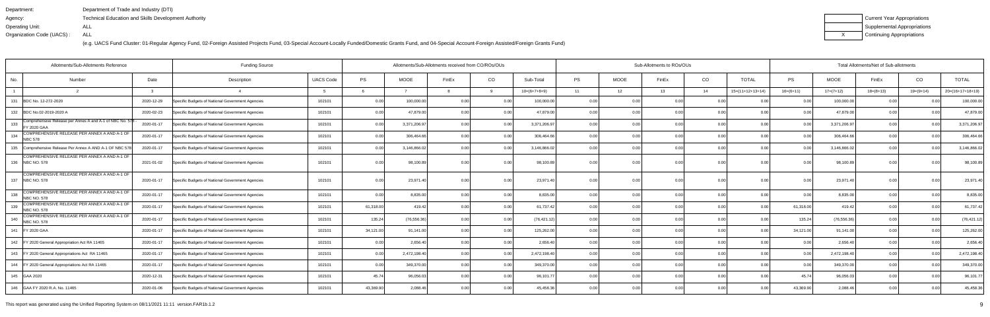| Department:               | Department of Trade and Industry (DTI)                      |
|---------------------------|-------------------------------------------------------------|
| Agency:                   | <b>Technical Education and Skills Development Authority</b> |
| Operating Unit:           | ALL                                                         |
| Organization Code (UACS): | ALL                                                         |

| Current Year Appropriations |
|-----------------------------|
| Supplemental Appropriations |
| Continuing Appropriations   |

| Allotments/Sub-Allotments Reference<br><b>Funding Source</b> |                                                                                |               |                                                  |                  |           |              | Allotments/Sub-Allotments received from CO/ROs/OUs |      |                |           |             | Sub-Allotments to ROs/OUs |      |                    |                | Total Allotments/Net of Sub-allotments |                |                |                    |  |
|--------------------------------------------------------------|--------------------------------------------------------------------------------|---------------|--------------------------------------------------|------------------|-----------|--------------|----------------------------------------------------|------|----------------|-----------|-------------|---------------------------|------|--------------------|----------------|----------------------------------------|----------------|----------------|--------------------|--|
| No.                                                          | Number                                                                         | Date          | Description                                      | <b>UACS Code</b> | PS        | <b>MOOE</b>  | FinEx                                              | CO   | Sub-Total      | <b>PS</b> | <b>MOOE</b> | FinEx                     | CO   | <b>TOTAL</b>       | PS             | <b>MOOE</b>                            | FinEx          | CO             | <b>TOTAL</b>       |  |
|                                                              |                                                                                | $\mathcal{R}$ |                                                  |                  |           |              |                                                    | q    | $10=(6+7+8+9)$ | 11        | 12          | 13                        | 14   | $15=(11+12+13+14)$ | $16=(6+11)$    | $17=(7+12)$                            | $18=(8+13)$    | $19=(9+14)$    | $20=(16+17+18+19)$ |  |
| 131                                                          | BDC No. 12-272-2020                                                            | 2020-12-29    | Specific Budgets of National Government Agencies | 102101           | 0.00      | 100,000.0    | 0.0(                                               | 0.00 | 100,000.0      | 0.00      |             | 0.00                      | 0.00 | 0.0(               | 0.00           | 100,000.00                             | 0 <sub>0</sub> |                | 100,000.00         |  |
|                                                              | 132 BDC No.02-2019-2020 A                                                      | 2020-02-23    | Specific Budgets of National Government Agencies | 102101           | 0.00      | 47,879.00    | 0.0(                                               | 0.00 | 47,879.00      | 0.00      | 0.00        | 0.00                      | 0.00 | 0.00               | 0.00           | 47,879.00                              | 0.00           | 0.00           | 47,879.00          |  |
| 133                                                          | Comprehensive Release per Annes A and A-1 of NBC No. 578<br><b>FY 2020 GAA</b> | 2020-01-17    | Specific Budgets of National Government Agencies | 102101           | 0.00      | 3,371,206.97 | 0 <sub>0</sub>                                     | 0.00 | 3,371,206.97   | 0.00      | 0.00        | 0.00                      | 0.00 | 0.00               | 0.00           | 3,371,206.97                           | 0.00           | 0.00           | 3,371,206.97       |  |
| 134                                                          | COMPREHENSIVE RELEASE PER ANNEX A AND A-1 OF<br><b>NBC 578</b>                 | 2020-01-17    | Specific Budgets of National Government Agencies | 102101           | 0.00      | 306,464.66   | 0.0(                                               | 0.00 | 306,464.66     | 0.00      | 0.00        | 0.00                      | 0.00 | 0.00               | 0.00           | 306,464.66                             | 0.00           | 0.00           | 306,464.66         |  |
| 135                                                          | Comprehensive Release Per Annex A AND A-1 OF NBC 578                           | 2020-01-17    | Specific Budgets of National Government Agencies | 102101           | 0.00      | 3,146,866.02 |                                                    | 0.00 | 3,146,866.02   | 0.00      | 0.00        | 0.00                      | 0.00 | 0.00               | 0 <sub>0</sub> | 3,146,866.02                           | 0.00           | 0 <sub>0</sub> | 3,146,866.02       |  |
|                                                              | COMPREHENSIVE RELEASE PER ANNEX A AND A-1 OF<br>136 NBC NO. 578                | 2021-01-02    | Specific Budgets of National Government Agencies | 102101           | 0.00      | 98,100.8     | 0 <sub>0</sub>                                     | 0.00 | 98,100.89      | 0.00      | 0.00        | 0.00                      | 0.00 | 0.00               | 0.00           | 98,100.89                              | 0.00           | 0.00           | 98,100.89          |  |
|                                                              | COMPREHENSIVE RELEASE PER ANNEX A AND A-1 OF<br>137   NBC NO. 578              | 2020-01-17    | Specific Budgets of National Government Agencies | 102101           | 0.00      | 23,971.40    |                                                    | 0.00 | 23,971.40      | 0.00      | 0.00        |                           | 0.00 | 0.00               | 0.00           | 23,971.40                              | 0.00           | 0 <sub>0</sub> | 23,971.40          |  |
| 138                                                          | COMPREHENSIVE RELEASE PER ANNEX A AND A-1 OF<br><b>NBC NO. 578</b>             | 2020-01-17    | Specific Budgets of National Government Agencies | 102101           | 0.00      | 8,835.00     |                                                    | 0.00 | 8,835.0        | 0.00      | 0.00        | 0.00                      | 0.00 | 0.00               | n nr           | 8,835.00                               | 0.00           |                | 8,835.00           |  |
| 139                                                          | COMPREHENSIVE RELEASE PER ANNEX A AND A-1 OF<br><b>NBC NO. 578</b>             | 2020-01-17    | Specific Budgets of National Government Agencies | 102101           | 61,318.00 | 419.42       |                                                    | 0.00 | 61,737.42      | 0.00      | 0.00        | 0.00                      | 0.00 | 0.00               | 61,318.00      | 419.42                                 | 0.00           |                | 61,737.42          |  |
| 140                                                          | COMPREHENSIVE RELEASE PER ANNEX A AND A-1 OF<br><b>NBC NO. 578</b>             | 2020-01-17    | Specific Budgets of National Government Agencies | 102101           | 135.24    | (76, 556.36) |                                                    | 0.00 | (76, 421.12)   | 0.00      | 0.00        | 0.00                      | 0.00 | 0.00               | 135.24         | (76, 556.36)                           | 0.00           | 0.00           | (76, 421.12)       |  |
|                                                              | 141   FY 2020 GAA                                                              | 2020-01-17    | Specific Budgets of National Government Agencies | 102101           | 34,121.00 | 91,141.00    | 0 <sub>0</sub>                                     | 0.00 | 125,262.00     | 0.00      | 0.00        | 0.00                      | 0.00 | 0.00               | 34,121.00      | 91,141.00                              | 0.00           | 0.00           | 125,262.00         |  |
|                                                              | 142   FY 2020 General Appropriation Act RA 11465                               | 2020-01-17    | Specific Budgets of National Government Agencies | 102101           | 0.00      | 2,656.40     |                                                    | 0.00 | 2,656.40       | 0.00      | 0.00        | 0 <sub>0</sub>            | 0.00 | 0.00               | 0.00           | 2,656.40                               | 0.00           |                | 2,656.40           |  |
|                                                              | 143   FY 2020 General Appropriations Act RA 11465                              | 2020-01-17    | Specific Budgets of National Government Agencies | 102101           | 0.00      | 2,472,198.40 |                                                    | 0.00 | 2,472,198.40   | 0.00      | 0.00        | 0.00                      | 0.00 | 0.00               | 0.00           | 2,472,198.40                           | 0.00           | 0.00           | 2,472,198.40       |  |
|                                                              | 144   FY 2020 General Appropriations Act RA 11465                              | 2020-01-17    | Specific Budgets of National Government Agencies | 102101           | 0.00      | 349,370.00   |                                                    | 0.00 | 349,370.00     | 0.00      | 0.00        | 0.00                      | 0.00 | 0.00               | 0.00           | 349,370.00                             | 0.00           | $\Omega$       | 349,370.00         |  |
|                                                              | 145 GAA 2020                                                                   | 2020-12-31    | Specific Budgets of National Government Agencies | 102101           | 45.74     | 96,056.0     |                                                    | 0.00 | 96,101.7       | 0.00      | 0.00        | n nr                      | 0.00 | 0.00               | 45.74          | 96,056.03                              | 0.00           |                | 96,101.77          |  |
|                                                              | 146 GAA FY 2020 R.A. No. 11465                                                 | 2020-01-06    | Specific Budgets of National Government Agencies | 102101           | 43,369.90 | 2,088.46     |                                                    | 0.00 | 45,458.36      | 0.00      | 0.00        | 0.00                      | 0.00 | 0.00               | 43,369.90      | 2,088.46                               | 0.00           | 0 <sub>0</sub> | 45,458.36          |  |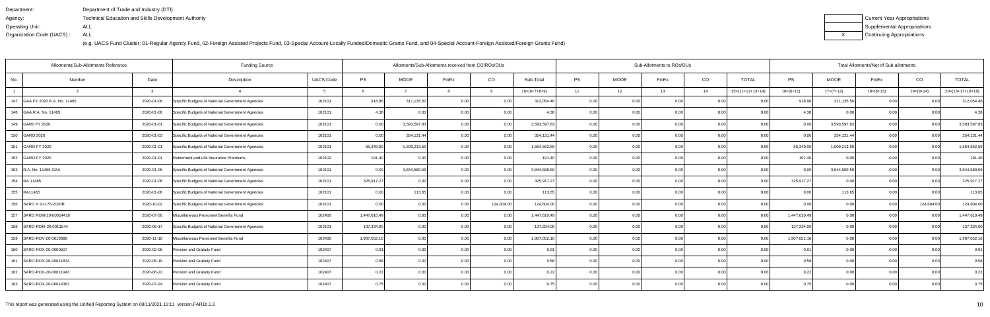| Department:               | Department of Trade and Industry (DTI)               |
|---------------------------|------------------------------------------------------|
| Agency:                   | Technical Education and Skills Development Authority |
| Operating Unit:           | ALL                                                  |
| Organization Code (UACS): | ALL                                                  |

| Current Year Appropriations |
|-----------------------------|
| Supplemental Appropriations |
| Continuing Appropriations   |

| Allotments/Sub-Allotments Reference |            | <b>Funding Source</b>                            |                  | Allotments/Sub-Allotments received from CO/ROs/OUs |              |                |            |                |           | Sub-Allotments to ROs/OUs | Total Allotments/Net of Sub-allotments |                |                    |              |              |             |                |                    |
|-------------------------------------|------------|--------------------------------------------------|------------------|----------------------------------------------------|--------------|----------------|------------|----------------|-----------|---------------------------|----------------------------------------|----------------|--------------------|--------------|--------------|-------------|----------------|--------------------|
| No.<br>Number                       | Date       | Description                                      | <b>UACS Code</b> | PS                                                 | <b>MOOE</b>  | FinEx          | CO         | Sub-Total      | <b>PS</b> | <b>MOOE</b>               | FinEx                                  | CO             | <b>TOTAL</b>       | PS           | <b>MOOE</b>  | FinEx       | CO             | <b>TOTAL</b>       |
|                                     |            |                                                  |                  |                                                    |              |                | a          | $10=(6+7+8+9)$ | 11        | 12                        | 13                                     | 14             | $15=(11+12+13+14)$ | $16=(6+11)$  | $17=(7+12)$  | $18=(8+13)$ | $19=(9+14)$    | $20=(16+17+18+19)$ |
| 147 GAA FY 2020 R.A. No. 11465      | 2020-01-06 | Specific Budgets of National Government Agencies | 102101           | 918.96                                             | 311,135.50   | 0.00           | 0.00       | 312,054.46     | 0.00      | 0.0                       | 0.00                                   | 0.0            |                    | 918.96       | 311,135.50   | 0.00        |                | 312,054.46         |
| 148 GAA R.A. No. 11465              | 2020-01-06 | Specific Budgets of National Government Agencies | 102101           | 4.38                                               |              | 0 <sub>0</sub> | 0.00       | -4.38          | 0.001     | 0.00                      | n nr                                   | 0.00           | 0.00               | 4.38         | 0.00         | 0.00        |                | 4.38               |
| 149 GAR0 FY 2020                    | 2020-01-01 | Specific Budgets of National Government Agencies | 102101           | 0.00                                               | 3,593,597.83 |                | 0.00       | 3,593,597.83   | 0.00      | 0.00                      |                                        | 0.00           | 0.00               | 0.00         | 3,593,597.83 | 0.00        | 0 <sub>0</sub> | 3,593,597.83       |
| 150 GARO 2020                       | 2020-01-03 | Specific Budgets of National Government Agencies | 102101           | 0.00                                               | 354,131.44   | 0.00           | 0.00       | 354,131.44     | 0.001     | 0.00                      | 0.00                                   | 0.00           | 0.00               | 0.00         | 354,131.44   | 0.00        | 0.00           | 354,131.44         |
| 151 GARO FY 2020                    | 2020-01-01 | Specific Budgets of National Government Agencies | 102101           | 55,349.00                                          | 1,509,213.59 | $\cap$ $\cap$  | 0.00       | 1,564,562.59   | 0.00      | 0.0                       |                                        | 0 <sub>0</sub> | 0.00               | 55,349.00    | 1,509,213.59 | 0.00        | 0 <sub>0</sub> | 1,564,562.59       |
| 152 GARO FY 2020                    | 2020-01-01 | Retirement and Life Insurance Premiums           | 102102           | 191.40                                             | 0.00         | 0 <sub>0</sub> | 0.00       | 191.40         | 0.00      | 0.00                      | n nr                                   | 0.0            | 0.00               | 191.40       | 0.00         | 0.00        | 0 <sub>0</sub> | 191.40             |
| 153 R.A. No. 11465 GAA              | 2020-01-06 | Specific Budgets of National Government Agencies | 102101           | 0.00                                               | 3,844,589.59 | 0.00           | 0.00       | 3,844,589.59   | 0.00      | 0.00                      | 0.00                                   | 0.00           | 0.00               | 0.00         | 3,844,589.59 | 0.00        | 0.00           | 3,844,589.59       |
| 154 RA 11465                        | 2020-01-06 | Specific Budgets of National Government Agencies | 102101           | 325,917.27                                         |              | 0 <sub>0</sub> | 0.00       | 325,917.27     | 0.00      | 0.00                      |                                        | 0 <sub>0</sub> |                    | 325,917.27   | 0.00         | 0.00        | 0 <sub>0</sub> | 325,917.27         |
| 155 RA11465                         | 2020-01-06 | Specific Budgets of National Government Agencies | 102101           | 0.00                                               | 113.65       |                | 0.00       | 113.65         | 0.001     | 0.00                      | 0.00                                   | 0.0            | 0.00               | 0.00         | 113.65       | 0.00        | 0.00           | 113.65             |
| 156 SARO # 10-176-2020R             | 2020-10-02 | Specific Budgets of National Government Agencies | 102101           | 0.00                                               | 0.00         | 0.00           | 124,604.00 | 124,604.00     | 0.00      | 0.00                      | 0.00                                   | 0.00           | 0.00               | 0.00         | 0.00         | 0.00        | 124,604.00     | 124,604.00         |
| 157 SARO ROIII-20-00014418          | 2020-07-30 | Miscellaneous Personnel Benefits Fund            | 102406           | 1,447,610.49                                       | 0.00         | 0.00           | 0.00       | 1,447,610.49   | 0.00      | 0.00                      | 0.00                                   | 0.0            | 0.00               | 1,447,610.49 | 0.00         | 0.00        | 0.00           | 1,447,610.49       |
| 158 SARO-ROIII-20-0011544           | 2020-06-17 | Specific Budgets of National Government Agencies | 102101           | 137,334.00                                         | 0.00         | 0 <sub>0</sub> | 0.00       | 137,334.00     | 0.00      | 0.00                      | 0.00                                   | 0.00           | 0.00               | 137,334.00   | 0.00         | 0.00        | 0.00           | 137,334.00         |
| 159 SARO-ROV-20-0019389             | 2020-11-18 | Miscellaneous Personnel Benefits Fund            | 102406           | 1,907,052.16                                       | 0.00         | 0.00           | 0.00       | 1,907,052.16   | 0.00      | 0.00                      | 0.OC                                   | 0.00           | 0.00               | 1,907,052.16 | 0.00         | 0.00        | 0.00           | 1,907,052.16       |
| 160 SARO-ROX-20-0000507             | 2020-02-05 | Pension and Gratuity Fund                        | 102407           | 0.91                                               | 0.00         | 0.00           | 0.00       | 0.91           | 0.001     | 0.00                      | 0.00                                   | 0.00           | 0.00               | 0.91         | 0.00         | 0.00        | 0.00           | 0.91               |
| 161   SARO-ROX-20-00011834          | 2020-06-19 | Pension and Gratuity Fund                        | 102407           | 0.58                                               | 0.00         | 0.00           | 0.00       | 0.58           | 0.00      | 0.00                      | 0.00                                   | 0.00           | 0.00               | 0.58         | 0.00         | 0.00        | 0 <sub>0</sub> | 0.58               |
| 162 SARO-ROX-20-00011943            | 2020-06-22 | Pension and Gratuity Fund                        | 102407           | 0.22                                               | 0.00         | 0.00           | 0.001      | 0.22           | 0.00      | 0.00                      | 0.00                                   | 0.00           | 0.00               | 0.22         | 0.00         | 0.00        |                | 0.22               |
| 163 SARO-ROX-20-00014362            | 2020-07-24 | Pension and Gratuity Fund                        | 102407           | 0.75                                               | 0.00         | 0.00           | 0.00       | 0.75           | 0.001     | 0.00                      | 0.00                                   | 0.00           | 0.00               | 0.75         | 0.00         | 0.00        | 0.00           | 0.75               |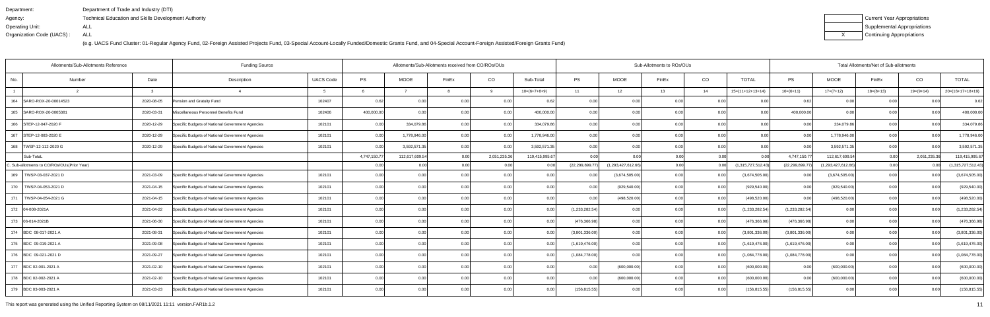| Department:               | Department of Trade and Industry (DTI)                      |
|---------------------------|-------------------------------------------------------------|
| Agency:                   | <b>Technical Education and Skills Development Authority</b> |
| Operating Unit:           | ALL                                                         |
| Organization Code (UACS): | ALL                                                         |

| Current Year Appropriations |
|-----------------------------|
| Supplemental Appropriations |
| Continuing Appropriations   |

| Allotments/Sub-Allotments Reference         | <b>Funding Source</b> |                                                  | Allotments/Sub-Allotments received from CO/ROs/OUs<br>Sub-Allotments to ROs/OUs |              |                |                |                   |                |                   |                   |                |      | Total Allotments/Net of Sub-allotments |                  |                       |             |                |                    |  |
|---------------------------------------------|-----------------------|--------------------------------------------------|---------------------------------------------------------------------------------|--------------|----------------|----------------|-------------------|----------------|-------------------|-------------------|----------------|------|----------------------------------------|------------------|-----------------------|-------------|----------------|--------------------|--|
| No.<br>Number                               | Date                  | Description                                      | <b>UACS Code</b>                                                                | PS           | MOOE           | FinEx          | CO                | Sub-Total      | PS                | MOOE              | FinEx          | CO   | <b>TOTAL</b>                           | PS               | <b>MOOE</b>           | FinEx       | CO             | <b>TOTAL</b>       |  |
|                                             |                       |                                                  |                                                                                 |              |                |                | 9                 | $10=(6+7+8+9)$ | 11                | 12                | 13             | 14   | $15=(11+12+13+14)$                     | $16=(6+11)$      | $17=(7+12)$           | $18=(8+13)$ | $19=(9+14)$    | $20=(16+17+18+19)$ |  |
| 164<br>SARO-ROX-20-00014523                 | 2020-08-05            | Pension and Gratuity Fund                        | 102407                                                                          | 0.62         | 0.00           |                |                   | 0.6            | 0.00              |                   | 0 <sub>0</sub> | 0.0  |                                        |                  | 0.00                  |             |                | 0.62               |  |
| 165 SARO-ROX-20-0005381                     | 2020-03-31            | Miscellaneous Personnel Benefits Fund            | 102406                                                                          | 400,000.00   | 0.00           | n no           | 0.00              | 400,000.00     | 0.00              | 0.00              | 0.00           | 0.00 | 0.00                                   | 400,000.00       | 0.00                  | 0.00        | 0.00           | 400,000.00         |  |
| 166 STEP-12-047-2020 F                      | 2020-12-29            | Specific Budgets of National Government Agencies | 102101                                                                          | 0.00         | 334,079.86     |                | 0.00              | 334,079.86     | 0.00              | 0.00              |                | 0.00 | 0.00                                   | 0.00             | 334,079.86            | 0.00        | 0 <sub>0</sub> | 334,079.86         |  |
| 167 STEP-12-083-2020 E                      | 2020-12-29            | Specific Budgets of National Government Agencies | 102101                                                                          | 0.00         | 1,778,946.00   |                | 0.00              | 1,778,946.00   | 0.00              | 0.00              | 0.00           | 0.00 | 0.00                                   | 0.00             | 1,778,946.00          | 0.00        | 0.00           | 1,778,946.00       |  |
| 168   TWSP-12-112-2020 G                    | 2020-12-29            | Specific Budgets of National Government Agencies | 102101                                                                          | 0.00         | 3,592,571.35   | 0.00           | 0.00              | 3,592,571.35   | 0.00              | 0.00              | 0.00           | 0.00 | 0.00                                   | 0.00             | 3,592,571.35          | 0.00        | 0.00           | 3,592,571.35       |  |
| Sub-TotaL                                   |                       |                                                  |                                                                                 | 4,747,150.77 | 112,617,609.54 | 0.00           | 2,051,235.36      | 119,415,995.67 | 0.00              | 0.00              | 0.00           | 0.00 | 0.00                                   | 4,747,150.77     | 112,617,609.54        | 0.00        | 2,051,235.3    | 119,415,995.67     |  |
| C. Sub-allotments to CO/ROs/OUs(Prior Year) |                       |                                                  |                                                                                 | 0.00         | 0.00           | 0.00           |                   |                | (22, 299, 899.77) | (1,293,427,612.66 | 0.00           |      | (1,315,727,512.43)                     | (22, 299, 899.7) | (1, 293, 427, 612.66) | 0.00        |                | 1,315,727,512.43)  |  |
| 169   TWSP-03-037-2021 D                    | 2021-03-09            | Specific Budgets of National Government Agencies | 102101                                                                          | 0.00         | 0.00           |                | 0.00              | 0.00           |                   | (3,674,505.00)    | 0.00           | 0.00 | (3,674,505.00)                         | 0.00             | (3,674,505.00)        | 0.00        | 0.00           | (3,674,505.00)     |  |
| 170<br>TWSP-04-053-2021 D                   | 2021-04-15            | Specific Budgets of National Government Agencies | 102101                                                                          | 0.00         | 0.00           |                | 0.00              | 0.00           | 0.00              | (929, 540.00)     | 0.00           | 0.00 | (929,540.00)                           | 0.00             | (929, 540.00)         | 0.00        | 0.00           | (929, 540.00)      |  |
| 171<br>TWSP-04-054-2021 G                   | 2021-04-15            | Specific Budgets of National Government Agencies | 102101                                                                          | 0.00         | 0.00           |                | 0.00              | 0.00           | 0.00              | (498, 520.00)     | n nn           | 0.00 | (498,520.00                            | 0.00             | (498, 520.00)         | 0.00        | 0.00           | (498, 520.00)      |  |
| 172 04-008-2021A                            | 2021-04-22            | Specific Budgets of National Government Agencies | 102101                                                                          | 0.00         | 0.00           |                |                   | 0 <sub>0</sub> | (1, 233, 282.54)  | 0.00              |                | 0.00 | (1, 233, 282.54)                       | (1,233,282.54)   | 0.00                  | 0.00        |                | (1,233,282.54)     |  |
| 173 06-014-2021B                            | 2021-06-30            | Specific Budgets of National Government Agencies | 102101                                                                          | 0.00         | 0.00           |                | 0.00              | 0.0            | (476,366.98       | 0.00              | ი ი            | 0.00 | (476,366.98)                           | (476, 366.98)    | 0.00                  | 0.00        | 0 <sub>0</sub> | (476, 366.98)      |  |
| 174 BDC 08-017-2021 A                       | 2021-08-31            | Specific Budgets of National Government Agencies | 102101                                                                          | 0.00         | 0.00           |                | 0.00 <sub>l</sub> | 0.00           | (3,801,336.00)    | 0.00              | 0.00           | 0.00 | (3,801,336.00)                         | (3,801,336.00)   | 0.00                  | 0.00        | 0.00           | (3,801,336.00)     |  |
| 175 BDC 09-019-2021 A                       | 2021-09-08            | Specific Budgets of National Government Agencies | 102101                                                                          | 0.00         | 0.00           |                | 0.00              | 0 <sub>0</sub> | (1,619,476.00)    | 0.00              | n nr           | 0.00 | (1,619,476.00)                         | (1,619,476.00)   | 0.00                  | 0.00        | 0 <sub>0</sub> | (1,619,476.00)     |  |
| 176 BDC 09-021-2021 D                       | 2021-09-27            | Specific Budgets of National Government Agencies | 102101                                                                          | 0.00         | 0.00           | 0 <sub>0</sub> | 0.00              | 0.00           | (1,084,778.00)    | 0.00              | ი იი           | 0.00 | (1,084,778.00)                         | (1,084,778.00)   | 0.00                  | 0.00        | 0.00           | (1,084,778.00)     |  |
| 177 BDC 02-001-2021 A                       | 2021-02-10            | Specific Budgets of National Government Agencies | 102101                                                                          | 0.00         | 0.00           |                |                   | 0 <sub>0</sub> |                   | (600,000.00)      |                | 0.00 | (600,000.00                            | 0.00             | (600,000.00)          | 0.00        |                | (600,000.00)       |  |
| 178 BDC 02-002-2021 A                       | 2021-02-10            | Specific Budgets of National Government Agencies | 102101                                                                          | 0.00         | 0.00           |                | 0.00              | 0.00           | 0.00              | (600,000.00)      |                | 0.00 | (600,000.00)                           | 0.00             | (600,000.00)          | 0.00        | 0 <sub>0</sub> | (600,000.00)       |  |
| 179 BDC 03-003-2021 A                       | 2021-03-23            | Specific Budgets of National Government Agencies | 102101                                                                          | 0.00         | 0.00           |                | 0.00 <sub>l</sub> | 0.00           | (156, 815.55)     | 0.00              | 0.00           | 0.00 | (156, 815.55)                          | (156, 815.55)    | 0.00                  | 0.00        | 0.00           | (156, 815.55)      |  |

This report was generated using the Unified Reporting System on 08/11/2021 11:11 version.FAR1b.1.2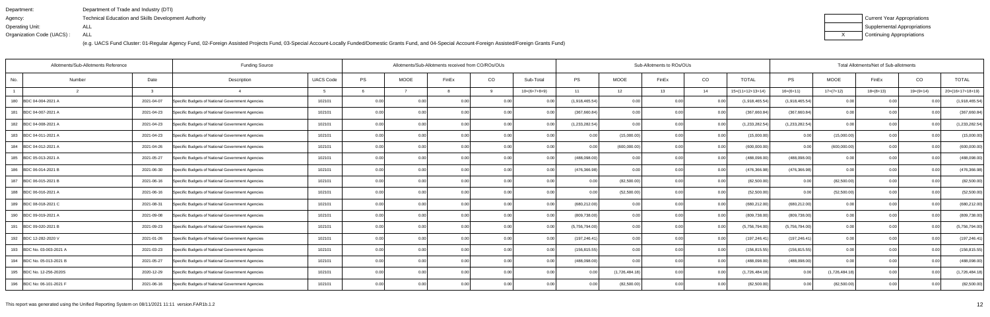| Department:               | Department of Trade and Industry (DTI)               |
|---------------------------|------------------------------------------------------|
| Agency:                   | Technical Education and Skills Development Authority |
| Operating Unit:           | ALL                                                  |
| Organization Code (UACS): | ALL                                                  |

| Current Year Appropriations |
|-----------------------------|
| Supplemental Appropriations |
| Continuing Appropriations   |

|     | Allotments/Sub-Allotments Reference |              | <b>Funding Source</b>                            | Allotments/Sub-Allotments received from CO/ROs/OUs |      |             |                |       |                | Sub-Allotments to ROs/OUs |                |       |      |                    | Total Allotments/Net of Sub-allotments | CO<br><b>TOTAL</b> |             |                |                    |
|-----|-------------------------------------|--------------|--------------------------------------------------|----------------------------------------------------|------|-------------|----------------|-------|----------------|---------------------------|----------------|-------|------|--------------------|----------------------------------------|--------------------|-------------|----------------|--------------------|
| No. | Number                              | Date         | Description                                      | <b>UACS Code</b>                                   | PS   | <b>MOOE</b> | FinEx          | CO    | Sub-Total      | <b>PS</b>                 | <b>MOOE</b>    | FinEx | CO   | <b>TOTAL</b>       | PS                                     | <b>MOOE</b>        | FinEx       |                |                    |
|     |                                     | $\mathbf{r}$ |                                                  |                                                    |      |             |                |       | $10=(6+7+8+9)$ | 11                        | 12             | 13    | 14   | $15=(11+12+13+14)$ | $16=(6+11)$                            | $17=(7+12)$        | $18=(8+13)$ | $19=(9+14)$    | $20=(16+17+18+19)$ |
| 180 | BDC 04-004-2021 A                   | 2021-04-07   | Specific Budgets of National Government Agencies | 102101                                             | 0.00 | 0.00        | 0.00           |       | 0.0            | (1,918,465.54)            | 0.00           |       | 0.0  | (1,918,465.54)     | (1,918,465.54)                         | 0.00               |             |                | (1,918,465.54)     |
| 181 | BDC 04-007-2021 A                   | 2021-04-23   | Specific Budgets of National Government Agencies | 102101                                             | 0.00 | 0.00        |                | 0.00  | 0 Q            | (367,660.84)              | 0.00           |       | 0.00 | (367,660.84        | (367,660.84)                           | 0.00               | 0.00        |                | (367,660.84)       |
|     | 182 BDC 04-008-2021 A               | 2021-04-23   | Specific Budgets of National Government Agencies | 102101                                             | 0.00 | 0.00        | 0 <sub>0</sub> | 0.00  | 0.00           | (1, 233, 282.54)          | 0.00           | ი იი  | 0.00 | (1,233,282.54)     | (1,233,282.54)                         | 0.00               | 0.00        | 0.00           | (1,233,282.54)     |
|     | 183 BDC 04-011-2021 A               | 2021-04-23   | Specific Budgets of National Government Agencies | 102101                                             | 0.00 | 0.00        | 0.00           | 0.001 | 0.00           | 0.00                      | (15,000.00)    | 0.00  | 0.00 | (15,000.00)        | 0.00                                   | (15,000.00)        | 0.00        | 0.00           | (15,000.00)        |
|     | 184 BDC 04-012-2021 A               | 2021-04-26   | Specific Budgets of National Government Agencies | 102101                                             | 0.00 | 0.00        | 0 <sub>0</sub> | 0.00  | 0.00           | 0.00                      | (600,000.00)   | ი იი  | 0.0  | (600,000.00)       | 0.00                                   | (600,000.00)       | 0.00        | 0 <sub>0</sub> | (600,000.00)       |
|     | 185 BDC 05-013-2021 A               | 2021-05-27   | Specific Budgets of National Government Agencies | 102101                                             | 0.00 | 0.00        | 0.00           | 0.00  | 0.00           | (488,098.00               | 0.00           | 0.00  | 0.00 | (488,098.00        | (488,098.00)                           | 0.00               | 0.00        | 0.00           | (488,098.00)       |
|     | 186 BDC 06-014-2021 B               | 2021-06-30   | Specific Budgets of National Government Agencies | 102101                                             | 0.00 | 0.00        | 0.00           | 0.00  | 0.00           | (476, 366.98)             | 0.00           | 0.00  | 0.00 | (476,366.98)       | (476, 366.98)                          | 0.00               | 0.00        | 0.00           | (476, 366.98)      |
|     | 187 BDC 06-015-2021 B               | 2021-06-16   | Specific Budgets of National Government Agencies | 102101                                             | 0.00 | 0.00        | 0.00           | 0.00  | 0.00           |                           | (82,500.00)    | n nn  | 0.0  | (82,500.00)        | 0.00                                   | (82,500.00)        | 0.00        | 0.00           | (82,500.00)        |
|     | 188 BDC 06-016-2021 A               | 2021-06-16   | Specific Budgets of National Government Agencies | 102101                                             | 0.00 | 0.00        | 0.00           | 0.001 | 0.00           | 0.00                      | (52,500.00)    | 0.00  | 0.00 | (52,500.00)        | 0.00                                   | (52,500.00)        | 0.00        | 0.00           | (52,500.00)        |
|     | 189 BDC 08-018-2021 C               | 2021-08-31   | Specific Budgets of National Government Agencies | 102101                                             | 0.00 | 0.00        | 0.00           | 0.00  | 0.00           | (680, 212.00)             | 0.00           | 0.00  | 0.00 | (680,212.00)       | (680, 212.00)                          | 0.00               | 0.00        | 0.00           | (680, 212.00)      |
|     | 190 BDC 09-019-2021 A               | 2021-09-08   | Specific Budgets of National Government Agencies | 102101                                             | 0.00 | 0.00        | 0.00           |       | 0.00           | (809, 738.00)             | 0.00           | 0.00  | 0.0  | (809,738.00        | (809, 738.00)                          | 0.00               | 0.00        | 0.00           | (809, 738.00)      |
|     | 191 BDC 09-020-2021 B               | 2021-09-23   | Specific Budgets of National Government Agencies | 102101                                             | 0.00 | 0.00        | 0 <sub>0</sub> | 0.00  | 0 Q            | (5,756,794.00)            | 0.00           | n nr  | 0.0  | (5,756,794.00)     | (5,756,794.00)                         | 0.00               | 0.00        |                | (5,756,794.00)     |
|     | 192 BDC 12-282-2020 V               | 2021-01-26   | Specific Budgets of National Government Agencies | 102101                                             | 0.00 | 0.00        | 0.00           |       | 0.00           | (197,246.41               | 0.00           | 0 Q   | 0.00 | (197, 246.41)      | (197, 246.41)                          | 0.00               | 0.00        | 0.00           | (197, 246.41)      |
|     | 193 BDC No. 03-003-2021 A           | 2021-03-23   | Specific Budgets of National Government Agencies | 102101                                             | 0.00 | 0.00        | 0.00           | 0.00  | 0.00           | (156, 815.55)             | 0.00           | ი იი  | 0.0  | (156, 815.55)      | (156, 815.55)                          | 0.00               | 0.00        | 0.00           | (156, 815.55)      |
|     | 194 BDC No. 05-013-2021 B           | 2021-05-27   | Specific Budgets of National Government Agencies | 102101                                             | 0.00 | 0.00        | 0 <sub>0</sub> | 0.00  |                | (488,098.00)              | 0.00           | n nn  | 0.0  | (488,098.0         | (488,098.00)                           | 0.00               | 0.00        |                | (488,098.00)       |
|     | 195 BDC No. 12-256-2020S            | 2020-12-29   | Specific Budgets of National Government Agencies | 102101                                             | 0.00 | 0.00        |                | 0.00  |                |                           | (1,726,484.18) |       | 0.00 | (1,726,484.18)     | 0.00                                   | (1,726,484.18)     | 0.00        |                | (1,726,484.18)     |
|     | 196 BDC No: 06-101-2021 F           | 2021-06-16   | Specific Budgets of National Government Agencies | 102101                                             | 0.00 | 0.00        |                | 0.00  | 0.00           | 0.00                      | (82,500.00)    | ი იი  |      | (82,500.00)        | 0.001                                  | (82,500.00)        | 0.00        |                | (82,500.00)        |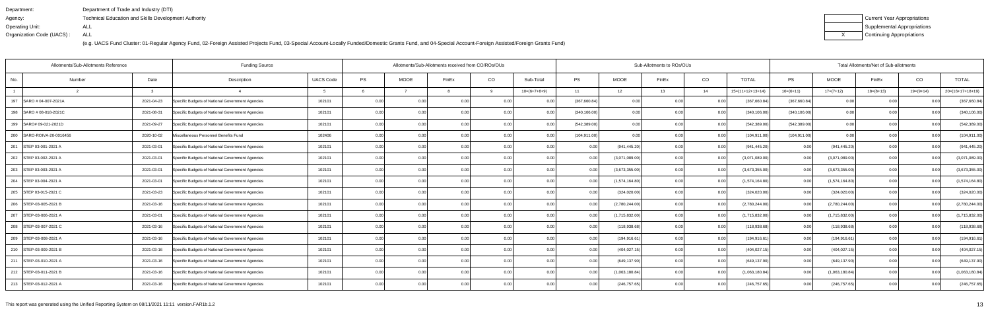| Department:               | Department of Trade and Industry (DTI)                      |
|---------------------------|-------------------------------------------------------------|
| Agency:                   | <b>Technical Education and Skills Development Authority</b> |
| Operating Unit:           | ALL                                                         |
| Organization Code (UACS): | ALL                                                         |

| Current Year Appropriations |
|-----------------------------|
| Supplemental Appropriations |
| Continuing Appropriations   |

| Allotments/Sub-Allotments Reference |            | <b>Funding Source</b>                            |                  |      | Allotments/Sub-Allotments received from CO/ROs/OUs |                |                   | Sub-Allotments to ROs/OUs |               |                |       |      | Total Allotments/Net of Sub-allotments |               |                |             |                |                    |
|-------------------------------------|------------|--------------------------------------------------|------------------|------|----------------------------------------------------|----------------|-------------------|---------------------------|---------------|----------------|-------|------|----------------------------------------|---------------|----------------|-------------|----------------|--------------------|
| No.<br>Number                       | Date       | Description                                      | <b>UACS Code</b> | PS   | MOOE                                               | FinEx          | CO                | Sub-Total                 | <b>PS</b>     | <b>MOOE</b>    | FinEx | CO   | <b>TOTAL</b>                           | PS            | <b>MOOE</b>    | FinEx       | CO             | <b>TOTAL</b>       |
|                                     |            |                                                  |                  |      |                                                    |                | <b>Q</b>          | $10=(6+7+8+9)$            | 11            | 12             | 13    | 14   | $15=(11+12+13+14)$                     | $16=(6+11)$   | $17=(7+12)$    | $18=(8+13)$ | $19=(9+14)$    | $20=(16+17+18+19)$ |
| 197 SARO # 04-007-2021A             | 2021-04-23 | Specific Budgets of National Government Agencies | 102101           | 0.00 | 0.00                                               |                |                   | 0 <sub>0</sub>            | (367,660.84   | 0.00           | 0.00  |      | (367,660.84                            | (367,660.84)  | 0.00           | 0.00        |                | (367,660.84)       |
| 198 SARO # 08-018-2021C             | 2021-08-31 | Specific Budgets of National Government Agencies | 102101           | 0.00 | 0.00                                               |                | 0.00              | 0 <sub>0</sub>            | (340, 106.00) | 0.00           |       | 0.00 | (340, 106.00)                          | (340, 106.00) | 0.00           | 0.00        |                | (340, 106.00)      |
| 199 SARO# 09-021-2021D              | 2021-09-27 | Specific Budgets of National Government Agencies | 102101           | 0.00 | 0.00                                               |                |                   | 0 <sub>0</sub>            | (542, 389.00) | 0.00           | ი იი  | 0.00 | (542,389.00                            | (542, 389.00) | 0.00           | 0.00        |                | (542, 389.00)      |
| 200 SARO-ROIVA-20-0016456           | 2020-10-02 | Miscellaneous Personnel Benefits Fund            | 102406           | 0.00 | 0.00                                               |                | 0.00 <sub>l</sub> | 0.0                       | (104, 911.00) | 0.00           | 0.00  | 0.00 | (104, 911.00                           | (104, 911.00) | 0.00           | 0.00        |                | (104, 911.00)      |
| 201 STEP 03-001-2021 A              | 2021-03-01 | Specific Budgets of National Government Agencies | 102101           | 0.00 | 0.00                                               |                | 0.00              | 0.00                      |               | (941, 445.20)  | 0.00  | 0.00 | (941,445.20                            | 0.00          | (941, 445.20)  | 0.00        |                | (941, 445.20)      |
| 202 STEP 03-002-2021 A              | 2021-03-01 | Specific Budgets of National Government Agencies | 102101           | 0.00 | 0.00                                               |                | 0.00              | 0.00                      | 0.00          | (3,071,089.00) | 0.00  | 0.00 | (3,071,089.00)                         | 0.00          | (3,071,089.00) | 0.00        | 0 <sub>0</sub> | (3,071,089.00)     |
| 203 STEP 03-003-2021 A              | 2021-03-01 | Specific Budgets of National Government Agencies | 102101           | 0.00 | 0.00                                               | 0.00           | 0.001             | 0.00                      | 0.00          | (3,673,355.00) | 0.00  | 0.00 | (3,673,355.00)                         | 0.00          | (3,673,355.00) | 0.00        | 0.00           | (3,673,355.00)     |
| 204 STEP 03-004-2021 A              | 2021-03-01 | Specific Budgets of National Government Agencies | 102101           | 0.00 | 0.00                                               |                |                   | 0.00                      |               | (1,574,164.80) | 0.00  | 0.00 | (1,574,164.80)                         | 0.00          | (1,574,164.80) | 0.00        |                | (1,574,164.80)     |
| 205 STEP 03-015-2021 C              | 2021-03-23 | Specific Budgets of National Government Agencies | 102101           | 0.00 | 0.00                                               | 0 <sub>0</sub> | 0.001             | 0.00                      | 0.00          | (324, 020.00)  | 0.00  | 0.00 | (324, 020.00)                          | 0.00          | (324, 020.00)  | 0.00        | 0.00           | (324, 020.00)      |
| 206 STEP-03-005-2021 B              | 2021-03-16 | Specific Budgets of National Government Agencies | 102101           | 0.00 | 0.00                                               | 0.00           | 0.00 <sub>l</sub> | 0.00                      | 0.00          | (2,780,244.00) | 0.00  | 0.00 | (2,780,244.00)                         | 0.00          | (2,780,244.00) | 0.00        | 0.00           | (2,780,244.00)     |
| 207 STEP-03-006-2021 A              | 2021-03-01 | Specific Budgets of National Government Agencies | 102101           | 0.00 | 0.00                                               | 0.00           | 0.00              | 0.00                      |               | (1,715,832.00) | 0.00  | 0.00 | (1,715,832.00)                         | 0.00          | (1,715,832.00) | 0.00        | 0 <sub>0</sub> | (1,715,832.00)     |
| 208 STEP-03-007-2021 C              | 2021-03-16 | Specific Budgets of National Government Agencies | 102101           | 0.00 | 0.00                                               |                | 0.00              | 0 <sub>0</sub>            | 0.00          | (118, 938.68)  | 0.00  | 0.00 | (118,938.68)                           | 0.00          | (118,938.68)   | 0.00        | 0 <sub>0</sub> | (118, 938.68)      |
| 209 STEP-03-008-2021 A              | 2021-03-16 | Specific Budgets of National Government Agencies | 102101           | 0.00 | 0.00                                               | 0.00           | 0.001             | 0.00                      | 0.00          | (194, 916.61)  | 0.00  | 0.00 | (194,916.61                            | 0.00          | (194, 916.61)  | 0.00        | 0.00           | (194, 916.61)      |
| 210 STEP-03-009-2021 B              | 2021-03-16 | Specific Budgets of National Government Agencies | 102101           | 0.00 | 0.00                                               | 0.00           | 0.00              | 0.00                      | 0.00          | (404, 027.15)  | 0.00  | 0.00 | (404,027.15                            | 0.00          | (404, 027.15)  | 0.00        | 0.00           | (404, 027.15)      |
| 211 STEP-03-010-2021 A              | 2021-03-16 | Specific Budgets of National Government Agencies | 102101           | 0.00 | 0.00                                               |                | 0.00              | 0.00                      | 0.00          | (649, 137.90)  | 0.00  | 0.00 | (649,137.90                            | 0.00          | (649, 137.90)  | 0.00        |                | (649, 137.90)      |
| 212 STEP-03-011-2021 B              | 2021-03-16 | Specific Budgets of National Government Agencies | 102101           | 0.00 | 0.00                                               |                | 0.001             | 0.00                      | 0.00          | (1,063,180.84) | 0.00  | 0.00 | (1,063,180.84)                         | 0.00          | (1,063,180.84) | 0.00        |                | (1,063,180.84)     |
| 213 STEP-03-012-2021 A              | 2021-03-16 | Specific Budgets of National Government Agencies | 102101           | 0.00 | 0.00                                               | n no           | 0.00 <sub>l</sub> | 0.00                      | 0.00          | (246, 757.65)  | 0.00  | 0.00 | (246, 757.65)                          | 0.00          | (246, 757.65)  | 0.00        |                | (246, 757.65)      |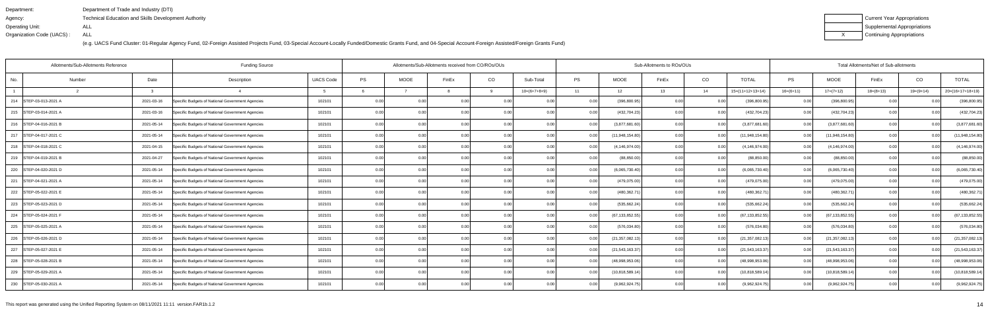| Department:               | Department of Trade and Industry (DTI)                      |
|---------------------------|-------------------------------------------------------------|
| Agency:                   | <b>Technical Education and Skills Development Authority</b> |
| Operating Unit:           | ALL                                                         |
| Organization Code (UACS): | ALL                                                         |

| Current Year Appropriations |
|-----------------------------|
| Supplemental Appropriations |
| Continuing Appropriations   |

| PS<br>PS<br>CO<br><b>PS</b><br><b>MOOE</b><br>CO<br><b>UACS Code</b><br><b>MOOE</b><br>Sub-Total<br><b>TOTAL</b><br><b>MOOE</b><br>Date<br>FinEx<br>FinEx<br>No.<br>Description<br>FinEx<br>Number<br>$10=(6+7+8+9)$<br>$16=(6+11)$<br>11<br>13<br>14<br>$15=(11+12+13+14)$<br>$17=(7+12)$<br>$18=(8+13)$<br>q<br>12<br>$\mathbf{B}$<br>STEP-03-013-2021 A<br>2021-03-16<br>Specific Budgets of National Government Agencies<br>102101<br>0.00<br>(396,800.95<br>0.00<br>(396, 800.95)<br>214<br>0.0<br>0.00<br>(396, 800.95)<br>0.00<br>2021-03-16<br>102101<br>0.00<br>(432, 704.23)<br>(432, 704.23)<br>0.00<br>(432, 704.23)<br>215 STEP-03-014-2021 A<br>Specific Budgets of National Government Agencies<br>0.00 <sub>l</sub><br>0.00<br>0.00<br>0.00<br>0.00<br>0.00<br>102101<br>0.00<br>(3,877,681.60)<br>(3,877,681.60)<br>2021-05-14<br>0.00<br>0.00<br>0.00<br>0.00<br>0.00<br>0.00<br>(3,877,681.60)<br>0.00<br>216 STEP-04-016-2021 B<br>Specific Budgets of National Government Agencies<br>0.00<br>0.00<br>0.00<br>102101<br>(11,948,154.80)<br>(11,948,154.80)<br>217 STEP-04-017-2021 C<br>2021-05-14<br>0.00<br>0.00<br>0.00<br>0.00<br>0.00<br>(11,948,154.80)<br>Specific Budgets of National Government Agencies<br>0.00<br>0.00<br>0.00<br>102101<br>0.00<br>(4, 146, 974.00)<br>0.00<br>(4, 146, 974.00)<br>(4, 146, 974.00)<br>218 STEP-04-018-2021 C<br>2021-04-15<br>Specific Budgets of National Government Agencies<br>0.00<br>0.00<br>0.00<br>0.00<br>0.00<br>0.00<br>0.00<br>0 <sub>0</sub> | Total Allotments/Net of Sub-allotments |                   |  |  |  |
|----------------------------------------------------------------------------------------------------------------------------------------------------------------------------------------------------------------------------------------------------------------------------------------------------------------------------------------------------------------------------------------------------------------------------------------------------------------------------------------------------------------------------------------------------------------------------------------------------------------------------------------------------------------------------------------------------------------------------------------------------------------------------------------------------------------------------------------------------------------------------------------------------------------------------------------------------------------------------------------------------------------------------------------------------------------------------------------------------------------------------------------------------------------------------------------------------------------------------------------------------------------------------------------------------------------------------------------------------------------------------------------------------------------------------------------------------------------------------------------------------------------------------|----------------------------------------|-------------------|--|--|--|
|                                                                                                                                                                                                                                                                                                                                                                                                                                                                                                                                                                                                                                                                                                                                                                                                                                                                                                                                                                                                                                                                                                                                                                                                                                                                                                                                                                                                                                                                                                                            | CO<br><b>TOTAL</b>                     |                   |  |  |  |
|                                                                                                                                                                                                                                                                                                                                                                                                                                                                                                                                                                                                                                                                                                                                                                                                                                                                                                                                                                                                                                                                                                                                                                                                                                                                                                                                                                                                                                                                                                                            | $20=(16+17+18+19)$<br>$19=(9+14)$      |                   |  |  |  |
|                                                                                                                                                                                                                                                                                                                                                                                                                                                                                                                                                                                                                                                                                                                                                                                                                                                                                                                                                                                                                                                                                                                                                                                                                                                                                                                                                                                                                                                                                                                            |                                        | (396, 800.95)     |  |  |  |
|                                                                                                                                                                                                                                                                                                                                                                                                                                                                                                                                                                                                                                                                                                                                                                                                                                                                                                                                                                                                                                                                                                                                                                                                                                                                                                                                                                                                                                                                                                                            | 0.00                                   | (432, 704.23)     |  |  |  |
|                                                                                                                                                                                                                                                                                                                                                                                                                                                                                                                                                                                                                                                                                                                                                                                                                                                                                                                                                                                                                                                                                                                                                                                                                                                                                                                                                                                                                                                                                                                            | 0.00                                   | (3,877,681.60)    |  |  |  |
|                                                                                                                                                                                                                                                                                                                                                                                                                                                                                                                                                                                                                                                                                                                                                                                                                                                                                                                                                                                                                                                                                                                                                                                                                                                                                                                                                                                                                                                                                                                            | 0.00                                   | (11,948,154.80)   |  |  |  |
|                                                                                                                                                                                                                                                                                                                                                                                                                                                                                                                                                                                                                                                                                                                                                                                                                                                                                                                                                                                                                                                                                                                                                                                                                                                                                                                                                                                                                                                                                                                            |                                        | (4, 146, 974.00)  |  |  |  |
| 102101<br>0.00<br>0.00<br>219   STEP-04-019-2021 B<br>2021-04-27<br>Specific Budgets of National Government Agencies<br>0.00<br>0.00<br>0.00<br>(88, 850.00)<br>0.00<br>(88, 850.00)<br>0.00<br>(88, 850.00)<br>0 <sub>0</sub>                                                                                                                                                                                                                                                                                                                                                                                                                                                                                                                                                                                                                                                                                                                                                                                                                                                                                                                                                                                                                                                                                                                                                                                                                                                                                             | 0.00<br>0.00                           | (88, 850.00)      |  |  |  |
| 102101<br>0.00<br>0.00<br>0.00<br>(6,065,730.40)<br>0.00<br>(6,065,730.40)<br>0.00<br>(6,065,730.40)<br>220 STEP-04-020-2021 D<br>2021-05-14<br>Specific Budgets of National Government Agencies<br>0.00<br>0.00<br>0.00<br>0.00                                                                                                                                                                                                                                                                                                                                                                                                                                                                                                                                                                                                                                                                                                                                                                                                                                                                                                                                                                                                                                                                                                                                                                                                                                                                                           | 0.00                                   | (6,065,730.40)    |  |  |  |
| 0.00<br>(479, 075.00)<br>(479, 075.00)<br>221 STEP-04-021-2021 A<br>2021-05-14<br>102101<br>0.00<br>0.00<br>0.00<br>0.00<br>0.00<br>(479, 075.00)<br>0.00<br>Specific Budgets of National Government Agencies<br>$\Omega$<br>0.00                                                                                                                                                                                                                                                                                                                                                                                                                                                                                                                                                                                                                                                                                                                                                                                                                                                                                                                                                                                                                                                                                                                                                                                                                                                                                          | n no                                   | (479, 075.00)     |  |  |  |
| 0.00<br>(480,362.71<br>(480,362.71<br>102101<br>(480, 362.7)<br>222 STEP-05-022-2021 E<br>2021-05-14<br>Specific Budgets of National Government Agencies<br>0.00<br>0.00<br>0.00<br>0.00<br>0.00<br>0.00<br>0.00                                                                                                                                                                                                                                                                                                                                                                                                                                                                                                                                                                                                                                                                                                                                                                                                                                                                                                                                                                                                                                                                                                                                                                                                                                                                                                           |                                        | (480, 362.71)     |  |  |  |
| 0.00<br>(535, 662.24)<br>(535, 662.24)<br>2021-05-14<br>102101<br>0.00<br>0.00<br>0.00<br>0.00<br>0.00<br>(535, 662.24)<br>223 STEP-05-023-2021 D<br>Specific Budgets of National Government Agencies<br>0.00<br>0.00<br>0.00<br>0.00                                                                                                                                                                                                                                                                                                                                                                                                                                                                                                                                                                                                                                                                                                                                                                                                                                                                                                                                                                                                                                                                                                                                                                                                                                                                                      | 0.00                                   | (535, 662.24)     |  |  |  |
| 224 STEP-05-024-2021 F<br>102101<br>0.00<br>(67,133,852.55<br>(67, 133, 852.55)<br>(67, 133, 852.55)<br>2021-05-14<br>Specific Budgets of National Government Agencies<br>0.00<br>0.00<br>0.00<br>0.00<br>0.00<br>0.00                                                                                                                                                                                                                                                                                                                                                                                                                                                                                                                                                                                                                                                                                                                                                                                                                                                                                                                                                                                                                                                                                                                                                                                                                                                                                                     |                                        | (67, 133, 852.55) |  |  |  |
| 0.00<br>(576, 034.80)<br>225<br>STEP-05-025-2021 A<br>2021-05-14<br>Specific Budgets of National Government Agencies<br>102101<br>(576, 034.80)<br>0.00<br>(576, 034.80)<br>0.00<br>0.00<br>0.00<br>0.00<br>0.00<br>0.00                                                                                                                                                                                                                                                                                                                                                                                                                                                                                                                                                                                                                                                                                                                                                                                                                                                                                                                                                                                                                                                                                                                                                                                                                                                                                                   |                                        | (576, 034.80)     |  |  |  |
| (21,357,082.13<br>(21, 357, 082.13)<br>226 STEP-05-026-2021 D<br>2021-05-14<br>Specific Budgets of National Government Agencies<br>102101<br>0.00<br>0.00<br>0.00<br>0.00<br>0.00<br>(21, 357, 082.13)<br>0.00<br>0.00<br>0.00                                                                                                                                                                                                                                                                                                                                                                                                                                                                                                                                                                                                                                                                                                                                                                                                                                                                                                                                                                                                                                                                                                                                                                                                                                                                                             | 0.00                                   | (21, 357, 082.13) |  |  |  |
| 0.00<br>(21, 543, 163.37)<br>(21, 543, 163.37)<br>(21, 543, 163.37)<br>227 STEP-05-027-2021 E<br>2021-05-14<br>Specific Budgets of National Government Agencies<br>102101<br>0.00<br>0.00<br>0.00<br>0.00<br>0.00<br>0.00<br>0.00                                                                                                                                                                                                                                                                                                                                                                                                                                                                                                                                                                                                                                                                                                                                                                                                                                                                                                                                                                                                                                                                                                                                                                                                                                                                                          |                                        | (21, 543, 163.37) |  |  |  |
| 0.00<br>(48,998,953.06<br>(48,998,953.06)<br>102101<br>0.00<br>(48,998,953.06)<br>228 STEP-05-028-2021 B<br>2021-05-14<br>Specific Budgets of National Government Agencies<br>0.00<br>0.00<br>0.00<br>0.00<br>0.00<br>0.00                                                                                                                                                                                                                                                                                                                                                                                                                                                                                                                                                                                                                                                                                                                                                                                                                                                                                                                                                                                                                                                                                                                                                                                                                                                                                                 |                                        | (48,998,953.06)   |  |  |  |
| 102101<br>0.00<br>(10,818,589.14<br>(10,818,589.14)<br>(10,818,589.14)<br>229 STEP-05-029-2021 A<br>2021-05-14<br>Specific Budgets of National Government Agencies<br>0.00<br>0.00<br>0.00<br>0.00<br>0.00<br>0.00<br>0.00                                                                                                                                                                                                                                                                                                                                                                                                                                                                                                                                                                                                                                                                                                                                                                                                                                                                                                                                                                                                                                                                                                                                                                                                                                                                                                 |                                        | (10,818,589.14)   |  |  |  |
| 102101<br>0.00<br>(9,962,924.75)<br>(9,962,924.75)<br>(9,962,924.75)<br>230 STEP-05-030-2021 A<br>2021-05-14<br>Specific Budgets of National Government Agencies<br>0.001<br>0.00<br>0.00<br>0.00<br>0.00<br>0.00                                                                                                                                                                                                                                                                                                                                                                                                                                                                                                                                                                                                                                                                                                                                                                                                                                                                                                                                                                                                                                                                                                                                                                                                                                                                                                          |                                        | (9,962,924.75)    |  |  |  |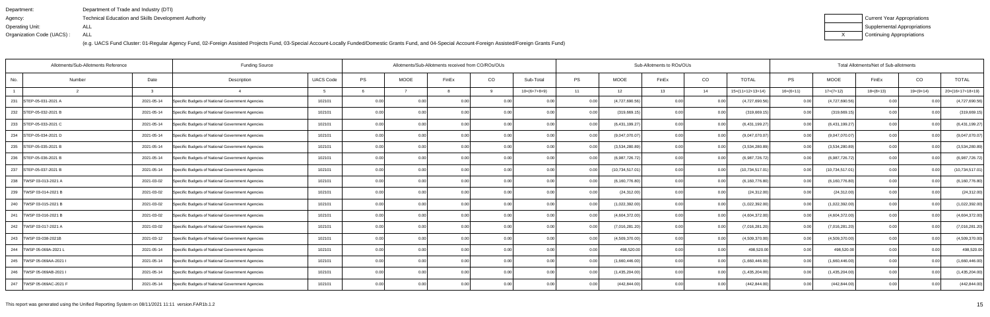| Department:               | Department of Trade and Industry (DTI)               |
|---------------------------|------------------------------------------------------|
| Agency:                   | Technical Education and Skills Development Authority |
| Operating Unit:           | ALL                                                  |
| Organization Code (UACS): | ALL                                                  |

| Current Year Appropriations |
|-----------------------------|
| Supplemental Appropriations |
| Continuing Appropriations   |

| Allotments/Sub-Allotments Reference |        |            | <b>Funding Source</b>                            | Allotments/Sub-Allotments received from CO/ROs/OUs |      |             |                |       |                | Sub-Allotments to ROs/OUs |                   |       |       |                    |                   | Total Allotments/Net of Sub-allotments |             |                |                    |  |  |
|-------------------------------------|--------|------------|--------------------------------------------------|----------------------------------------------------|------|-------------|----------------|-------|----------------|---------------------------|-------------------|-------|-------|--------------------|-------------------|----------------------------------------|-------------|----------------|--------------------|--|--|
| No.                                 | Number | Date       | Description                                      | <b>UACS Code</b>                                   | PS   | <b>MOOE</b> | FinEx          | CO    | Sub-Total      | <b>PS</b>                 | MOOE              | FinEx | CO    | <b>TOTAL</b>       | PS                | <b>MOOE</b>                            | FinEx       | CO             | <b>TOTAL</b>       |  |  |
|                                     |        | ູ          |                                                  |                                                    |      |             |                |       | $10=(6+7+8+9)$ | 11                        | 12                | 13    | 14    | $15=(11+12+13+14)$ | $16=(6+11)$       | $17=(7+12)$                            | $18=(8+13)$ | $19=(9+14)$    | $20=(16+17+18+19)$ |  |  |
| 231<br>STEP-05-031-2021 A           |        | 2021-05-14 | Specific Budgets of National Government Agencies | 102101                                             | 0.00 | 0.00        | 0.00           | 0.00  | 0.00           | 0.00                      | (4,727,690.56)    | 0.00  | 0.0   | (4,727,690.56)     | 0.00              | (4,727,690.56)                         | 0.00        |                | (4,727,690.56)     |  |  |
| 232 STEP-05-032-2021 B              |        | 2021-05-14 | Specific Budgets of National Government Agencies | 102101                                             | 0.00 | 0.00        |                | 0.00  | 0.00           | 0.00                      | (319, 669.19)     | 0.00  | 0.00  | (319, 669.19)      | 0.00 <sub>l</sub> | (319, 669.15)                          | 0.00        | 0 <sub>0</sub> | (319, 669.15)      |  |  |
| 233 STEP-05-033-2021 C              |        | 2021-05-14 | Specific Budgets of National Government Agencies | 102101                                             | 0.00 | 0.00        | 0 <sub>0</sub> | 0.00  | 0.00           | 0.00                      | (6,431,199.27)    | 0.00  | 0.00  | (6,431,199.27      | 0.00              | (6,431,199.27)                         | 0.00        | 0.00           | (6,431,199.27)     |  |  |
| 234 STEP-05-034-2021 D              |        | 2021-05-14 | Specific Budgets of National Government Agencies | 102101                                             | 0.00 | 0.00        | 0.00           | 0.00  | 0.00           | 0.00                      | (9,047,070.07)    | 0.00  | 0.0   | (9,047,070.07)     | 0.00              | (9,047,070.07)                         | 0.00        | 0.00           | (9,047,070.07)     |  |  |
| 235 STEP-05-035-2021 B              |        | 2021-05-14 | Specific Budgets of National Government Agencies | 102101                                             | 0.00 |             | $\Omega$       | 0.00  | 0.00           | 0.00                      | (3,534,280.89)    | 0.OC  | 0.0   | (3,534,280.89)     | 0.00              | (3,534,280.89)                         | 0.00        | 0 <sub>0</sub> | (3,534,280.89)     |  |  |
| 236 STEP-05-036-2021 B              |        | 2021-05-14 | Specific Budgets of National Government Agencies | 102101                                             | 0.00 |             |                | 0.00  | 0.00           |                           | (6,987,726.72)    | 0.OC  | 0.0   | (6,987,726.72)     | 0.00              | (6,987,726.72)                         | 0.00        | 0.00           | (6,987,726.72)     |  |  |
| 237 STEP-05-037-2021 B              |        | 2021-05-14 | Specific Budgets of National Government Agencies | 102101                                             | 0.00 | 0.00        | 0.00           | 0.00  | 0.00           | 0.00                      | (10, 734, 517.01) | 0.00  | 0.00  | (10,734,517.01     | 0.00              | (10,734,517.01)                        | 0.00        | 0.00           | (10,734,517.01)    |  |  |
| 238   TWSP 03-013-2021 A            |        | 2021-03-02 | Specific Budgets of National Government Agencies | 102101                                             | 0.00 |             |                | 0.00  | 0.00           |                           | (6, 160, 776.80)  | n nr  | 0.0   | (6, 160, 776.80)   | 0.00              | (6, 160, 776.80)                       | 0.00        |                | (6, 160, 776.80)   |  |  |
| 239   TWSP 03-014-2021 B            |        | 2021-03-02 | Specific Budgets of National Government Agencies | 102101                                             | 0.00 | 0.00        |                | 0.00  | 0.00           | 0.00                      | (24, 312.00)      | n nc  | 0.00  | (24, 312.00)       | 0.00              | (24, 312.00)                           | 0.00        |                | (24, 312.00)       |  |  |
| 240   TWSP 03-015-2021 B            |        | 2021-03-02 | Specific Budgets of National Government Agencies | 102101                                             | 0.00 | 0.00        | 0.00           | 0.00  | 0.00           | 0.00 l                    | (1,022,392.00)    | 0.00  | 0.00  | (1,022,392.00)     | 0.00 <sub>l</sub> | (1,022,392.00)                         | 0.00        | 0.00           | (1,022,392.00)     |  |  |
| 241   TWSP 03-016-2021 B            |        | 2021-03-02 | Specific Budgets of National Government Agencies | 102101                                             | 0.00 |             |                |       |                |                           | (4,604,372.00)    | 0.00  | 0.0   | (4,604,372.00)     | 0.00              | (4,604,372.00)                         | 0.00        | 0 <sub>0</sub> | (4,604,372.00)     |  |  |
| 242   TWSP 03-017-2021 A            |        | 2021-03-02 | Specific Budgets of National Government Agencies | 102101                                             | 0.00 | 0.00        |                | 0.00  |                | 0.00                      | (7,016,281.20)    | n nr  | 0.0   | (7,016,281.20)     | 0.00              | (7,016,281.20)                         | 0.00        |                | (7,016,281.20)     |  |  |
| 243   TWSP 03-038-2021B             |        | 2021-03-12 | Specific Budgets of National Government Agencies | 102101                                             | 0.00 | 0.00        | 0.00           | 0.00  | 0.00           | 0.00                      | (4,509,370.00)    | 0.00  | 0.00  | (4,509,370.00)     | 0.00              | (4,509,370.00)                         | 0.00        | 0.00           | (4,509,370.00)     |  |  |
| 244   TWSP 05-069A-2021 L           |        | 2021-05-14 | Specific Budgets of National Government Agencies | 102101                                             | 0.00 | 0.00        | 0.0(           | 0.00  |                |                           | 498,520.0         | 0.00  | . O O | 498,520.00         | 0.00              | 498,520.00                             | 0.00        | 0 <sub>0</sub> | 498,520.00         |  |  |
| 245   TWSP 05-069AA-2021 I          |        | 2021-05-14 | Specific Budgets of National Government Agencies | 102101                                             | 0.00 | 0.00        |                | 0.00  | 0.00           | 0.00                      | (1,660,446.00)    | 0.00  | 0.0   | (1,660,446.00)     | 0.00              | (1,660,446.00)                         | 0.00        |                | (1,660,446.00)     |  |  |
| 246   TWSP 05-069AB-2021            |        | 2021-05-14 | Specific Budgets of National Government Agencies | 102101                                             | 0.00 | 0.00        |                | 0.00  |                |                           | (1,435,204.00)    | n nc  | 0.00  | (1,435,204.00)     | 0.00              | (1,435,204.00)                         | 0.00        |                | (1,435,204.00)     |  |  |
| 247   TWSP 05-069AC-2021 F          |        | 2021-05-14 | Specific Budgets of National Government Agencies | 102101                                             | 0.00 | 0.00        | 0.00           | 0.001 | 0.00           |                           | (442, 844.00)     | 0.00  |       | (442, 844.00)      | 0.001             | (442, 844.00)                          | 0.00        |                | (442, 844.00)      |  |  |
|                                     |        |            |                                                  |                                                    |      |             |                |       |                |                           |                   |       |       |                    |                   |                                        |             |                |                    |  |  |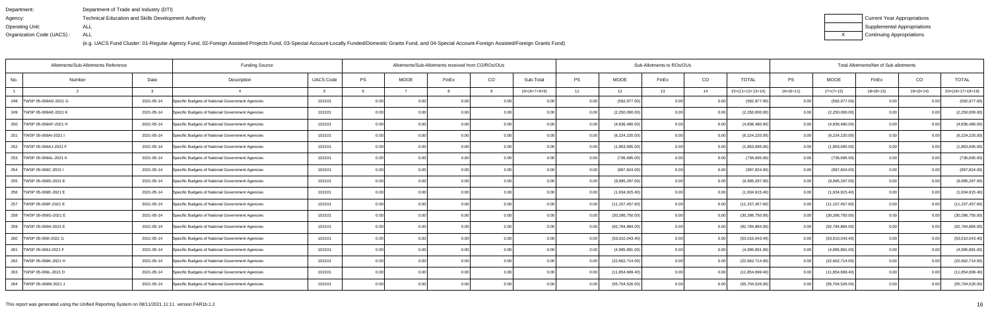| Department:               | Department of Trade and Industry (DTI)                      |
|---------------------------|-------------------------------------------------------------|
| Agency:                   | <b>Technical Education and Skills Development Authority</b> |
| Operating Unit:           | ALL                                                         |
| Organization Code (UACS): | ALL                                                         |

| Current Year Appropriations |
|-----------------------------|
| Supplemental Appropriations |
| Continuing Appropriations   |

| Allotments/Sub-Allotments Reference |               | <b>Funding Source</b>                            |                  |      | Allotments/Sub-Allotments received from CO/ROs/OUs |                |       |                |      | Sub-Allotments to ROs/OUs |       | Total Allotments/Net of Sub-allotments |                    |             |                   |             |                |                    |
|-------------------------------------|---------------|--------------------------------------------------|------------------|------|----------------------------------------------------|----------------|-------|----------------|------|---------------------------|-------|----------------------------------------|--------------------|-------------|-------------------|-------------|----------------|--------------------|
| No.<br>Number                       | Date          | Description                                      | <b>UACS Code</b> | PS   | <b>MOOE</b>                                        | FinEx          | CO    | Sub-Total      | PS   | <b>MOOE</b>               | FinEx | CO                                     | <b>TOTAL</b>       | PS          | <b>MOOE</b>       | FinEx       | CO             | <b>TOTAL</b>       |
|                                     | $\mathcal{R}$ |                                                  |                  |      |                                                    |                | q     | $10=(6+7+8+9)$ | 11   | 12                        | 13    | 14                                     | $15=(11+12+13+14)$ | $16=(6+11)$ | $17=(7+12)$       | $18=(8+13)$ | $19=(9+14)$    | $20=(16+17+18+19)$ |
| 248   TWSP 05-069AD-2021 G          | 2021-05-14    | Specific Budgets of National Government Agencies | 102101           | 0.00 |                                                    | 0.0            |       |                |      | (592, 977.00)             | 0.00  |                                        | (592, 977.00)      | 0.00        | (592, 977.00)     |             |                | (592, 977.00)      |
| 249   TWSP 05-069AE-2021 K          | 2021-05-14    | Specific Budgets of National Government Agencies | 102101           | 0.00 | 0.00                                               | 0 <sub>0</sub> | 0.00  | 0.00           | 0.00 | (2,250,000.00)            | 0.00  | 0.00                                   | (2,250,000.00)     | 0.00        | (2,250,000.00)    | 0.00        |                | (2,250,000.00)     |
| 250   TWSP 05-069AF-2021 H          | 2021-05-14    | Specific Budgets of National Government Agencies | 102101           | 0.00 | 0.00                                               | 0.00           | 0.00  | 0.00           | 0.00 | (4,836,480.00)            | 0.00  | 0.00                                   | (4,836,480.00)     | 0.00        | (4,836,480.00)    | 0.00        | 0.00           | (4,836,480.00)     |
| 251   TWSP 05-069AI-2021 I          | 2021-05-14    | Specific Budgets of National Government Agencies | 102101           | 0.00 | 0.00                                               | 0.00           | 0.00  | 0.00           |      | (6,224,220.00)            | 0.00  | 0.00                                   | (6,224,220.00)     | 0.00        | (6,224,220.00)    | 0.00        | 0.00           | (6,224,220.00)     |
| 252   TWSP 05-069AJ-2021 F          | 2021-05-14    | Specific Budgets of National Government Agencies | 102101           | 0.00 | 0.00                                               | 0 <sub>0</sub> | 0.00  | 0.00           | 0.00 | (1,863,695.00)            | 0.00  | 0.00                                   | (1,863,695.00)     | 0.00        | (1,863,695.00)    | 0.00        | 0.00           | (1,863,695.00)     |
| 253 TWSP 05-069AL-2021 K            | 2021-05-14    | Specific Budgets of National Government Agencies | 102101           | 0.00 | 0.00 <sub>1</sub>                                  | 0.0            | 0.00  | 0.00           | 0.00 | (736, 695.00)             | 0.00  | 0.00                                   | (736, 695.00)      | 0.00        | (736, 695.00)     | 0.00        | 0.00           | (736, 695.00)      |
| 254   TWSP 05-069C-2021 I           | 2021-05-14    | Specific Budgets of National Government Agencies | 102101           | 0.00 | 0.00                                               | 0.00           | 0.00  | 0.00           | 0.00 | (997, 824.00)             | 0.00  | 0.00                                   | (997, 824.00)      | 0.00        | (997, 824.00)     | 0.00        | 0.00           | (997, 824.00)      |
| 255   TWSP 05-069D-2021 E           | 2021-05-14    | Specific Budgets of National Government Agencies | 102101           | 0.00 | 0.00                                               | 0 <sub>0</sub> | 0.00  | 0.00           |      | (9,995,297.00)            | 0.00  | 0.00                                   | (9,995,297.00)     | 0.00        | (9,995,297.00)    | 0.00        | 0.00           | (9,995,297.00)     |
| 256   TWSP 05-069E-2021 E           | 2021-05-14    | Specific Budgets of National Government Agencies | 102101           | 0.00 | 0.00                                               | 0 <sub>0</sub> | 0.00  | 0.00           |      | (1,934,915.40)            | 0.00  | 0.00                                   | (1,934,915.40)     | 0.001       | (1,934,915.40)    | 0.00        |                | (1,934,915.40)     |
| 257   TWSP 05-069F-2021 E           | 2021-05-14    | Specific Budgets of National Government Agencies | 102101           | 0.00 | 0.00                                               | 0.00           | 0.00  | 0.00           | 0.00 | (11, 157, 457.60)         | 0.00  | 0.00                                   | (11, 157, 457.60)  | 0.00        | (11, 157, 457.60) | 0.00        | 0.00           | (11, 157, 457.60)  |
| 258   TWSP 05-069G-2021 E           | 2021-05-14    | Specific Budgets of National Government Agencies | 102101           | 0.00 | 0.00                                               | 0.0(           | 0.00  | 0.00           |      | (30, 286, 750.00)         | 0.00  | 0.00                                   | (30, 286, 750.00)  | 0.00        | (30, 286, 750.00) | 0.00        | 0 <sub>0</sub> | (30, 286, 750.00)  |
| 259   TWSP 05-069H-2021 E           | 2021-05-14    | Specific Budgets of National Government Agencies | 102101           | 0.00 | 0.00                                               |                | 0.00  | 0.00           |      | (92, 784, 884.00)         | 0.00  | 0.00                                   | (92,784,884.00)    | 0.00        | (92, 784, 884.00) | 0.00        |                | (92, 784, 884.00)  |
| 260   TWSP 05-069I-2021 G           | 2021-05-14    | Specific Budgets of National Government Agencies | 102101           | 0.00 | 0.00                                               | 0.0(           | 0.00  | 0.00           |      | (53,010,043.40)           | 0.00  | 0.00                                   | (53,010,043.40)    | 0.001       | (53,010,043.40)   | 0.00        | 0.00           | (53,010,043.40)    |
| 261   TWSP 05-069J-2021 F           | 2021-05-14    | Specific Budgets of National Government Agencies | 102101           | 0.00 | 0.00                                               | 0.00           | 0.00  | 0.00           |      | (4,995,891.00)            | 0.00  | 0.00                                   | (4,995,891.00)     | 0.001       | (4,995,891.00)    | 0.00        | 0.00           | (4,995,891.00)     |
| 262   TWSP 05-069K-2021 H           | 2021-05-14    | Specific Budgets of National Government Agencies | 102101           | 0.00 | 0.00                                               | 0 <sub>0</sub> | 0.00  | 0.00           |      | (22,662,714.00)           | 0.00  | 0.00                                   | (22,662,714.00)    | 0.00        | (22,662,714.00)   | 0.00        |                | (22,662,714.00)    |
| 263 TWSP 05-069L-2021 D             | 2021-05-14    | Specific Budgets of National Government Agencies | 102101           | 0.00 | 0.00                                               |                | 0.00  | 0.00           |      | (11, 854, 699.40)         | 0.00  | 0.00                                   | (11, 854, 699.40)  | 0.001       | (11, 854, 699.40) | 0.00        |                | (11, 854, 699.40)  |
| 264   TWSP 05-069M-2021 J           | 2021-05-14    | Specific Budgets of National Government Agencies | 102101           | 0.00 | 0.00                                               | 0 <sub>0</sub> | 0.001 | 0.00           |      | (55,704,526.00)           | 0.00  | 0.00                                   | (55,704,526.00)    | 0.001       | (55,704,526.00)   | 0.00        | 0.00           | (55,704,526.00)    |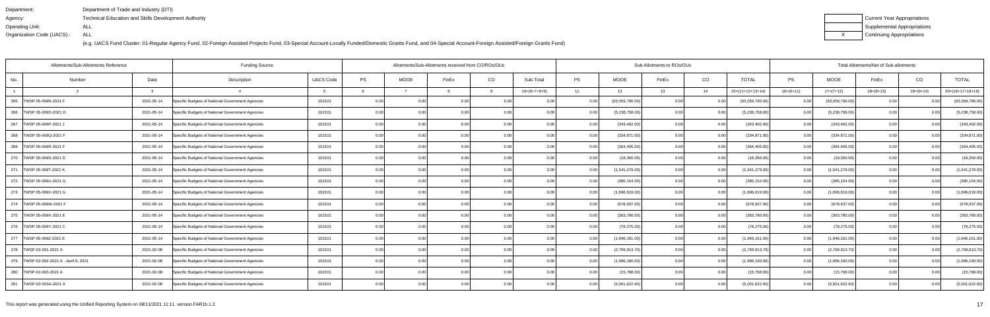| Department:               | Department of Trade and Industry (DTI)                      |
|---------------------------|-------------------------------------------------------------|
| Agency:                   | <b>Technical Education and Skills Development Authority</b> |
| Operating Unit:           | ALL                                                         |
| Organization Code (UACS): | ALL                                                         |

| Current Year Appropriations |
|-----------------------------|
| Supplemental Appropriations |
| Continuing Appropriations   |

|                                          | Allotments/Sub-Allotments Reference | <b>Funding Source</b>                            |                  |      | Allotments/Sub-Allotments received from CO/ROs/OUs |                |       |                |           | Sub-Allotments to ROs/OUs |       | Total Allotments/Net of Sub-allotments |                    |             |                 |             |                |                    |
|------------------------------------------|-------------------------------------|--------------------------------------------------|------------------|------|----------------------------------------------------|----------------|-------|----------------|-----------|---------------------------|-------|----------------------------------------|--------------------|-------------|-----------------|-------------|----------------|--------------------|
| No.                                      | Date<br>Number                      | Description                                      | <b>UACS Code</b> | PS   | <b>MOOE</b>                                        | FinEx          | CO    | Sub-Total      | <b>PS</b> | <b>MOOE</b>               | FinEx | CO                                     | <b>TOTAL</b>       | PS          | <b>MOOE</b>     | FinEx       | CO             | <b>TOTAL</b>       |
|                                          | $\mathcal{R}$                       |                                                  |                  |      |                                                    |                | q     | $10=(6+7+8+9)$ | 11        | 12                        | 13    | 14                                     | $15=(11+12+13+14)$ | $16=(6+11)$ | $17=(7+12)$     | $18=(8+13)$ | $19=(9+14)$    | $20=(16+17+18+19)$ |
| 265 TWSP 05-069N-2021 F                  | 2021-05-14                          | Specific Budgets of National Government Agencies | 102101           | 0.00 |                                                    | 0.0(           |       |                |           | (63,059,790.00)           | 0.00  |                                        | (63,059,790.00)    | 0.00        | (63,059,790.00) |             |                | (63,059,790.00)    |
| 266   TWSP 05-069O-2021 D                | 2021-05-14                          | Specific Budgets of National Government Agencies | 102101           | 0.00 | 0.001                                              | 0 <sub>0</sub> | 0.00  | 0.00           |           | (5,238,758.00)            | 0.00  | 0.00                                   | (5,238,758.00)     | 0.00        | (5,238,758.00)  | 0.00        |                | (5,238,758.00)     |
| 267   TWSP 05-069P-2021 J                | 2021-05-14                          | Specific Budgets of National Government Agencies | 102101           | 0.00 | 0.00                                               | 0.00           | 0.00  | 0.00           | 0.00      | (343, 402.00)             | 0.00  | 0.00                                   | (343, 402.00)      | 0.00        | (343, 402.00)   | 0.00        | 0.00           | (343, 402.00)      |
| 268   TWSP 05-069Q-2021 F                | 2021-05-14                          | Specific Budgets of National Government Agencies | 102101           | 0.00 | 0.00                                               | 0.00           | 0.00  | 0.00           | 0.00      | (334, 871.00)             | 0.00  | 0.00                                   | (334, 871.00)      | 0.00        | (334, 871.00)   | 0.00        | 0.00           | (334, 871.00)      |
| 269   TWSP 05-069R-2021 F                | 2021-05-14                          | Specific Budgets of National Government Agencies | 102101           | 0.00 | 0.00                                               | 0 <sub>0</sub> | 0.00  | 0.00           | 0.00      | (364, 405.00)             | 0.00  | 0.00                                   | (364, 405.00)      | 0.00        | (364, 405.00)   | 0.00        | 0.00           | (364, 405.00)      |
| 270   TWSP 05-069S-2021 D                | 2021-05-14                          | Specific Budgets of National Government Agencies | 102101           | 0.00 | 0.00 <sub>1</sub>                                  | 0.0            | 0.00  | 0.00           | 0.00      | (18,350.00)               | 0.00  | 0.00                                   | (18,350.00)        | 0.00        | (18, 350.00)    | 0.00        | 0.00           | (18, 350.00)       |
| 271 TWSP 05-069T-2021 K                  | 2021-05-14                          | Specific Budgets of National Government Agencies | 102101           | 0.00 | 0.00                                               | 0.00           | 0.00  | 0.00           | 0.00      | (1,541,279.00)            | 0.00  | 0.00                                   | (1,541,279.00)     | 0.00        | (1,541,279.00)  | 0.00        | 0.00           | (1,541,279.00)     |
| 272   TWSP 05-069U-2021 G                | 2021-05-14                          | Specific Budgets of National Government Agencies | 102101           | 0.00 | 0.00                                               | 0.0(           | 0.00  | 0.00           |           | (385, 154.00)             | 0.00  | 0.00                                   | (385, 154.00)      | 0.00        | (385, 154.00)   | 0.00        | 0 <sub>0</sub> | (385, 154.00)      |
| 273   TWSP 05-069V-2021 G                | 2021-05-14                          | Specific Budgets of National Government Agencies | 102101           | 0.00 | 0.00                                               | 0.0(           | 0.00  | 0.00           |           | (1,696,619.00)            | 0.00  | 0.00                                   | (1,696,619.00)     | 0.00        | (1,696,619.00)  | 0.00        |                | (1,696,619.00)     |
| 274   TWSP 05-069W-2021 F                | 2021-05-14                          | Specific Budgets of National Government Agencies | 102101           | 0.00 | 0.00                                               | 0.00           | 0.00  | 0.00           | 0.00      | (678, 937.00)             | 0.00  | 0.00                                   | (678, 937.00)      | 0.00        | (678, 937.00)   | 0.00        | 0.00           | (678, 937.00)      |
| 275   TWSP 05-069X-2021 E                | 2021-05-14                          | Specific Budgets of National Government Agencies | 102101           | 0.00 | 0.00                                               | 0.0(           | 0.00  | 0.00           |           | (363,780.00)              | 0.00  | 0.00                                   | (363,780.00)       | 0.00        | (363,780.00)    | 0.00        | 0.00           | (363,780.00)       |
| 276   TWSP 05-069Y-2021 C                | 2021-05-14                          | Specific Budgets of National Government Agencies | 102101           | 0.00 | 0.00                                               | $\Omega$       | 0.00  | 0.00           | 0.00      | (78, 275.00)              | 0.00  | 0.00                                   | (78, 275.00)       | 0.00        | (78, 275.00)    | 0.00        | $\Omega$       | (78, 275.00)       |
| 277   TWSP 05-069Z-2021 E                | 2021-05-14                          | Specific Budgets of National Government Agencies | 102101           | 0.00 | 0.00                                               | 0.0(           | 0.00  | 0.00           | 0.00      | (1,946,161.00)            | 0.00  | 0.00                                   | (1,946,161.00)     | 0.00        | (1,946,161.00)  | 0.00        | 0.00           | (1,946,161.00)     |
| 278   TWSP-02-001-2021 A                 | 2021-02-08                          | Specific Budgets of National Government Agencies | 102101           | 0.00 | 0.00                                               | 0.00           | 0.00  | 0.00           |           | (2,769,913.70)            | 0.00  | 0.00                                   | (2,769,913.70)     | 0.00        | (2,769,913.70)  | 0.00        | 0 <sub>0</sub> | (2,769,913.70)     |
| 279   TWSP-02-002-2021 A - April 8, 2021 | 2021-02-08                          | Specific Budgets of National Government Agencies | 102101           | 0.00 | 0.00                                               | 0 <sub>0</sub> | 0.00  | 0.00           |           | (1,996,160.00)            | 0.00  |                                        | (1,996,160.00)     | 0.00        | (1,996,160.00)  | 0.00        |                | (1,996,160.00)     |
| 280   TWSP-02-003-2021 A                 | 2021-02-08                          | Specific Budgets of National Government Agencies | 102101           | 0.00 | 0.00                                               |                | 0.00  | 0.00           |           | (15,768.00)               | 0.00  | 0.00                                   | (15,768.00)        | 0.00        | (15,768.00)     | 0.00        |                | (15,768.00)        |
| 281   TWSP-02-003A-2021 A                | 2021-02-08                          | Specific Budgets of National Government Agencies | 102101           | 0.00 | 0.00                                               | 0 <sub>0</sub> | 0.001 | 0.00           |           | (5,001,622.60)            | 0.00  | 0.00                                   | (5,001,622.60)     | 0.00        | (5,001,622.60)  | 0.00        | 0 <sub>0</sub> | (5,001,622.60)     |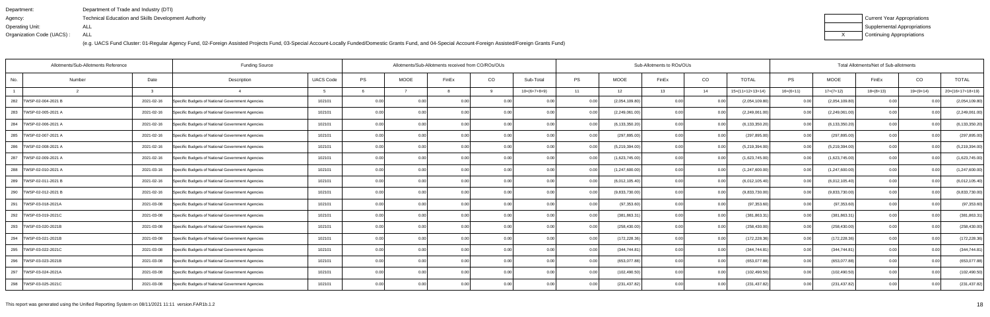| Department:               | Department of Trade and Industry (DTI)                      |
|---------------------------|-------------------------------------------------------------|
| Agency:                   | <b>Technical Education and Skills Development Authority</b> |
| Operating Unit:           | ALL                                                         |
| Organization Code (UACS): | ALL                                                         |

| Current Year Appropriations |
|-----------------------------|
| Supplemental Appropriations |
| Continuing Appropriations   |

|                           | Allotments/Sub-Allotments Reference | <b>Funding Source</b>                            |                  |      | Allotments/Sub-Allotments received from CO/ROs/OUs |                |          |                | Sub-Allotments to ROs/OUs<br>Total Allotments/Net of Sub-allotments |                  |                   |            |                    |                   |                  |             |                |                    |
|---------------------------|-------------------------------------|--------------------------------------------------|------------------|------|----------------------------------------------------|----------------|----------|----------------|---------------------------------------------------------------------|------------------|-------------------|------------|--------------------|-------------------|------------------|-------------|----------------|--------------------|
| No.                       | Date<br>Number                      | Description                                      | <b>UACS Code</b> | PS   | <b>MOOE</b>                                        | FinEx          | CO       | Sub-Total      | <b>PS</b>                                                           | <b>MOOE</b>      | FinEx             | CO         | <b>TOTAL</b>       | PS                | <b>MOOE</b>      | FinEx       | CO             | <b>TOTAL</b>       |
|                           | વ                                   |                                                  |                  |      |                                                    |                | <b>Q</b> | $10=(6+7+8+9)$ | 11                                                                  | 12               | 13                | 14         | $15=(11+12+13+14)$ | $16=(6+11)$       | $17=(7+12)$      | $18=(8+13)$ | $19=(9+14)$    | $20=(16+17+18+19)$ |
| 282<br>TWSP-02-004-2021 B | 2021-02-16                          | Specific Budgets of National Government Agencies | 102101           | 0.00 |                                                    | 0.00           |          |                |                                                                     | (2,054,109.80)   | 0.00 <sub>1</sub> | <u>ດ (</u> | (2,054,109.80)     | 0.00              | (2,054,109.80)   |             |                | (2,054,109.80)     |
| 283 TWSP-02-005-2021 A    | 2021-02-16                          | Specific Budgets of National Government Agencies | 102101           | 0.00 | 0.00                                               | 0 <sub>0</sub> | 0.00     |                | 0.00                                                                | (2,249,061.00)   | 0.00              | 0.0        | (2,249,061.00)     | 0.001             | (2,249,061.00)   | 0.00        | 0 <sub>0</sub> | (2,249,061.00)     |
| 284<br>TWSP-02-006-2021 A | 2021-02-16                          | Specific Budgets of National Government Agencies | 102101           | 0.00 | 0.00                                               | 0.00           | 0.00     | 0.00           | 0.001                                                               | (6, 133, 350.20) | 0.00              | 0.00       | (6, 133, 350.20)   | 0.00              | (6, 133, 350.20) | 0.00        | 0.00           | (6, 133, 350.20)   |
| 285   TWSP-02-007-2021 A  | 2021-02-16                          | Specific Budgets of National Government Agencies | 102101           | 0.00 | 0.00                                               | 0.00           | 0.00     | 0.00           | 0.00                                                                | (297, 895.00)    | 0.00              | 0.0        | (297, 895.00)      | 0.00              | (297, 895.00)    | 0.00        | 0.00           | (297, 895.00)      |
| 286   TWSP-02-008-2021 A  | 2021-02-16                          | Specific Budgets of National Government Agencies | 102101           | 0.00 | 0.00                                               | 0.00           | 0.00     | 0.00           | 0.00                                                                | (5,219,394.00)   | 0.00              | 0.0        | (5,219,394.00      | 0.00              | (5,219,394.00)   | 0.00        | 0.00           | (5,219,394.00)     |
| TWSP-02-009-2021 A<br>287 | 2021-02-16                          | Specific Budgets of National Government Agencies | 102101           | 0.00 | 0.00                                               | 0.00           | 0.00     | 0.00           | 0.00                                                                | (1,623,745.00)   | 0.00              | 0.00       | (1,623,745.00)     | 0.00              | (1,623,745.00)   | 0.00        | 0.00           | (1,623,745.00)     |
| 288   TWSP-02-010-2021 A  | 2021-03-16                          | Specific Budgets of National Government Agencies | 102101           | 0.00 | 0.00                                               | 0.00           | 0.00     | 0.00           | 0.001                                                               | (1,247,600.00)   | 0.00              | 0.00       | (1,247,600.00)     | 0.00              | (1,247,600.00)   | 0.00        | 0.00           | (1,247,600.00)     |
| 289   TWSP-02-011-2021 B  | 2021-02-16                          | Specific Budgets of National Government Agencies | 102101           | 0.00 | 0.00                                               | 0.00           | 0.00     | 0.00           |                                                                     | (6,012,105.40)   | 0.00              | 0.0        | (6,012,105.40)     | 0.00              | (6,012,105.40)   | 0.00        | 0.00           | (6,012,105.40)     |
| 290   TWSP-02-012-2021 B  | 2021-02-16                          | Specific Budgets of National Government Agencies | 102101           | 0.00 | 0.00                                               | 0.00           | 0.001    | 0.00           | 0.00                                                                | (9,833,730.00)   | 0.00              | 0.0        | (9,833,730.00)     | 0.00 <sub>l</sub> | (9,833,730.00)   | 0.00        | 0.00           | (9,833,730.00)     |
| 291   TWSP-03-018-2021A   | 2021-03-08                          | Specific Budgets of National Government Agencies | 102101           | 0.00 | 0.00                                               | 0.00           | 0.00     | 0.00           | 0.001                                                               | (97, 353.60)     | 0.00              | 0.00       | (97, 353.60)       | 0.00              | (97, 353.60)     | 0.00        | 0.00           | (97, 353.60)       |
| 292   TWSP-03-019-2021C   | 2021-03-08                          | Specific Budgets of National Government Agencies | 102101           | 0.00 | 0.00                                               | 0.00           | 0.00     | 0.00           | 0.00                                                                | (381, 863.31)    | 0.00              | 0.0        | (381, 863.31)      | 0.00              | (381, 863.31)    | 0.00        | 0.00           | (381, 863.31)      |
| 293   TWSP-03-020-2021B   | 2021-03-08                          | Specific Budgets of National Government Agencies | 102101           | 0.00 | 0.00                                               | 0 <sub>0</sub> | 0.00     | 0.00           | 0.00                                                                | (258, 430.00)    | 0.00              | 0.0        | (258, 430.00)      | 0.00              | (258, 430.00)    | 0.00        | 0.0(           | (258, 430.00)      |
| 294<br>TWSP-03-021-2021B  | 2021-03-08                          | Specific Budgets of National Government Agencies | 102101           | 0.00 | 0.00                                               | 0.00           | 0.00     | 0.00           | 0.00                                                                | (172, 228.36)    | 0.00              | 0.00       | (172, 228.36)      | 0.00              | (172, 228.36)    | 0.00        | 0.00           | (172, 228.36)      |
| 295   TWSP-03-022-2021C   | 2021-03-08                          | Specific Budgets of National Government Agencies | 102101           | 0.00 | 0.00                                               | 0.00           | 0.00     | 0.00           | 0.00                                                                | (344, 744.81)    | 0.00              | 0.00       | (344,744.81        | 0.00              | (344, 744.81)    | 0.00        | 0.00           | (344, 744.81)      |
| 296   TWSP-03-023-2021B   | 2021-03-08                          | Specific Budgets of National Government Agencies | 102101           | 0.00 | 0.00                                               | 0.00           | 0.00     | 0.00           | 0.00                                                                | (653,077.88)     | 0.00              | 0.0        | (653,077.88)       | 0.00              | (653,077.88)     | 0.00        | 0 <sub>0</sub> | (653,077.88)       |
| 297<br>TWSP-03-024-2021A  | 2021-03-08                          | Specific Budgets of National Government Agencies | 102101           | 0.00 | 0.00                                               | 0.00           | 0.00     | 0.00           | 0.00                                                                | (102, 490.50)    | n nc              | 0.00       | (102, 490.50)      | 0.00              | (102, 490.50)    | 0.00        | 0.00           | (102, 490.50)      |
| 298   TWSP-03-025-2021C   | 2021-03-08                          | Specific Budgets of National Government Agencies | 102101           | 0.00 | 0.00                                               | 0.00           | 0.001    | 0.00           | 0.00                                                                | (231, 437.82)    | 0.00              | 0.00       | (231, 437.82)      | 0.00              | (231, 437.82)    | 0.00        | 0.00           | (231, 437.82)      |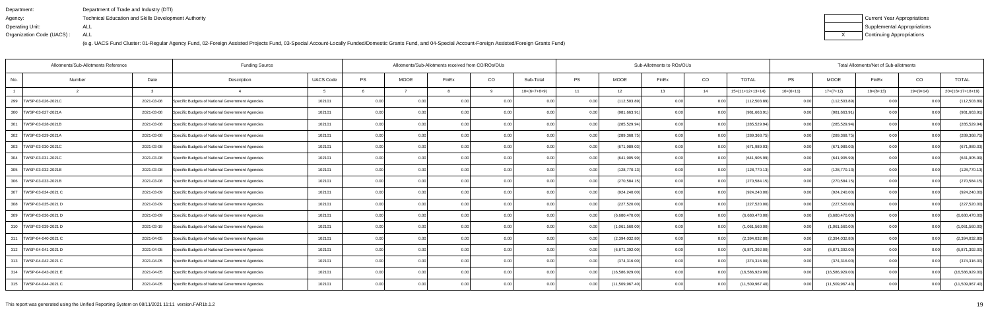| Department:               | Department of Trade and Industry (DTI)                      |
|---------------------------|-------------------------------------------------------------|
| Agency:                   | <b>Technical Education and Skills Development Authority</b> |
| Operating Unit:           | ALL                                                         |
| Organization Code (UACS): | ALL                                                         |

| Current Year Appropriations |
|-----------------------------|
| Supplemental Appropriations |
| Continuing Appropriations   |

| Allotments/Sub-Allotments Reference |        |            | <b>Funding Source</b>                            |                  |      | Sub-Allotments to ROs/OUs<br>Allotments/Sub-Allotments received from CO/ROs/OUs |                |                |                |           |                 |       |      |                    |                   | Total Allotments/Net of Sub-allotments |             | CO<br><b>TOTAL</b> |                    |  |  |  |  |
|-------------------------------------|--------|------------|--------------------------------------------------|------------------|------|---------------------------------------------------------------------------------|----------------|----------------|----------------|-----------|-----------------|-------|------|--------------------|-------------------|----------------------------------------|-------------|--------------------|--------------------|--|--|--|--|
| No.                                 | Number | Date       | Description                                      | <b>UACS Code</b> | PS   | <b>MOOE</b>                                                                     | FinEx          | CO             | Sub-Total      | <b>PS</b> | <b>MOOE</b>     | FinEx | CO   | <b>TOTAL</b>       | PS                | <b>MOOE</b>                            | FinEx       |                    |                    |  |  |  |  |
|                                     |        |            |                                                  |                  |      |                                                                                 |                |                | $10=(6+7+8+9)$ | 11        | 12              | 13    | 14   | $15=(11+12+13+14)$ | $16=(6+11)$       | $17=(7+12)$                            | $18=(8+13)$ | $19=(9+14)$        | $20=(16+17+18+19)$ |  |  |  |  |
| 299<br>TWSP-03-026-2021C            |        | 2021-03-08 | Specific Budgets of National Government Agencies | 102101           | 0.00 | 0.00                                                                            | 0.00           |                | . റ റ          | 0.00      | (112, 503.89)   | n nc  | 0.0  | (112,503.89)       | 0.00              | (112, 503.89)                          |             |                    | (112, 503.89)      |  |  |  |  |
| 300 TWSP-03-027-2021A               |        | 2021-03-08 | Specific Budgets of National Government Agencies | 102101           | 0.00 | 0.00                                                                            |                | 0.00           |                | 0.00      | (981, 663.9     | 0.OC  | 0.0  | (981,663.91        | 0.00              | (981,663.91                            | 0.00        |                    | (981, 663.91)      |  |  |  |  |
| 301<br>TWSP-03-028-2021B            |        | 2021-03-08 | Specific Budgets of National Government Agencies | 102101           | 0.00 | 0.00                                                                            |                | 0.00           | 0.00           | 0.00      | (285, 529.94)   | 0.OC  | 0.00 | (285, 529.94)      | 0.00              | (285, 529.94)                          | 0.00        |                    | (285, 529.94)      |  |  |  |  |
| 302   TWSP-03-029-2021A             |        | 2021-03-08 | Specific Budgets of National Government Agencies | 102101           | 0.00 | 0.00                                                                            | 0.00           | 0.00           | 0.00           | 0.00      | (289,368.75)    | 0.00  | 0.00 | (289,368.75        | 0.00 <sub>l</sub> | (289, 368.75)                          | 0.00        | 0 <sub>0</sub>     | (289, 368.75)      |  |  |  |  |
| 303 TWSP-03-030-2021C               |        | 2021-03-08 | Specific Budgets of National Government Agencies | 102101           | 0.00 |                                                                                 | 0 <sub>0</sub> | 0 <sub>0</sub> | -0.00          | 0.00      | (671,989.03     | 0.OC  | 0.0  | (671,989.03        | 0.00              | (671,989.03                            | 0.00        | 0 <sub>0</sub>     | (671, 989.03)      |  |  |  |  |
| 304   TWSP-03-031-2021C             |        | 2021-03-08 | Specific Budgets of National Government Agencies | 102101           | 0.00 | 0.00                                                                            | 0.00           | 0.00           | 0.00           | 0.00      | (641, 905.99)   | 0.00  | 0.00 | (641, 905.99)      | 0.00              | (641, 905.99)                          | 0.00        | 0.0(               | (641, 905.99)      |  |  |  |  |
| 305 TWSP-03-032-2021B               |        | 2021-03-08 | Specific Budgets of National Government Agencies | 102101           | 0.00 | 0.00                                                                            | 0.00           | 0.001          | 0.00           | 0.00      | (128, 770.13)   | 0.00  | 0.00 | (128, 770.13)      | 0.00              | (128, 770.13)                          | 0.00        | 0.00               | (128, 770.13)      |  |  |  |  |
| 306 TWSP-03-033-2021B               |        | 2021-03-08 | Specific Budgets of National Government Agencies | 102101           | 0.00 | 0.00                                                                            | 0.0(           |                | 0.00           |           | (270, 584.15)   | 0.00  | 0.0  | (270,584.15        | 0.00              | (270,584.15                            | 0.00        | 0 <sub>0</sub>     | (270, 584.15)      |  |  |  |  |
| 307   TWSP-03-034-2021 C            |        | 2021-03-09 | Specific Budgets of National Government Agencies | 102101           | 0.00 | 0.00                                                                            | 0.00           | 0.00           | 0.00           | 0.00      | (924, 240.00)   | 0.00  | 0.0  | (924, 240.00)      | 0.00 <sub>l</sub> | (924, 240.00)                          | 0.00        | 0.00               | (924, 240.00)      |  |  |  |  |
| 308   TWSP-03-035-2021 D            |        | 2021-03-09 | Specific Budgets of National Government Agencies | 102101           | 0.00 | 0.00                                                                            | 0.00           | 0.00           | 0.00           | 0.00      | (227, 520.00)   | 0.00  | 0.00 | (227, 520.00)      | 0.00              | (227, 520.00)                          | 0.00        | 0.00               | (227, 520.00)      |  |  |  |  |
| 309   TWSP-03-036-2021 D            |        | 2021-03-09 | Specific Budgets of National Government Agencies | 102101           | 0.00 | 0.00                                                                            | 0.00           | 0.00           | 0.00           | 0.00      | (6,680,470.00)  | 0.00  | 0.0  | (6,680,470.00)     | 0.00              | (6,680,470.00)                         | 0.00        | 0.00               | (6,680,470.00)     |  |  |  |  |
| 310   TWSP-03-039-2021 D            |        | 2021-03-19 | Specific Budgets of National Government Agencies | 102101           | 0.00 | 0.00                                                                            | 0 <sub>0</sub> | 0.00           | 0.00           | 0.00      | (1,061,560.00)  | 0.00  | 0.0  | (1,061,560.00)     | 0.00              | (1,061,560.00)                         | 0.00        | 0 <sub>0</sub>     | (1,061,560.00)     |  |  |  |  |
| 311   TWSP-04-040-2021 C            |        | 2021-04-05 | Specific Budgets of National Government Agencies | 102101           | 0.00 | 0.00                                                                            | 0.00           | 0.00           | 0.00           | 0.00      | (2,394,032.80)  | 0.00  | 0.0  | (2,394,032.80)     | 0.00              | (2,394,032.80)                         | 0.00        | 0.00               | (2,394,032.80)     |  |  |  |  |
| 312   TWSP-04-041-2021 D            |        | 2021-04-05 | Specific Budgets of National Government Agencies | 102101           | 0.00 | 0.00                                                                            | 0.00           | 0.00           | 0.00           | 0.00      | (6,871,392.00)  | 0.00  | 0.0  | (6,871,392.00)     | 0.00              | (6,871,392.00)                         | 0.00        | 0.00               | (6,871,392.00)     |  |  |  |  |
| 313   TWSP-04-042-2021 C            |        | 2021-04-05 | Specific Budgets of National Government Agencies | 102101           | 0.00 | 0.00                                                                            | 0.00           | 0.00           | 0.00           | 0.00      | (374, 316.00)   | 0.00  | 0.0  | (374,316.00        | 0.00              | (374, 316.00)                          | 0.00        | 0 <sub>0</sub>     | (374, 316.00)      |  |  |  |  |
| 314   TWSP-04-043-2021 E            |        | 2021-04-05 | Specific Budgets of National Government Agencies | 102101           | 0.00 | 0.00                                                                            | 0.00           | 0.00           | 0.00           | 0.00      | (16,586,929.00) | 0.001 | 0.00 | (16,586,929.00     | 0.00              | (16, 586, 929.00)                      | 0.00        | 0.00               | (16,586,929.00)    |  |  |  |  |
| 315   TWSP-04-044-2021 C            |        | 2021-04-05 | Specific Budgets of National Government Agencies | 102101           | 0.00 | 0.00                                                                            | 0.00           | 0.001          | 0.00           | 0.00      | (11,509,967.40) | 0.00  | 0.00 | (11,509,967.40)    | 0.00 <sub>1</sub> | (11,509,967.40)                        | 0.00        | 0.00               | (11,509,967.40)    |  |  |  |  |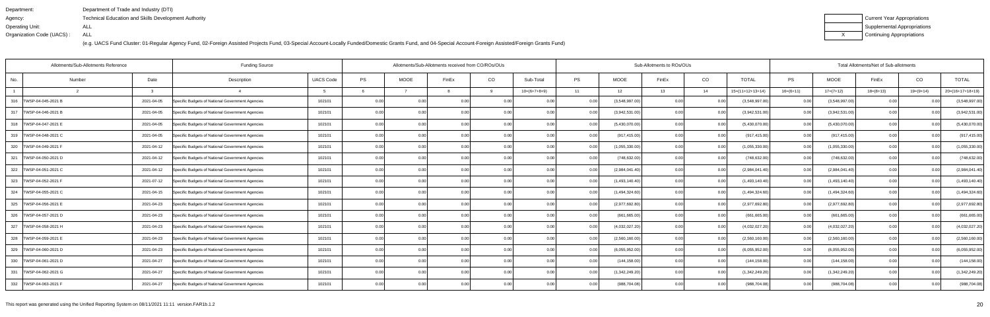| Department:               | Department of Trade and Industry (DTI)                      |
|---------------------------|-------------------------------------------------------------|
| Agency:                   | <b>Technical Education and Skills Development Authority</b> |
| Operating Unit:           | ALL                                                         |
| Organization Code (UACS): | ALL                                                         |

| Current Year Appropriations |
|-----------------------------|
| Supplemental Appropriations |
| Continuing Appropriations   |

|        |                                     | <b>Funding Source</b>                                                                                                                                                                                                                      |                  |           |             |                |          |                                                                            |                                                                                                                 |                                                                      |       |                                                                                                                                                                                                                                                                                                           |                           |                   |                |             |                |                                                                                                                |  |  |  |  |  |
|--------|-------------------------------------|--------------------------------------------------------------------------------------------------------------------------------------------------------------------------------------------------------------------------------------------|------------------|-----------|-------------|----------------|----------|----------------------------------------------------------------------------|-----------------------------------------------------------------------------------------------------------------|----------------------------------------------------------------------|-------|-----------------------------------------------------------------------------------------------------------------------------------------------------------------------------------------------------------------------------------------------------------------------------------------------------------|---------------------------|-------------------|----------------|-------------|----------------|----------------------------------------------------------------------------------------------------------------|--|--|--|--|--|
| Number | Date                                | Description                                                                                                                                                                                                                                | <b>UACS Code</b> | <b>PS</b> | <b>MOOE</b> | FinEx          | CO       | Sub-Total                                                                  | <b>PS</b>                                                                                                       | <b>MOOE</b>                                                          | FinEx | CO                                                                                                                                                                                                                                                                                                        | <b>TOTAL</b>              | PS                | <b>MOOE</b>    | FinEx       | CO             | <b>TOTAL</b>                                                                                                   |  |  |  |  |  |
|        | વ                                   |                                                                                                                                                                                                                                            |                  |           |             |                | <b>Q</b> | $10=(6+7+8+9)$                                                             | 11                                                                                                              | 12                                                                   | 13    | 14                                                                                                                                                                                                                                                                                                        | $15=(11+12+13+14)$        | $16=(6+11)$       | $17=(7+12)$    | $18=(8+13)$ | $19=(9+14)$    | $20=(16+17+18+19)$                                                                                             |  |  |  |  |  |
|        |                                     | Specific Budgets of National Government Agencies                                                                                                                                                                                           | 102101           | 0.00      |             | 0.00           |          |                                                                            |                                                                                                                 |                                                                      | 0.00  | <u>ດ (</u>                                                                                                                                                                                                                                                                                                | (3,548,997.00)            | 0.00              | (3,548,997.00) |             |                | (3,548,997.00)                                                                                                 |  |  |  |  |  |
|        |                                     | Specific Budgets of National Government Agencies                                                                                                                                                                                           | 102101           | 0.00      | 0.00        | 0 <sub>0</sub> |          | 0.00                                                                       | 0.00                                                                                                            |                                                                      | 0.00  | 0.0                                                                                                                                                                                                                                                                                                       | (3,942,531.00)            | 0.00 <sub>l</sub> | (3,942,531.00) | 0.00        | 0 <sub>0</sub> | (3,942,531.00)                                                                                                 |  |  |  |  |  |
|        |                                     | Specific Budgets of National Government Agencies                                                                                                                                                                                           | 102101           | 0.00      | 0.00        |                |          |                                                                            | 0.00                                                                                                            |                                                                      | 0.00  | 0.00                                                                                                                                                                                                                                                                                                      | (5,430,070.00)            | 0.00              | (5,430,070.00) | 0.00        |                | (5,430,070.00)                                                                                                 |  |  |  |  |  |
|        |                                     | Specific Budgets of National Government Agencies                                                                                                                                                                                           | 102101           | 0.00      | 0.00        | 0.00           |          |                                                                            | 0.00                                                                                                            |                                                                      | 0.00  | 0.00                                                                                                                                                                                                                                                                                                      | (917, 415.00)             | 0.00              | (917, 415.00)  | 0.00        |                | (917, 415.00)                                                                                                  |  |  |  |  |  |
|        |                                     | Specific Budgets of National Government Agencies                                                                                                                                                                                           | 102101           | 0.00      | 0.00        | 0.00           |          | 0.00                                                                       | 0.001                                                                                                           |                                                                      | 0.00  | 0.00                                                                                                                                                                                                                                                                                                      | (1,055,330.00)            | 0.00              | (1,055,330.00) | 0.00        |                | (1,055,330.00)                                                                                                 |  |  |  |  |  |
|        |                                     | Specific Budgets of National Government Agencies                                                                                                                                                                                           | 102101           | 0.00      | 0.00        | 0.00           |          |                                                                            | 0.00                                                                                                            |                                                                      | 0.00  | 0.00                                                                                                                                                                                                                                                                                                      | (748, 632.00)             | 0.00              | (748, 632.00)  | 0.00        |                | (748, 632.00)                                                                                                  |  |  |  |  |  |
|        |                                     | Specific Budgets of National Government Agencies                                                                                                                                                                                           | 102101           | 0.00      | 0.00        |                |          |                                                                            | 0.001                                                                                                           |                                                                      | 0.00  | 0.00                                                                                                                                                                                                                                                                                                      | (2,984,041.40)            | 0.00              | (2,984,041.40) | 0.00        |                | (2,984,041.40)                                                                                                 |  |  |  |  |  |
|        |                                     | Specific Budgets of National Government Agencies                                                                                                                                                                                           | 102101           | 0.00      | 0.00        | 0.00           | 0.00     |                                                                            | 0.00                                                                                                            |                                                                      | 0.00  | 0.0                                                                                                                                                                                                                                                                                                       | (1,493,140.40)            | 0.00              | (1,493,140.40) | 0.00        |                | (1,493,140.40)                                                                                                 |  |  |  |  |  |
|        |                                     | Specific Budgets of National Government Agencies                                                                                                                                                                                           | 102101           | 0.00      | 0.00        | 0.00           |          |                                                                            | 0.00                                                                                                            |                                                                      | 0.00  | 0.00                                                                                                                                                                                                                                                                                                      | (1,494,324.60)            | 0.00              | (1,494,324.60) | 0.00        |                | (1,494,324.60)                                                                                                 |  |  |  |  |  |
|        |                                     | Specific Budgets of National Government Agencies                                                                                                                                                                                           | 102101           | 0.00      | 0.00        |                |          |                                                                            | 0.00                                                                                                            |                                                                      | 0.00  | 0.00                                                                                                                                                                                                                                                                                                      | (2,977,692.80)            | 0.00              | (2,977,692.80) | 0.00        |                | (2,977,692.80)                                                                                                 |  |  |  |  |  |
|        |                                     | Specific Budgets of National Government Agencies                                                                                                                                                                                           | 102101           | 0.00      | 0.00        | 0 <sub>0</sub> |          | 0.00                                                                       |                                                                                                                 |                                                                      | 0.00  | 0.0                                                                                                                                                                                                                                                                                                       | (661,665.00               | 0.00              | (661, 665.00)  | 0.00        | 0 <sub>0</sub> | (661, 665.00)                                                                                                  |  |  |  |  |  |
|        |                                     | Specific Budgets of National Government Agencies                                                                                                                                                                                           | 102101           | 0.00      | 0.00        | 0 <sub>0</sub> |          | 0.00                                                                       | 0.00                                                                                                            |                                                                      | 0.00  | 0.0                                                                                                                                                                                                                                                                                                       | (4,032,027.20)            | 0.00              | (4,032,027.20) | 0.00        | 0.00           | (4,032,027.20)                                                                                                 |  |  |  |  |  |
|        |                                     | Specific Budgets of National Government Agencies                                                                                                                                                                                           | 102101           | 0.00      | 0.00        | 0.00           |          |                                                                            | 0.00                                                                                                            |                                                                      | 0.00  | 0.00                                                                                                                                                                                                                                                                                                      | (2,560,160.00)            | 0.00              | (2,560,160.00) | 0.00        |                | (2,560,160.00)                                                                                                 |  |  |  |  |  |
|        |                                     | Specific Budgets of National Government Agencies                                                                                                                                                                                           | 102101           | 0.00      | 0.00        | 0.00           |          | 0.00                                                                       |                                                                                                                 |                                                                      | 0.00  | 0.0                                                                                                                                                                                                                                                                                                       | (6,055,952.00)            | 0.00              | (6,055,952.00) | 0.00        | 0.00           | (6,055,952.00)                                                                                                 |  |  |  |  |  |
|        |                                     | Specific Budgets of National Government Agencies                                                                                                                                                                                           | 102101           | 0.00      | 0.00        | 0 <sub>0</sub> |          | 0.00                                                                       | 0.00                                                                                                            |                                                                      | 0.00  | 0.0                                                                                                                                                                                                                                                                                                       | (144, 158.00)             | 0.00              | (144, 158.00)  | 0.00        |                | (144, 158.00)                                                                                                  |  |  |  |  |  |
|        |                                     | Specific Budgets of National Government Agencies                                                                                                                                                                                           | 102101           | 0.00      | 0.00        |                |          |                                                                            |                                                                                                                 |                                                                      | n nc  | 0.00                                                                                                                                                                                                                                                                                                      | (1,342,249.20)            | 0.00              | (1,342,249.20) | 0.00        |                | (1,342,249.20)                                                                                                 |  |  |  |  |  |
|        |                                     | Specific Budgets of National Government Agencies                                                                                                                                                                                           | 102101           | 0.00      | 0.00        |                |          |                                                                            |                                                                                                                 |                                                                      | 0.00  |                                                                                                                                                                                                                                                                                                           | (988, 704.08)             | 0.001             | (988, 704.08)  | 0.00        |                | (988, 704.08)                                                                                                  |  |  |  |  |  |
|        | Allotments/Sub-Allotments Reference | 2021-04-05<br>2021-04-05<br>2021-04-05<br>2021-04-05<br>2021-04-12<br>2021-04-12<br>2021-04-12<br>2021-07-12<br>2021-04-15<br>2021-04-23<br>2021-04-23<br>2021-04-23<br>2021-04-23<br>2021-04-23<br>2021-04-27<br>2021-04-27<br>2021-04-27 |                  |           |             |                |          | Allotments/Sub-Allotments received from CO/ROs/OUs<br>0.00<br>0.00<br>0.00 | 0.00<br>0.00<br>0.00<br>0.00<br>0.00<br>0.001<br>0.001<br>0.001<br>0.00<br>0.00<br>0.00<br>0.00<br>0.00<br>0.00 | 0.00<br>0.00<br>0.00<br>0.00<br>0.00<br>0.00<br>0.00<br>0.00<br>0.00 |       | (3,548,997.00)<br>(3,942,531.00)<br>(5,430,070.00)<br>(917, 415.00)<br>(1,055,330.00)<br>(748, 632.00)<br>(2,984,041.40)<br>(1,493,140.40)<br>(1,494,324.60)<br>(2,977,692.80)<br>(661, 665.00)<br>(4,032,027.20)<br>(2,560,160.00)<br>(6,055,952.00)<br>(144, 158.00)<br>(1,342,249.20)<br>(988, 704.08) | Sub-Allotments to ROs/OUs |                   |                |             |                | Total Allotments/Net of Sub-allotments<br>0.00<br>0.00<br>0.00<br>0.00<br>0.00<br>0.00<br>0.00<br>0.00<br>0.00 |  |  |  |  |  |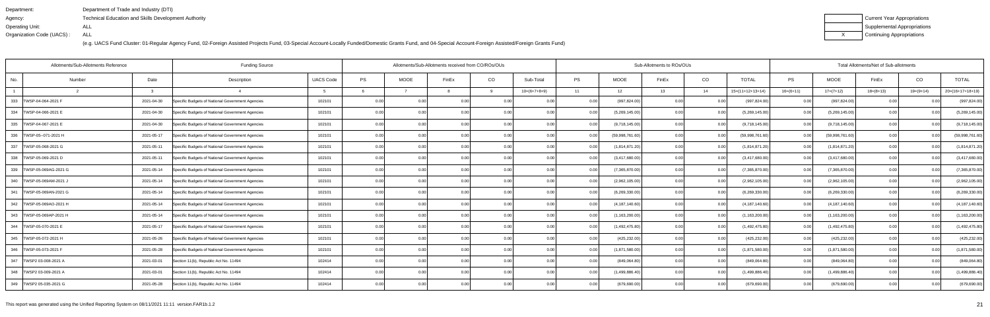| Department:               | Department of Trade and Industry (DTI)                      |
|---------------------------|-------------------------------------------------------------|
| Agency:                   | <b>Technical Education and Skills Development Authority</b> |
| Operating Unit:           | ALL                                                         |
| Organization Code (UACS): | ALL                                                         |

| Current Year Appropriations |
|-----------------------------|
| Supplemental Appropriations |
| Continuing Appropriations   |

| Allotments/Sub-Allotments Reference<br><b>Funding Source</b> |        |            |                                                  |                  | Allotments/Sub-Allotments received from CO/ROs/OUs |                   |                |      |                |       | Sub-Allotments to ROs/OUs |       |      |                    | Total Allotments/Net of Sub-allotments |                  |             |                |                    |  |
|--------------------------------------------------------------|--------|------------|--------------------------------------------------|------------------|----------------------------------------------------|-------------------|----------------|------|----------------|-------|---------------------------|-------|------|--------------------|----------------------------------------|------------------|-------------|----------------|--------------------|--|
| No.                                                          | Number | Date       | Description                                      | <b>UACS Code</b> | PS                                                 | <b>MOOE</b>       | FinEx          | CO   | Sub-Total      | PS    | <b>MOOE</b>               | FinEx | CO   | <b>TOTAL</b>       | PS                                     | <b>MOOE</b>      | FinEx       | CO             | <b>TOTAL</b>       |  |
|                                                              |        | વ          |                                                  |                  |                                                    |                   |                | q    | $10=(6+7+8+9)$ | 11    | 12                        | 13    | 14   | $15=(11+12+13+14)$ | $16=(6+11)$                            | $17=(7+12)$      | $18=(8+13)$ | $19=(9+14)$    | $20=(16+17+18+19)$ |  |
| 333<br>TWSP-04-064-2021 F                                    |        | 2021-04-30 | Specific Budgets of National Government Agencies | 102101           | 0.00                                               |                   | 0.0            |      |                |       | (997, 824.00)             | 0.00  |      | (997, 824.00)      | 0.00                                   | (997, 824.00)    |             |                | (997, 824.00)      |  |
| 334   TWSP-04-066-2021 E                                     |        | 2021-04-30 | Specific Budgets of National Government Agencies | 102101           | 0.00                                               | 0.00              | 0.0(           | 0.00 | 0.00           | 0.00  | (5,269,145.00)            | 0.00  | 0.00 | (5,269,145.00)     | 0.00                                   | (5,269,145.00)   | 0.001       |                | (5,269,145.00)     |  |
| 335   TWSP-04-067-2021 E                                     |        | 2021-04-30 | Specific Budgets of National Government Agencies | 102101           | 0.00                                               | 0.00              | 0.00           | 0.00 | 0.00           | 0.00  | (9,718,145.00)            | 0.00  | 0.00 | (9,718,145.00)     | 0.00                                   | (9,718,145.00)   | 0.00        | 0.00           | (9,718,145.00)     |  |
| 336   TWSP-05--071-2021 H                                    |        | 2021-05-17 | Specific Budgets of National Government Agencies | 102101           | 0.00                                               | 0.00              | 0.00           | 0.00 | 0.00           |       | (59,998,761.60)           | 0.00  | 0.00 | (59,998,761.60)    | 0.00                                   | (59,998,761.60)  | 0.00        | 0.00           | (59,998,761.60)    |  |
| 337 TWSP-05-068-2021 G                                       |        | 2021-05-11 | Specific Budgets of National Government Agencies | 102101           | 0.00                                               | 0.00              | 0 <sub>0</sub> | 0.00 | 0.00           | 0.00  | (1,814,871.20)            | 0.00  | 0.00 | (1,814,871.20)     | 0.00                                   | (1,814,871.20)   | 0.00        | 0.00           | (1,814,871.20)     |  |
| 338  TWSP-05-069-2021 D                                      |        | 2021-05-11 | Specific Budgets of National Government Agencies | 102101           | 0.00                                               | 0.00              | 0.00           | 0.00 | 0.00           | 0.00  | (3,417,680.00)            | 0.00  | 0.00 | (3,417,680.00)     | 0.00                                   | (3,417,680.00)   | 0.00        | 0.00           | (3,417,680.00)     |  |
| 339   TWSP-05-069AG-2021 G                                   |        | 2021-05-14 | Specific Budgets of National Government Agencies | 102101           | 0.00                                               | 0.00              | 0.00           | 0.00 | 0.00           | 0.00  | (7,365,870.00)            | 0.00  | 0.00 | (7,365,870.00)     | 0.001                                  | (7,365,870.00)   | 0.00        | 0.00           | (7,365,870.00)     |  |
| 340<br>TWSP-05-069AM-2021 J                                  |        | 2021-05-14 | Specific Budgets of National Government Agencies | 102101           | 0.00                                               | 0.00              | 0.0(           | 0.00 | 0.00           |       | (2,962,105.00)            | 0.00  | 0.00 | (2,962,105.00)     | 0.00                                   | (2,962,105.00)   | 0.00        | 0 <sub>0</sub> | (2,962,105.00)     |  |
| 341   TWSP-05-069AN-2021 G                                   |        | 2021-05-14 | Specific Budgets of National Government Agencies | 102101           | 0.00                                               | 0.00              | 0.00           | 0.00 | 0.00           | 0.00  | (6,269,330.00)            | 0.00  | 0.00 | (6,269,330.00)     | 0.001                                  | (6,269,330.00)   | 0.00        | 0.00           | (6,269,330.00)     |  |
| 342   TWSP-05-069AO-2021 H                                   |        | 2021-05-14 | Specific Budgets of National Government Agencies | 102101           | 0.00                                               | 0.00              | 0.00           | 0.00 | 0.00           | 0.00  | (4, 187, 140.60)          | 0.00  | 0.00 | (4, 187, 140.60)   | 0.00                                   | (4, 187, 140.60) | 0.00        | 0.00           | (4, 187, 140.60)   |  |
| 343   TWSP-05-069AP-2021 H                                   |        | 2021-05-14 | Specific Budgets of National Government Agencies | 102101           | 0.00                                               | 0.00              | 0.00           | 0.00 | 0.00           |       | (1, 163, 200.00)          | 0.00  | 0.00 | (1, 163, 200.00)   | 0.00                                   | (1, 163, 200.00) | 0.00        | 0.00           | (1, 163, 200.00)   |  |
| 344   TWSP-05-070-2021 E                                     |        | 2021-05-17 | Specific Budgets of National Government Agencies | 102101           | 0.00                                               | 0.00              | 0 <sub>0</sub> | 0.00 | 0.00           | 0.00  | (1,492,475.80)            | 0.00  | 0.00 | (1,492,475.80)     | 0.00                                   | (1,492,475.80)   | 0.00        | 0.00           | (1,492,475.80)     |  |
| 345   TWSP-05-072-2021 H                                     |        | 2021-05-26 | Specific Budgets of National Government Agencies | 102101           | 0.00                                               | 0.00              | 0.00           | 0.00 | 0.00           | 0.00  | (425, 232.00)             | 0.00  | 0.00 | (425, 232.00)      | 0.00                                   | (425, 232.00)    | 0.00        | 0.00           | (425, 232.00)      |  |
| 346   TWSP-05-073-2021 F                                     |        | 2021-05-28 | Specific Budgets of National Government Agencies | 102101           | 0.00                                               | 0.00              | 0.00           | 0.00 | 0.00           | 0.00  | (1,871,580.00)            | 0.00  | 0.00 | (1,871,580.00)     | 0.00                                   | (1,871,580.00)   | 0.001       | 0.00           | (1,871,580.00)     |  |
| 347   TWSP2 03-008-2021 A                                    |        | 2021-03-01 | Section 11(b), Republic Act No. 11494            | 102414           | 0.00                                               | 0.00              | 0.00           | 0.00 | 0.00           | 0.00  | (849,064.80               | 0.00  | 0.00 | (849,064.80)       | 0.00                                   | (849,064.80)     | 0.00        | -0.00          | (849,064.80)       |  |
| 348   TWSP2 03-009-2021 A                                    |        | 2021-03-01 | Section 11(b), Republic Act No. 11494            | 102414           | 0.00                                               | 0.00              | 0.00           | 0.00 | 0.00           | 0.00  | (1,499,886.40)            | 0.00  | 0.00 | (1,499,886.40)     | 0.00                                   | (1,499,886.40)   | 0.00        |                | (1,499,886.40)     |  |
| 349   TWSP2 05-035-2021 G                                    |        | 2021-05-28 | Section 11(b), Republic Act No. 11494            | 102414           | 0.00                                               | 0.00 <sub>l</sub> | 0.00           | 0.00 | 0.00           | 0.001 | (679, 690.00)             | 0.00  | 0.00 | (679, 690.00)      | 0.001                                  | (679, 690.00)    | 0.00        | 0.00           | (679, 690.00)      |  |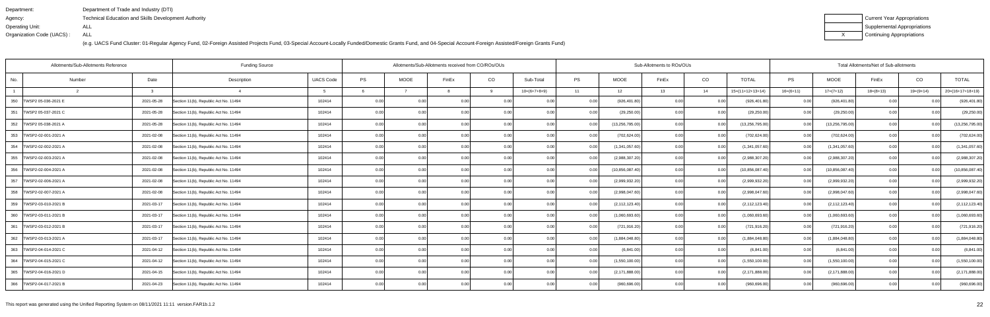| Department:               | Department of Trade and Industry (DTI)               |
|---------------------------|------------------------------------------------------|
| Agency:                   | Technical Education and Skills Development Authority |
| Operating Unit:           | ALL                                                  |
| Organization Code (UACS): | ALL                                                  |

| Current Year Appropriations |
|-----------------------------|
| Supplemental Appropriations |
| Continuing Appropriations   |

|                           | Allotments/Sub-Allotments Reference | <b>Funding Source</b>                 |                  |           | Allotments/Sub-Allotments received from CO/ROs/OUs |                |       |                |           | Sub-Allotments to ROs/OUs |       | Total Allotments/Net of Sub-allotments |                    |             |                   |             |                |                    |
|---------------------------|-------------------------------------|---------------------------------------|------------------|-----------|----------------------------------------------------|----------------|-------|----------------|-----------|---------------------------|-------|----------------------------------------|--------------------|-------------|-------------------|-------------|----------------|--------------------|
| No.                       | Date<br>Number                      | Description                           | <b>UACS Code</b> | <b>PS</b> | <b>MOOE</b>                                        | FinEx          | CO    | Sub-Total      | <b>PS</b> | <b>MOOE</b>               | FinEx | CO                                     | <b>TOTAL</b>       | PS          | <b>MOOE</b>       | FinEx       | CO             | <b>TOTAL</b>       |
|                           | - 3                                 |                                       |                  |           |                                                    |                | -9    | $10=(6+7+8+9)$ | 11        | 12                        | 13    | 14                                     | $15=(11+12+13+14)$ | $16=(6+11)$ | $17=(7+12)$       | $18=(8+13)$ | $19=(9+14)$    | $20=(16+17+18+19)$ |
| 350 TWSP2 05-036-2021 E   | 2021-05-28                          | Section 11(b), Republic Act No. 11494 | 102414           | 0.00      | 0.00                                               | 0.0(           |       | 0.00           |           | (926, 401.80)             | 0.00  |                                        | (926, 401.80)      | 0.00        | (926, 401.80)     |             |                | (926, 401.80)      |
| 351   TWSP2 05-037-2021 C | 2021-05-28                          | Section 11(b), Republic Act No. 11494 | 102414           | 0.00      | 0.00                                               | 0.00           | 0.00  | 0.00           | 0.00      | (29, 250.00)              | 0.00  | 0.00                                   | (29, 250.00)       | 0.001       | (29, 250.00)      | 0.00        | 0.00           | (29, 250.00)       |
| 352 TWSP2 05-038-2021 A   | 2021-05-28                          | Section 11(b), Republic Act No. 11494 | 102414           | 0.00      | 0.00                                               | 0.00           | 0.00  | 0.00           | 0.00      | (13, 256, 795.00)         | 0.00  | 0.00                                   | (13, 256, 795.00)  | 0.00        | (13, 256, 795.00) | 0.00        | 0.00           | (13, 256, 795.00)  |
| 353   TWSP2-02-001-2021 A | 2021-02-08                          | Section 11(b), Republic Act No. 11494 | 102414           | 0.00      | 0.00                                               | 0.00           | 0.00  | 0.00           | 0.00      | (702, 624.00)             | 0.00  | 0.00                                   | (702, 624.00)      | 0.00        | (702, 624.00)     | 0.00        | 0.00           | (702, 624.00)      |
| 354   TWSP2-02-002-2021 A | 2021-02-08                          | Section 11(b), Republic Act No. 11494 | 102414           | 0.00      | 0.001                                              | 0 <sub>0</sub> | 0.00  | 0.00           | 0.00      | (1,341,057.60)            | 0.00  | 0.00                                   | (1,341,057.60)     | 0.00        | (1,341,057.60)    | 0.001       | 0.00           | (1,341,057.60)     |
| 355 TWSP2-02-003-2021 A   | 2021-02-08                          | Section 11(b), Republic Act No. 11494 | 102414           | 0.00      | 0.00                                               | 0.00           | 0.00  | 0.00           | 0.00      | (2,988,307.20)            | 0.00  | 0.00                                   | (2,988,307.20)     | 0.00        | (2,988,307.20)    | 0.00        | 0.00           | (2,988,307.20)     |
| 356 TWSP2-02-004-2021 A   | 2021-02-08                          | Section 11(b), Republic Act No. 11494 | 102414           | 0.00      | 0.00                                               | 0.00           | 0.00  | 0.00           |           | (10, 856, 087.40)         | 0.00  | 0.00                                   | (10, 856, 087.40)  | 0.00        | (10, 856, 087.40) | 0.00        | 0.00           | (10, 856, 087.40)  |
| 357 TWSP2-02-006-2021 A   | 2021-02-08                          | Section 11(b), Republic Act No. 11494 | 102414           | 0.00      | 0.00                                               | 0 <sub>0</sub> | 0.00  | 0.00           |           | (2,999,932.20)            | 0.00  | 0.00                                   | (2,999,932.20)     | 0.00        | (2,999,932.20)    | 0.00        |                | (2,999,932.20)     |
| 358   TWSP2-02-007-2021 A | 2021-02-08                          | Section 11(b), Republic Act No. 11494 | 102414           | 0.00      | 0.00                                               | 0.00           | 0.00  | 0.00           | 0.00      | (2,998,047.60)            | 0.00  | 0.00                                   | (2,998,047.60)     | 0.00        | (2,998,047.60)    | 0.00        |                | (2,998,047.60)     |
| 359   TWSP2-03-010-2021 B | 2021-03-17                          | Section 11(b), Republic Act No. 11494 | 102414           | 0.00      | 0.00                                               | 0.00           | 0.00  | 0.00           | 0.00      | (2, 112, 123.40)          | 0.00  | 0.00                                   | (2, 112, 123.40)   | 0.00        | (2, 112, 123.40)  | 0.00        | 0.00           | (2, 112, 123.40)   |
| 360   TWSP2-03-011-2021 B | 2021-03-17                          | Section 11(b), Republic Act No. 11494 | 102414           | 0.00      | 0.00                                               | 0 <sub>0</sub> | 0.00  | 0.00           |           | (1,060,693.60)            | 0.00  | 0.00                                   | (1,060,693.60)     | 0.00        | (1,060,693.60)    | 0.00        | 0 <sub>0</sub> | (1,060,693.60)     |
| 361   TWSP2-03-012-2021 B | 2021-03-17                          | Section 11(b), Republic Act No. 11494 | 102414           | 0.00      | 0.00                                               | $\Omega$       | 0.001 | 0.00           | 0.00      | (721, 916.20)             | 0.00  | 0.00                                   | (721, 916.20)      | 0.00        | (721, 916.20)     | 0.00        |                | (721, 916.20)      |
| 362   TWSP2-03-013-2021 A | 2021-03-17                          | Section 11(b), Republic Act No. 11494 | 102414           | 0.00      | 0.001                                              | 0.00           | 0.00  | 0.00           | 0.00      | (1,884,048.80)            | 0.00  | 0.00                                   | (1,884,048.80)     | 0.00        | (1,884,048.80)    | 0.00        | 0.00           | (1,884,048.80)     |
| 363   TWSP2-04-014-2021 C | 2021-04-12                          | Section 11(b), Republic Act No. 11494 | 102414           | 0.00      | 0.00                                               | 0.00           | 0.00  | 0.00           |           | (6,841.00)                | 0.00  | 0.00                                   | (6,841.00)         | 0.001       | (6,841.00)        | 0.00        | 0.00           | (6,841.00)         |
| 364   TWSP2-04-015-2021 C | 2021-04-12                          | Section 11(b), Republic Act No. 11494 | 102414           | 0.00      | 0.00                                               | 0 <sub>0</sub> | 0.00  | 0.00           |           | (1,550,100.00)            | 0.00  | 0.00                                   | (1,550,100.00)     | 0.00        | (1,550,100.00)    | 0.00        |                | (1,550,100.00)     |
| 365   TWSP2-04-016-2021 D | 2021-04-15                          | Section 11(b), Republic Act No. 11494 | 102414           | 0.00      | 0.00                                               |                | 0.00  | 0.00           |           | (2, 171, 888.00)          | 0.00  | 0.00                                   | (2, 171, 888.00)   | 0.00        | (2, 171, 888.00)  | 0.00        |                | (2, 171, 888.00)   |
| 366   TWSP2-04-017-2021 B | 2021-04-23                          | Section 11(b), Republic Act No. 11494 | 102414           | 0.00      | 0.00                                               | 0.00           | 0.00  | 0.00           |           | (960, 696.00)             | 0.00  | 0.00                                   | (960, 696.00)      | 0.001       | (960, 696.00)     | 0.00        | 0 <sub>0</sub> | (960, 696.00)      |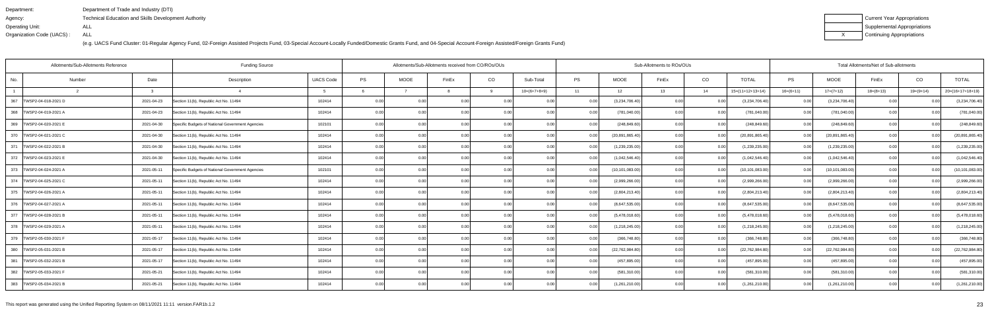| Department:               | Department of Trade and Industry (DTI)                      |
|---------------------------|-------------------------------------------------------------|
| Agency:                   | <b>Technical Education and Skills Development Authority</b> |
| Operating Unit:           | ALL                                                         |
| Organization Code (UACS): | ALL                                                         |

| Current Year Appropriations |
|-----------------------------|
| Supplemental Appropriations |
| Continuing Appropriations   |

|     | Allotments/Sub-Allotments Reference |              | <b>Funding Source</b>                            |                  | Allotments/Sub-Allotments received from CO/ROs/OUs |                   |                |          | Sub-Allotments to ROs/OUs |           |                   | Total Allotments/Net of Sub-allotments |       |                    |             |                   |             |             |                    |
|-----|-------------------------------------|--------------|--------------------------------------------------|------------------|----------------------------------------------------|-------------------|----------------|----------|---------------------------|-----------|-------------------|----------------------------------------|-------|--------------------|-------------|-------------------|-------------|-------------|--------------------|
| No. | Number                              | Date         | Description                                      | <b>UACS Code</b> | PS                                                 | <b>MOOE</b>       | FinEx          | CO       | Sub-Total                 | <b>PS</b> | <b>MOOE</b>       | FinEx                                  | CO    | <b>TOTAL</b>       | PS          | <b>MOOE</b>       | FinEx       | CO          | <b>TOTAL</b>       |
|     |                                     | $\mathbf{B}$ |                                                  |                  |                                                    |                   |                | <b>q</b> | $10=(6+7+8+9)$            | 11        | 12                | 13                                     | 14    | $15=(11+12+13+14)$ | $16=(6+11)$ | $17=(7+12)$       | $18=(8+13)$ | $19=(9+14)$ | $20=(16+17+18+19)$ |
| 367 | TWSP2-04-018-2021 D                 | 2021-04-23   | Section 11(b), Republic Act No. 11494            | 102414           | 0.00                                               |                   | 0.0            | 0.00     | 0.00                      |           | (3,234,706.40)    | 0.00                                   |       | (3,234,706.40)     | 0.00        | (3,234,706.40)    |             |             | (3,234,706.40)     |
|     | 368   TWSP2-04-019-2021 A           | 2021-04-23   | Section 11(b), Republic Act No. 11494            | 102414           | 0.00                                               | 0.001             | 0 <sub>0</sub> | 0.00     | 0.00                      | 0.00      | (781, 040.00)     | 0.00                                   | 0.00  | (781, 040.00)      | 0.00        | (781, 040.00)     | 0.00        |             | (781, 040.00)      |
|     | 369   TWSP2-04-020-2021 E           | 2021-04-30   | Specific Budgets of National Government Agencies | 102101           | 0.00                                               | 0.00              | 0.00           | 0.00     | 0.00                      | 0.00      | (248, 849.60)     | 0.00                                   | 0.001 | (248, 849.60)      | 0.00        | (248, 849.60)     | 0.00        | 0.00        | (248, 849.60)      |
|     | 370   TWSP2-04-021-2021 C           | 2021-04-30   | Section 11(b), Republic Act No. 11494            | 102414           | 0.00                                               | 0.001             | 0.00           | 0.00     | 0.00                      |           | (20, 891, 865.40) | 0.00                                   | 0.00  | (20, 891, 865.40)  | 0.00        | (20, 891, 865.40) | 0.00        | 0.00        | (20, 891, 865.40)  |
|     | 371   TWSP2-04-022-2021 B           | 2021-04-30   | Section 11(b), Republic Act No. 11494            | 102414           | 0.00                                               | 0.001             | $\Omega$       | 0.00     | 0.00                      | 0.00      | (1,239,235.00)    | 0.00                                   | 0.00  | (1,239,235.00)     | 0.00        | (1,239,235.00)    | 0.001       | 0.00        | (1,239,235.00)     |
|     | 372   TWSP2-04-023-2021 E           | 2021-04-30   | Section 11(b), Republic Act No. 11494            | 102414           | 0.00                                               | 0.00              | 0.00           | 0.00     | 0.00                      | 0.00      | (1,042,546.40)    | 0.00                                   | 0.00  | (1,042,546.40)     | 0.00        | (1,042,546.40)    | 0.00        | 0.00        | (1,042,546.40)     |
|     | 373   TWSP2-04-024-2021 A           | 2021-05-11   | Specific Budgets of National Government Agencies | 102101           | 0.00                                               | 0.00 <sub>1</sub> | 0.00           | 0.00     | 0.00                      | 0.00      | (10, 101, 083.00) | 0.00                                   | 0.001 | (10, 101, 083.00)  | 0.00        | (10, 101, 083.00) | 0.00        | 0.00        | (10, 101, 083.00)  |
|     | 374   TWSP2-04-025-2021 C           | 2021-05-11   | Section 11(b), Republic Act No. 11494            | 102414           | 0.00                                               | 0.00              | 0 <sub>0</sub> | 0.00     | 0.00                      |           | (2,999,266.00)    | 0.00                                   | 0.00  | (2,999,266.00)     | 0.00        | (2,999,266.00)    | 0.00        |             | (2,999,266.00)     |
|     | 375   TWSP2-04-026-2021 A           | 2021-05-11   | Section 11(b), Republic Act No. 11494            | 102414           | 0.00                                               | 0.00              | 0 <sub>0</sub> | 0.00     | 0.00                      |           | (2,804,213.40)    | 0.00                                   | 0.00  | (2,804,213.40)     | 0.00        | (2,804,213.40)    | 0.00        | n no        | (2,804,213.40)     |
|     | 376   TWSP2-04-027-2021 A           | 2021-05-11   | Section 11(b), Republic Act No. 11494            | 102414           | 0.00                                               | 0.00 <sub>1</sub> | 0.00           | 0.00     | 0.00                      | 0.00      | (8,647,535.00)    | 0.00                                   | 0.00  | (8,647,535.00)     | 0.00        | (8,647,535.00)    | 0.00        | 0.00        | (8,647,535.00)     |
|     | 377   TWSP2-04-028-2021 B           | 2021-05-11   | Section 11(b), Republic Act No. 11494            | 102414           | 0.00                                               | 0.00              | 0.00           | 0.00     | 0.00                      |           | (5,478,018.60)    | 0.00                                   | 0.00  | (5,478,018.60)     | 0.00        | (5,478,018.60)    | 0.00        | 0.00        | (5,478,018.60)     |
|     | 378   TWSP2-04-029-2021 A           | 2021-05-11   | Section 11(b), Republic Act No. 11494            | 102414           | 0.00                                               | 0.00              | $\Omega$       | 0.00     | 0.00                      | 0.00      | (1,218,245.00)    | 0.00                                   | 0.00  | (1,218,245.00)     | 0.00        | (1,218,245.00)    | 0.00        | -0.00       | (1,218,245.00)     |
|     | 379 TWSP2-05-030-2021 F             | 2021-05-17   | Section 11(b), Republic Act No. 11494            | 102414           | 0.00                                               | 0.00 <sub>l</sub> | 0.00           | 0.00     | 0.00                      | 0.00      | (366, 748.80)     | 0.00                                   | 0.00  | (366, 748.80)      | 0.00        | (366, 748.80)     | 0.00        | 0.00        | (366, 748.80)      |
|     | 380   TWSP2-05-031-2021 B           | 2021-05-17   | Section 11(b), Republic Act No. 11494            | 102414           | 0.00                                               | 0.00              | 0.00           | 0.00     | 0.00                      |           | (22,762,984.80)   | 0.00                                   | 0.00  | (22, 762, 984.80)  | 0.00        | (22, 762, 984.80) | 0.00        | 0.00        | (22, 762, 984.80)  |
|     | 381   TWSP2-05-032-2021 B           | 2021-05-17   | Section 11(b), Republic Act No. 11494            | 102414           | 0.00                                               | 0.001             | 0 <sub>0</sub> | 0.00     | 0.00                      |           | (457,895.00       | 0.00                                   | 0.00  | (457, 895.00)      | 0.00        | (457, 895.00)     | 0.00        | n no        | (457, 895.00)      |
|     | 382   TWSP2-05-033-2021 F           | 2021-05-21   | Section 11(b), Republic Act No. 11494            | 102414           | 0.00                                               | 0.001             |                | 0.00     | 0.00                      |           | (581,310.00)      | 0.00                                   | 0.00  | (581, 310.00)      | 0.00        | (581,310.00)      | 0.00        |             | (581, 310.00)      |
|     | 383   TWSP2-05-034-2021 B           | 2021-05-21   | Section 11(b), Republic Act No. 11494            | 102414           | 0.00                                               | 0.00              | 0.00           | 0.00     | 0.00                      | 0.00      | (1,261,210.00)    | 0.00                                   | 0.001 | (1,261,210.00)     | 0.00        | (1,261,210.00)    | 0.00        | 0.00        | (1,261,210.00)     |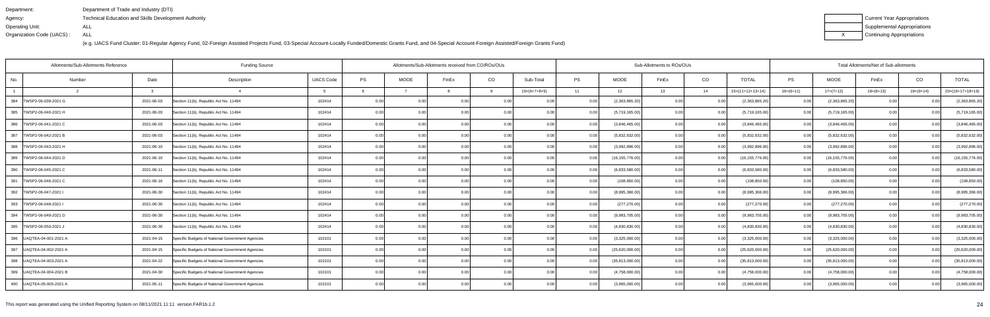| Department:               | Department of Trade and Industry (DTI)               |
|---------------------------|------------------------------------------------------|
| Agency:                   | Technical Education and Skills Development Authority |
| Operating Unit:           | ALL                                                  |
| Organization Code (UACS): | ALL                                                  |

| Current Year Appropriations |
|-----------------------------|
| Supplemental Appropriations |
| Continuing Appropriations   |

| Allotments/Sub-Allotments Reference<br><b>Funding Source</b> |                |                                                  |                  |      | Allotments/Sub-Allotments received from CO/ROs/OUs |                |      |                |           |                   | Sub-Allotments to ROs/OUs |        |                    |             | Total Allotments/Net of Sub-allotments |             |             |                    |  |  |
|--------------------------------------------------------------|----------------|--------------------------------------------------|------------------|------|----------------------------------------------------|----------------|------|----------------|-----------|-------------------|---------------------------|--------|--------------------|-------------|----------------------------------------|-------------|-------------|--------------------|--|--|
| No.                                                          | Date<br>Number | Description                                      | <b>UACS Code</b> | PS   | <b>MOOE</b>                                        | FinEx          | CO   | Sub-Total      | <b>PS</b> | <b>MOOE</b>       | FinEx                     | CO     | <b>TOTAL</b>       | PS          | <b>MOOE</b>                            | FinEx       | CO          | <b>TOTAL</b>       |  |  |
|                                                              | $\mathcal{R}$  |                                                  |                  |      |                                                    |                | 9    | $10=(6+7+8+9)$ | 11        | 12                | 13                        | 14     | $15=(11+12+13+14)$ | $16=(6+11)$ | $17=(7+12)$                            | $18=(8+13)$ | $19=(9+14)$ | $20=(16+17+18+19)$ |  |  |
| 384<br>TWSP2-06-039-2021 G                                   | 2021-06-03     | Section 11(b), Republic Act No. 11494            | 102414           | 0.00 | 0 <sub>0</sub>                                     | 0.0(           |      | 0.00           |           | (2,363,865.20)    | 0.00                      |        | (2,363,865.20)     | 0.00        | (2,363,865.20)                         |             |             | (2,363,865.20)     |  |  |
| 385  TWSP2-06-040-2021 H                                     | 2021-06-03     | Section 11(b), Republic Act No. 11494            | 102414           | 0.00 | 0.00                                               | 0.00           | 0.00 | 0.00           | 0.00      | (5,719,165.00)    | 0.00                      | 0.00   | (5,719,165.00)     | 0.001       | (5,719,165.00)                         | 0.001       | 0.00        | (5,719,165.00)     |  |  |
| 386   TWSP2-06-041-2021 C                                    | 2021-06-03     | Section 11(b), Republic Act No. 11494            | 102414           | 0.00 | 0.00                                               | 0.00           | 0.00 | 0.00           | 0.00      | (3,846,465.00)    | 0.00                      | 0.00   | (3,846,465.00)     | 0.00        | (3,846,465.00)                         | 0.00        | 0.00        | (3,846,465.00)     |  |  |
| 387<br>TWSP2-06-042-2021 B                                   | 2021-06-03     | Section 11(b), Republic Act No. 11494            | 102414           | 0.00 | 0.00                                               | 0.00           | 0.00 | 0.00           | 0.00      | (5,832,632.00)    | 0.00                      | 0.00   | (5,832,632.00)     | 0.00        | (5,832,632.00)                         | 0.00        | 0.00        | (5,832,632.00)     |  |  |
| 388   TWSP2-06-043-2021 H                                    | 2021-06-10     | Section 11(b), Republic Act No. 11494            | 102414           | 0.00 | 0.00                                               | 0 <sub>0</sub> | 0.00 | 0.00           | 0.00      | (3,992,896.00)    | 0.00                      | 0.00   | (3,992,896.00)     | 0.00        | (3,992,896.00)                         | 0.00        | 0.00        | (3,992,896.00)     |  |  |
| 389   TWSP2-06-044-2021 D                                    | 2021-06-10     | Section 11(b), Republic Act No. 11494            | 102414           | 0.00 | 0.00                                               | 0.00           | 0.00 | 0.00           | 0.00      | (16, 155, 776.00) | 0.00                      | 0.00   | (16, 155, 776.00)  | 0.001       | (16, 155, 776.00)                      | 0.00        | 0.00        | (16, 155, 776.00)  |  |  |
| 390   TWSP2-06-045-2021 C                                    | 2021-06-11     | Section 11(b), Republic Act No. 11494            | 102414           | 0.00 | 0.00                                               | 0.00           | 0.00 | 0.00           | 0.00      | (6,833,580.00)    | 0.00                      | 0.00   | (6,833,580.00)     | 0.00        | (6,833,580.00)                         | 0.00        | 0.00        | (6,833,580.00)     |  |  |
| 391   TWSP2-06-046-2021 C                                    | 2021-06-16     | Section 11(b), Republic Act No. 11494            | 102414           | 0.00 | 0.00                                               | 0.00           | 0.00 | 0.00           | 0.00      | (108, 850.00)     | 0.00                      | 0.00   | (108, 850.00)      | 0.001       | (108, 850.00)                          | 0.00        | -0.00       | (108, 850.00)      |  |  |
| 392<br>TWSP2-06-047-2021                                     | 2021-06-30     | Section 11(b), Republic Act No. 11494            | 102414           | 0.00 | 0.00                                               | 0.00           | 0.00 | 0.00           | 0.00      | (8,995,366.00)    | 0.00                      | 0.00   | (8,995,366.00)     | 0.00        | (8,995,366.00)                         | 0.001       | -0.00       | (8,995,366.00)     |  |  |
| 393   TWSP2-06-048-2021 I                                    | 2021-06-30     | Section 11(b), Republic Act No. 11494            | 102414           | 0.00 | 0.00                                               | 0.00           | 0.00 | 0.00           | 0.00      | (277, 270.00)     | 0.00                      | 0.00   | (277, 270.00)      | 0.00        | (277, 270.00)                          | 0.00        | 0.00        | (277, 270.00)      |  |  |
| 394<br>TWSP2-06-049-2021 D                                   | 2021-06-30     | Section 11(b), Republic Act No. 11494            | 102414           | 0.00 |                                                    | 0 <sub>0</sub> | 0.00 | 0.00           |           | (9,983,705.00)    | 0.00                      | 0.00   | (9,983,705.00)     | 0.00        | (9,983,705.00)                         | 0.00        | n nr        | (9,983,705.00)     |  |  |
| 395<br>TWSP2-06-050-2021                                     | 2021-06-30     | Section 11(b), Republic Act No. 11494            | 102414           | 0.00 | 0.00                                               | 0 <sub>0</sub> | 0.00 | 0.00           |           | (4,830,830.00)    | 0.00                      | 0.00   | (4,830,830.00)     | 0.00        | (4,830,830.00)                         | 0.00        |             | (4,830,830.00)     |  |  |
| 396   UAQTEA-04-001-2021 A                                   | 2021-04-15     | Specific Budgets of National Government Agencies | 102101           | 0.00 | 0.00                                               | 0.00           | 0.00 | 0.00           | 0.001     | (3,325,000.00)    | 0.00                      | 0.00   | (3,325,000.00)     | 0.00        | (3,325,000.00)                         | 0.00        | 0.00        | (3,325,000.00)     |  |  |
| 397   UAQTEA-04-002-2021 A                                   | 2021-04-15     | Specific Budgets of National Government Agencies | 102101           | 0.00 | 0.00                                               | 0.0(           | 0.00 | 0.00           |           | (25,620,000.00)   | 0.00                      | 0.00   | (25,620,000.00)    | 0.00        | (25,620,000.00)                        | 0.00        |             | (25,620,000.00)    |  |  |
| 398   UAQTEA-04-003-2021 A                                   | 2021-04-22     | Specific Budgets of National Government Agencies | 102101           | 0.00 | 0.00                                               | 0 <sub>0</sub> | 0.00 | 0.00           |           | (35,813,000.00)   | 0.00                      | - 0.00 | (35,813,000.00)    | 0.00        | (35,813,000.00)                        | 0.00        |             | (35,813,000.00)    |  |  |
| 399   UAQTEA-04-004-2021 B                                   | 2021-04-30     | Specific Budgets of National Government Agencies | 102101           | 0.00 | 0.00                                               |                | 0.00 | 0.00           | 0.00      | (4,758,000.00)    | 0.00                      | 0.00   | (4,758,000.00)     | 0.00        | (4,758,000.00)                         | 0.00        |             | (4,758,000.00)     |  |  |
| 400   UAQTEA-05-005-2021 A                                   | 2021-05-11     | Specific Budgets of National Government Agencies | 102101           | 0.00 | 0.00                                               | 0 <sub>0</sub> | 0.00 | 0.00           |           | (3,965,000.00)    | 0.00                      | _0.00  | (3,965,000.00)     | 0.00        | (3,965,000.00)                         | 0.00        |             | (3,965,000.00)     |  |  |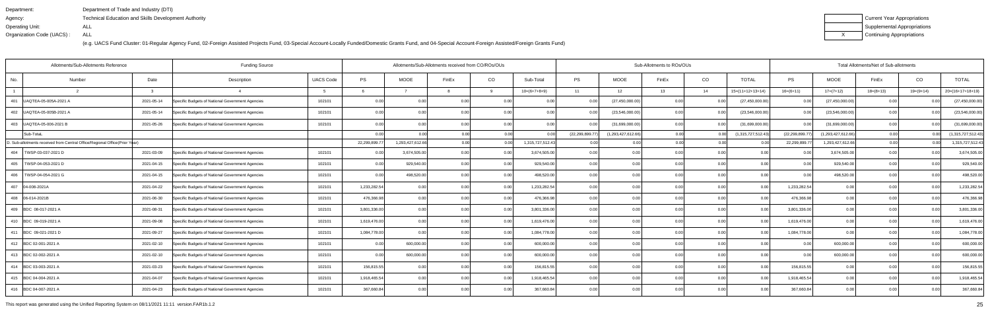| Department:               | Department of Trade and Industry (DTI)                      |
|---------------------------|-------------------------------------------------------------|
| Agency:                   | <b>Technical Education and Skills Development Authority</b> |
| Operating Unit:           | ALL                                                         |
| Organization Code (UACS): | ALL                                                         |

| Current Year Appropriations |
|-----------------------------|
| Supplemental Appropriations |
| Continuing Appropriations   |

|                  | Allotments/Sub-Allotments Reference                                        |              | <b>Funding Source</b>                            |                  |               |                   | Allotments/Sub-Allotments received from CO/ROs/OUs |      |                  |                |                    | Sub-Allotments to ROs/OUs |      |                    |                  |                    | Total Allotments/Net of Sub-allotments |             |                    |  |  |  |  |
|------------------|----------------------------------------------------------------------------|--------------|--------------------------------------------------|------------------|---------------|-------------------|----------------------------------------------------|------|------------------|----------------|--------------------|---------------------------|------|--------------------|------------------|--------------------|----------------------------------------|-------------|--------------------|--|--|--|--|
| No.              | Number                                                                     | Date         | Description                                      | <b>UACS Code</b> | PS            | <b>MOOE</b>       | FinEx                                              | CO   | Sub-Total        | <b>PS</b>      | <b>MOOE</b>        | FinEx                     | CO   | <b>TOTAL</b>       | PS               | <b>MOOE</b>        | FinEx                                  | CO          | <b>TOTAL</b>       |  |  |  |  |
|                  |                                                                            | $\mathbf{3}$ |                                                  |                  |               |                   |                                                    | -9   | $10=(6+7+8+9)$   | 11             | 12                 | 13                        | 14   | $15=(11+12+13+14)$ | $16=(6+11)$      | $17=(7+12)$        | $18=(8+13)$                            | $19=(9+14)$ | $20=(16+17+18+19)$ |  |  |  |  |
| 401              | UAQTEA-05-005A-2021 A                                                      | 2021-05-14   | Specific Budgets of National Government Agencies | 102101           | 0.00          | 0.00              | 0.0                                                | 0.00 | 0.00             | 0.00           | (27, 450, 000.00)  | 0.00                      |      | (27, 450, 000.00)  | 0.00             | (27, 450, 000.00)  | 0 <sub>0</sub>                         |             | (27, 450, 000.00)  |  |  |  |  |
|                  | 402   UAQTEA-05-005B-2021 A                                                | 2021-05-14   | Specific Budgets of National Government Agencies | 102101           | 0.00          | 0.00 <sub>l</sub> | 0.00                                               | 0.00 | 0.00             | 0.00           | (23,546,000.00)    | 0.00 <sub>l</sub>         | 0.00 | (23,546,000.00)    | 0.00             | (23,546,000.00)    | 0.00                                   | 0.00        | (23,546,000.00)    |  |  |  |  |
|                  | 403   UAQTEA-05-006-2021 B                                                 | 2021-05-26   | Specific Budgets of National Government Agencies | 102101           | 0.00          | 0.00              | 0 <sub>0</sub>                                     | 0.00 | 0.00             |                | (31,699,000.00)    | 0.00                      | 0.00 | (31,699,000.00)    | 0.00             | (31,699,000.00)    | 0.00                                   | 0.00        | (31,699,000.00)    |  |  |  |  |
|                  | Sub-TotaL                                                                  |              |                                                  |                  | 0.00          |                   |                                                    | 0.00 |                  | (22,299,899.77 | (1,293,427,612.66) | 0.00                      |      | (1,315,727,512.43) | (22, 299, 899.7) | (1,293,427,612.66) | 0.00                                   |             | (1,315,727,512.43) |  |  |  |  |
|                  | D. Sub-allotments received from Central Office/Regional Office(Prior Year) |              |                                                  |                  | 22,299,899.77 | 1,293,427,612.66  | 0.00l                                              | 0.00 | 1,315,727,512.43 | 0.00           | 0.00               | 0.00                      | 0.00 | 0 <sub>0</sub>     | 22,299,899.7     | 1,293,427,612.66   | 0.00                                   |             | 1,315,727,512.43   |  |  |  |  |
|                  | 404   TWSP-03-037-2021 D                                                   | 2021-03-09   | Specific Budgets of National Government Agencies | 102101           | 0.00          | 3,674,505.00      | 0 <sub>0</sub>                                     | 0.00 | 3,674,505.00     | 0.00           | 0.00               | 0.00                      | 0.00 | 0.00               | 0 <sub>0</sub>   | 3,674,505.00       | 0.0                                    |             | 3,674,505.00       |  |  |  |  |
|                  | 405   TWSP-04-053-2021 D                                                   | 2021-04-15   | Specific Budgets of National Government Agencies | 102101           | 0.00          | 929,540.00        | 0.00                                               | 0.00 | 929,540.00       | 0.00           | 0.00               | 0.00                      | 0.00 | 0.00               | 0.00             | 929,540.00         | 0.00                                   | 0.00        | 929,540.00         |  |  |  |  |
|                  | 406   TWSP-04-054-2021 G                                                   | 2021-04-15   | Specific Budgets of National Government Agencies | 102101           | 0.00          | 498,520.00        | 0.00                                               | 0.00 | 498,520.00       | 0.00           | 0.00               | 0.00                      | 0.00 | 0.00               | 0.00             | 498,520.00         | 0.00                                   | 0.00        | 498,520.00         |  |  |  |  |
| 407 04-008-2021A |                                                                            | 2021-04-22   | Specific Budgets of National Government Agencies | 102101           | 1,233,282.54  | 0.00              | 0 <sub>0</sub>                                     | 0.00 | 1,233,282.54     | 0.00           | 0.00               | 0.00                      | 0.00 | 0.00               | 1,233,282.54     | 0.00               | 0.00                                   | 0.00        | 1,233,282.54       |  |  |  |  |
| 408 06-014-2021B |                                                                            | 2021-06-30   | Specific Budgets of National Government Agencies | 102101           | 476,366.98    | 0.00              | 0.00                                               | 0.00 | 476,366.98       | 0.00           | 0.00               | 0.00                      | 0.00 | 0.00               | 476,366.98       | 0.00               | 0.00                                   | 0.00        | 476,366.98         |  |  |  |  |
|                  | 409 BDC 08-017-2021 A                                                      | 2021-08-31   | Specific Budgets of National Government Agencies | 102101           | 3,801,336.00  | 0.00              | 0.0                                                | 0.00 | 3,801,336.00     | 0.00           | 0.00               | 0.00                      | 0.00 | 0.00               | 3,801,336.00     | 0.00               | 0.0(                                   | 0.00        | 3,801,336.00       |  |  |  |  |
|                  | 410 BDC 09-019-2021 A                                                      | 2021-09-08   | Specific Budgets of National Government Agencies | 102101           | 1,619,476.00  | 0.001             | 0 <sub>0</sub>                                     | 0.00 | 1,619,476.00     | 0.00           | 0.00               | 0.00                      | 0.00 | 0.00               | 1,619,476.00     | 0.00               | 0.00                                   | 0.00        | 1,619,476.00       |  |  |  |  |
|                  | 411 BDC 09-021-2021 D                                                      | 2021-09-27   | Specific Budgets of National Government Agencies | 102101           | 1,084,778.00  | 0.001             | 0.00                                               | 0.00 | 1,084,778.00     | 0.00           | 0.00               | 0.00                      | 0.00 | 0.00               | 1,084,778.00     | 0.00               | 0.00                                   | 0.00        | 1,084,778.00       |  |  |  |  |
|                  | 412 BDC 02-001-2021 A                                                      | 2021-02-10   | Specific Budgets of National Government Agencies | 102101           | 0.00          | 600,000.00        | 0 <sub>0</sub>                                     | 0.00 | 600,000.00       | 0.00           | 0.00               | 0.00                      | 0.00 | 0.00               | 0.00             | 600,000.00         | 0.00                                   | 0.00        | 600,000.00         |  |  |  |  |
|                  | 413 BDC 02-002-2021 A                                                      | 2021-02-10   | Specific Budgets of National Government Agencies | 102101           | 0.00          | 600,000.00        | 0.00                                               | 0.00 | 600,000.00       | 0.00           | 0.00               | 0.00                      | 0.00 | 0.00               | 0.00             | 600,000.00         | 0.00                                   | 0.00        | 600,000.00         |  |  |  |  |
|                  | 414 BDC 03-003-2021 A                                                      | 2021-03-23   | Specific Budgets of National Government Agencies | 102101           | 156,815.55    | 0 <sub>0</sub>    | 0 <sub>0</sub>                                     | 0.00 | 156,815.55       | 0.00           | 0.00               | 0.00                      | 0.00 | 0.00               | 156,815.55       | 0.00               | 0 <sub>0</sub>                         | 0.00        | 156,815.55         |  |  |  |  |
|                  | 415 BDC 04-004-2021 A                                                      | 2021-04-07   | Specific Budgets of National Government Agencies | 102101           | 1,918,465.54  | 0.00              | 0.0                                                | 0.00 | 1,918,465.54     | 0.00           | 0.00               | 0.00                      | 0.00 | 0.00               | 1,918,465.54     | 0.00               | 0.00                                   | 0.00        | 1,918,465.54       |  |  |  |  |
|                  | 416 BDC 04-007-2021 A                                                      | 2021-04-23   | Specific Budgets of National Government Agencies | 102101           | 367,660.84    | 0.00              | 0.00                                               | 0.00 | 367,660.84       | 0.00           | 0.00               | 0.00                      | 0.00 | 0.00               | 367,660.84       | 0.00               | 0.00                                   | 0.00        | 367,660.84         |  |  |  |  |

This report was generated using the Unified Reporting System on 08/11/2021 11:11 version.FAR1b.1.2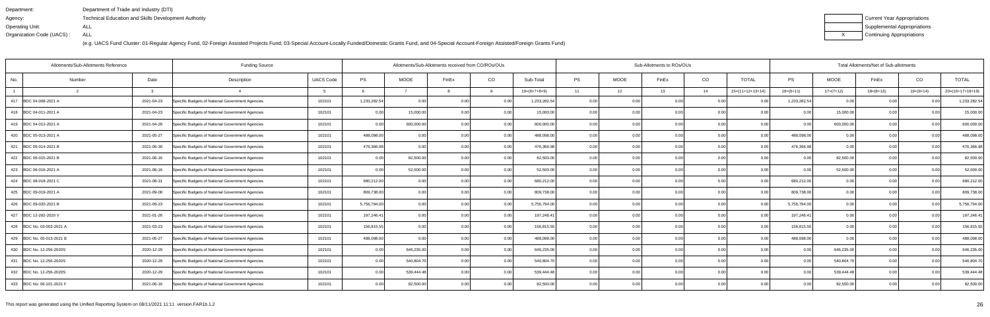| Department:               | Department of Trade and Industry (DTI)                      |
|---------------------------|-------------------------------------------------------------|
| Agency:                   | <b>Technical Education and Skills Development Authority</b> |
| Operating Unit:           | ALL                                                         |
| Organization Code (UACS): | ALL                                                         |

| Current Year Appropriations |
|-----------------------------|
| Supplemental Appropriations |
| Continuing Appropriations   |

|                           | Allotments/Sub-Allotments Reference |            | <b>Funding Source</b>                            |                  |              |             | Allotments/Sub-Allotments received from CO/ROs/OUs |          |                |           |             | Sub-Allotments to ROs/OUs |      |                    |                |             |      | Total Allotments/Net of Sub-allotments<br>CO<br>FinEx<br>$18=(8+13)$<br>19=(9+14)<br>0.00<br>0.00<br>0.00<br>0.00<br>0.00<br>0.00<br>0.00<br>0.0<br>0 <sub>0</sub><br>0.00<br>0.00<br>0.00<br>0.00 |                    |  |  |  |
|---------------------------|-------------------------------------|------------|--------------------------------------------------|------------------|--------------|-------------|----------------------------------------------------|----------|----------------|-----------|-------------|---------------------------|------|--------------------|----------------|-------------|------|----------------------------------------------------------------------------------------------------------------------------------------------------------------------------------------------------|--------------------|--|--|--|
| No.                       | Number                              | Date       | Description                                      | <b>UACS Code</b> | PS           | <b>MOOE</b> | FinEx                                              | CO       | Sub-Total      | <b>PS</b> | <b>MOOE</b> | FinEx                     | CO   | <b>TOTAL</b>       | <b>PS</b>      | <b>MOOE</b> |      |                                                                                                                                                                                                    | <b>TOTAL</b>       |  |  |  |
|                           |                                     |            |                                                  |                  |              |             |                                                    | $\alpha$ | $10=(6+7+8+9)$ | 11        | 12          | 13                        | 14   | $15=(11+12+13+14)$ | $16=(6+11)$    | $17=(7+12)$ |      |                                                                                                                                                                                                    | $20=(16+17+18+19)$ |  |  |  |
| 417 BDC 04-008-2021 A     |                                     | 2021-04-23 | Specific Budgets of National Government Agencies | 102101           | 1,233,282.54 | 0.00        | 0.00                                               | 0.00     | 1,233,282.54   | 0.00      | 0.00        | 0.00                      | 0.00 |                    | 1,233,282.54   | 0.00        |      |                                                                                                                                                                                                    | 1,233,282.54       |  |  |  |
| 418 BDC 04-011-2021 A     |                                     | 2021-04-23 | Specific Budgets of National Government Agencies | 102101           | 0.00         | 15,000.00   | 0.00                                               | 0.00     | 15,000.00      | 0.00      | 0.00        | 0.00                      | 0.00 | 0.001              | 0.0            | 15,000.00   |      |                                                                                                                                                                                                    | 15,000.00          |  |  |  |
| 419 BDC 04-012-2021 A     |                                     | 2021-04-26 | Specific Budgets of National Government Agencies | 102101           | 0.00         | 600,000.00  | 0.00                                               | 0.00     | 600,000.00     | 0.001     | 0.00        | 0.00                      | 0.00 | 0.00               | 0.00           | 600,000.00  |      |                                                                                                                                                                                                    | 600,000.00         |  |  |  |
| 420 BDC 05-013-2021 A     |                                     | 2021-05-27 | Specific Budgets of National Government Agencies | 102101           | 488,098.00   | 0.00        | 0.00                                               | 0.00     | 488,098.00     | 0.00      | 0.00        | 0.00                      | 0.00 | 0.00               | 488,098.00     | 0.00        |      |                                                                                                                                                                                                    | 488,098.00         |  |  |  |
| 421 BDC 06-014-2021 B     |                                     | 2021-06-30 | Specific Budgets of National Government Agencies | 102101           | 476,366.98   | 0.00        | 0.00                                               | 0.00     | 476,366.98     | 0.00      | 0.00        | 0.00                      | 0.00 | 0.00               | 476,366.98     | 0.00        |      |                                                                                                                                                                                                    | 476,366.98         |  |  |  |
| 422 BDC 06-015-2021 B     |                                     | 2021-06-16 | Specific Budgets of National Government Agencies | 102101           | 0.00         | 82,500.00   | 0.00                                               | 0.00     | 82,500.00      | 0.00      | 0.00        | 0.00                      | 0.00 | 0.00               | 0.00           | 82,500.00   |      |                                                                                                                                                                                                    | 82,500.00          |  |  |  |
| 423 BDC 06-016-2021 A     |                                     | 2021-06-16 | Specific Budgets of National Government Agencies | 102101           | 0.00         | 52,500.00   | 0.00                                               | 0.00     | 52,500.00      | 0.00      | 0.00        | 0.00                      | 0.00 | 0.00               | 0.00           | 52,500.00   |      |                                                                                                                                                                                                    | 52,500.00          |  |  |  |
| 424 BDC 08-018-2021 C     |                                     | 2021-08-31 | Specific Budgets of National Government Agencies | 102101           | 680,212.00   | 0.00        | 0.00                                               | 0.00     | 680,212.00     | 0.00      | 0.00        | 0.00                      | 0.00 | 0.00               | 680,212.00     | 0.00        | 0.00 |                                                                                                                                                                                                    | 680,212.00         |  |  |  |
| 425 BDC 09-019-2021 A     |                                     | 2021-09-08 | Specific Budgets of National Government Agencies | 102101           | 809,738.00   | 0.001       | 0.00                                               | 0.00     | 809,738.00     | 0.001     | 0.00        | 0.00                      | 0.00 | 0.00               | 809,738.00     | 0.00        | 0.00 | 0.00                                                                                                                                                                                               | 809,738.00         |  |  |  |
| 426 BDC 09-020-2021 B     |                                     | 2021-09-23 | Specific Budgets of National Government Agencies | 102101           | 5,756,794.00 | 0.00        | 0.00                                               | 0.00     | 5,756,794.00   | 0.00      | 0.00        | 0.00                      | 0.00 | 0.00               | 5,756,794.00   | 0.00        | 0.00 | 0.00                                                                                                                                                                                               | 5,756,794.00       |  |  |  |
| 427 BDC 12-282-2020 V     |                                     | 2021-01-26 | Specific Budgets of National Government Agencies | 102101           | 197,246.41   | 0.00        | 0.00                                               | 0.00     | 197,246.41     | 0.00      | 0.00        | 0.00                      | 0.00 | 0.0                | 197,246.41     | 0.00        | 0.00 |                                                                                                                                                                                                    | 197,246.41         |  |  |  |
| 428 BDC No. 03-003-2021 A |                                     | 2021-03-23 | Specific Budgets of National Government Agencies | 102101           | 156,815.55   | 0.00        | 0.00                                               | 0.00     | 156,815.55     | 0.00      | 0.00        | 0.00                      | 0.00 | 0.00               | 156,815.55     | 0.00        | 0.0  | 0 <sub>0</sub>                                                                                                                                                                                     | 156,815.55         |  |  |  |
| 429 BDC No. 05-013-2021 B |                                     | 2021-05-27 | Specific Budgets of National Government Agencies | 102101           | 488,098.00   | 0.00        | 0.00                                               | 0.00     | 488,098.00     | 0.00      | 0.00        | 0.00                      | 0.00 | 0.00               | 488,098.00     | 0.00        | 0.00 | 0.00                                                                                                                                                                                               | 488,098.00         |  |  |  |
| 430 BDC No. 12-256-2020S  |                                     | 2020-12-29 | Specific Budgets of National Government Agencies | 102101           | 0.00         | 646,235.00  | 0.OC                                               | 0.00     | 646,235.00     | 0.00      | 0.00        | 0.00                      | 0.00 | 0.00               | 0 <sub>0</sub> | 646,235.00  | 0.00 | ი იი                                                                                                                                                                                               | 646,235.00         |  |  |  |
| 431 BDC No. 12-256-2020S  |                                     | 2020-12-29 | Specific Budgets of National Government Agencies | 102101           | 0.00         | 540,804.70  | 0.00                                               | 0.00     | 540,804.70     | 0.00      | 0.00        | 0.00                      | 0.00 | 0.00               | 0 <sub>0</sub> | 540,804.7   | 0.00 | 0 <sub>0</sub>                                                                                                                                                                                     | 540,804.70         |  |  |  |
| 432 BDC No. 12-256-2020S  |                                     | 2020-12-29 | Specific Budgets of National Government Agencies | 102101           | 0.00         | 539,444.48  | 0.OC                                               | 0.00     | 539,444.48     | 0.00      | 0.00        | 0.00                      | 0.00 | 0.00               |                | 539,444.48  | 0.00 | ი იი                                                                                                                                                                                               | 539,444.48         |  |  |  |
| 433 BDC No: 06-101-2021 F |                                     | 2021-06-16 | Specific Budgets of National Government Agencies | 102101           | 0.00         | 82,500.00   | n nr                                               | 0.00     | 82,500.00      | 0.00      | 0.00        | 0.001                     | 0.00 | 0.001              | 0 <sub>0</sub> | 82,500.00   | 0.00 | በ በበ                                                                                                                                                                                               | 82,500.00          |  |  |  |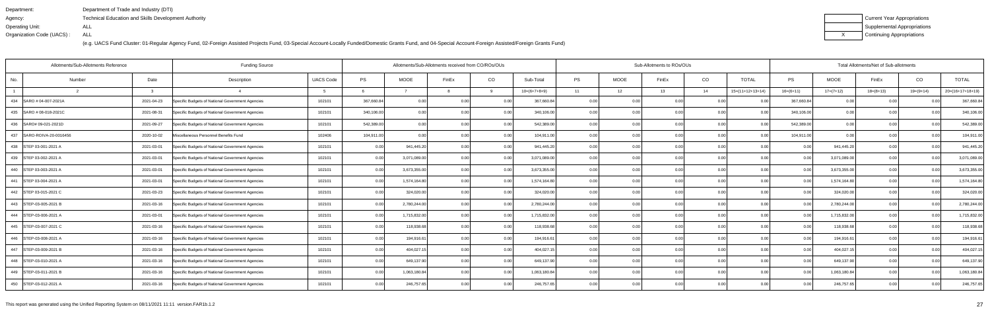| Department:               | Department of Trade and Industry (DTI)                      |
|---------------------------|-------------------------------------------------------------|
| Agency:                   | <b>Technical Education and Skills Development Authority</b> |
| Operating Unit:           | ALL                                                         |
| Organization Code (UACS): | ALL                                                         |

| Current Year Appropriations |
|-----------------------------|
| Supplemental Appropriations |
| Continuing Appropriations   |

| Allotments/Sub-Allotments Reference |            | <b>Funding Source</b>                            |                  |            |              | Allotments/Sub-Allotments received from CO/ROs/OUs |      |                |           |             | Sub-Allotments to ROs/OUs |      |                    |                |              | Total Allotments/Net of Sub-allotments | CO<br>$19=(9+14)$<br>0.00<br>0.00<br>0.00<br>0.00<br>0.00<br>0.00<br>0.0 |                    |  |  |  |  |
|-------------------------------------|------------|--------------------------------------------------|------------------|------------|--------------|----------------------------------------------------|------|----------------|-----------|-------------|---------------------------|------|--------------------|----------------|--------------|----------------------------------------|--------------------------------------------------------------------------|--------------------|--|--|--|--|
| Number<br>No.                       | Date       | Description                                      | <b>UACS Code</b> | <b>PS</b>  | <b>MOOE</b>  | FinEx                                              | CO   | Sub-Total      | <b>PS</b> | <b>MOOE</b> | FinEx                     | CO   | <b>TOTAL</b>       | <b>PS</b>      | <b>MOOE</b>  | FinEx                                  |                                                                          | <b>TOTAL</b>       |  |  |  |  |
|                                     |            |                                                  |                  |            |              |                                                    |      | $10=(6+7+8+9)$ | 11        | 12          | 13                        | 14   | $15=(11+12+13+14)$ | $16=(6+11)$    | $17=(7+12)$  | $18=(8+13)$                            |                                                                          | $20=(16+17+18+19)$ |  |  |  |  |
| 434 SARO # 04-007-2021A             | 2021-04-23 | Specific Budgets of National Government Agencies | 102101           | 367,660.84 | 0.00         | 0.00                                               | 0.00 | 367,660.84     | 0.00      | 0.00        | 0.00                      | 0.00 |                    | 367,660.84     | 0.00         |                                        |                                                                          | 367,660.84         |  |  |  |  |
| 435 SARO # 08-018-2021C             | 2021-08-31 | Specific Budgets of National Government Agencies | 102101           | 340,106.00 | 0.00         | 0.00                                               | 0.00 | 340,106.00     | 0.00      | 0.00        |                           | 0.00 | 0.00               | 340,106.00     | 0.00         |                                        |                                                                          | 340,106.00         |  |  |  |  |
| 436 SARO# 09-021-2021D              | 2021-09-27 | Specific Budgets of National Government Agencies | 102101           | 542,389.00 | 0.00         | 0.00                                               | 0.00 | 542,389.00     | 0.00      | 0.00        | 0.00                      | 0.00 | 0.00               | 542,389.00     | 0.00         |                                        |                                                                          | 542,389.00         |  |  |  |  |
| 437 SARO-ROIVA-20-0016456           | 2020-10-02 | Miscellaneous Personnel Benefits Fund            | 102406           | 104,911.00 | 0.00         | 0.00                                               | 0.00 | 104,911.00     | 0.00      | 0.00        | 0.00                      | 0.00 | 0.00               | 104,911.00     | 0.00         |                                        |                                                                          | 104,911.00         |  |  |  |  |
| 438 STEP 03-001-2021 A              | 2021-03-01 | Specific Budgets of National Government Agencies | 102101           | 0.00       | 941,445.20   | 0.00                                               | 0.00 | 941,445.20     | 0.0       | 0.00        | 0.00                      | 0.00 | 0.00               | 0.0            | 941,445.20   |                                        |                                                                          | 941,445.20         |  |  |  |  |
| 439 STEP 03-002-2021 A              | 2021-03-01 | Specific Budgets of National Government Agencies | 102101           | 0.00       | 3,071,089.00 | 0.00                                               | 0.00 | 3,071,089.00   | 0.001     | 0.00        | 0.00                      | 0.00 | 0.00               | 0.00           | 3,071,089.00 | 0.00                                   | 0.00                                                                     | 3,071,089.00       |  |  |  |  |
| 440 STEP 03-003-2021 A              | 2021-03-01 | Specific Budgets of National Government Agencies | 102101           | 0.00       | 3,673,355.00 | 0.00                                               | 0.00 | 3,673,355.00   | 0.00      | 0.00        | 0.00                      | 0.00 | 0.00               | 0.00           | 3,673,355.00 | 0.00                                   | 0.00                                                                     | 3,673,355.00       |  |  |  |  |
| 441 STEP 03-004-2021 A              | 2021-03-01 | Specific Budgets of National Government Agencies | 102101           | 0.00       | 1,574,164.80 | 0.00                                               | 0.00 | 1,574,164.80   | 0.00      | 0.00        | 0.00                      | 0.00 | 0.00               | 0.00           | 1,574,164.80 | 0.00                                   | 0.00                                                                     | 1,574,164.80       |  |  |  |  |
| 442 STEP 03-015-2021 C              | 2021-03-23 | Specific Budgets of National Government Agencies | 102101           | 0.00       | 324,020.00   | 0.00                                               | 0.00 | 324,020.00     | 0.001     | 0.00        | 0.00                      | 0.00 | 0.00               | 0.00           | 324,020.00   | 0.00                                   | 0.00                                                                     | 324,020.00         |  |  |  |  |
| 443 STEP-03-005-2021 B              | 2021-03-16 | Specific Budgets of National Government Agencies | 102101           | 0.00       | 2,780,244.00 | 0.00                                               | 0.00 | 2,780,244.00   | 0.001     | 0.00        | 0.00                      | 0.00 | 0.00               | 0.00           | 2,780,244.00 | 0.00                                   | 0.00                                                                     | 2,780,244.00       |  |  |  |  |
| 444 STEP-03-006-2021 A              | 2021-03-01 | Specific Budgets of National Government Agencies | 102101           | 0.00       | 1,715,832.00 | 0.00                                               | 0.00 | 1,715,832.00   | 0.00      | 0.00        | 0.00                      | 0.00 | 0.00               | 0.00           | 1,715,832.00 | 0.00                                   | 0.00                                                                     | 1,715,832.00       |  |  |  |  |
| 445 STEP-03-007-2021 C              | 2021-03-16 | Specific Budgets of National Government Agencies | 102101           | 0.00       | 118,938.68   | 0.00                                               | 0.00 | 118,938.68     | 0.00      | 0.00        | 0.00                      | 0.00 | 0.00               | 0 <sub>0</sub> | 118,938.68   | 0.00                                   | 0 <sub>0</sub>                                                           | 118,938.68         |  |  |  |  |
| 446 STEP-03-008-2021 A              | 2021-03-16 | Specific Budgets of National Government Agencies | 102101           | 0.00       | 194,916.6    | 0.00                                               | 0.00 | 194,916.61     | 0.00      | 0.00        | 0.00                      | 0.00 | 0.00               | 0.00           | 194,916.61   | 0.00                                   | 0.00                                                                     | 194,916.61         |  |  |  |  |
| 447 STEP-03-009-2021 B              | 2021-03-16 | Specific Budgets of National Government Agencies | 102101           | 0.00       | 404,027.1    | 0 <sub>0</sub>                                     | 0.00 | 404,027.15     | 0.00      | 0.00        | 0.00                      | 0.00 | 0.00               | 0.00           | 404,027.1    | 0.00                                   | 0.00                                                                     | 404,027.15         |  |  |  |  |
| 448 STEP-03-010-2021 A              | 2021-03-16 | Specific Budgets of National Government Agencies | 102101           | 0.00       | 649,137.90   | 0.00                                               | 0.00 | 649,137.90     | 0.00      | 0.00        | 0.00                      | 0.00 | 0.001              |                | 649,137.90   | 0.00                                   |                                                                          | 649,137.90         |  |  |  |  |
| 449 STEP-03-011-2021 B              | 2021-03-16 | Specific Budgets of National Government Agencies | 102101           | 0.00       | 1,063,180.84 | 0.OC                                               | 0.00 | 1,063,180.84   | 0.00      | 0.00        | 0.00                      | 0.00 | 0.00               |                | 1,063,180.84 | 0.00                                   | 0.00                                                                     | 1,063,180.84       |  |  |  |  |
| 450 STEP-03-012-2021 A              | 2021-03-16 | Specific Budgets of National Government Agencies | 102101           | 0.00       | 246,757.65   | n nr                                               | 0.00 | 246,757.65     | 0.00      | 0.00        | 0.001                     | 0.00 | 0.001              | 0 <sub>0</sub> | 246,757.65   | 0.00                                   |                                                                          | 246,757.65         |  |  |  |  |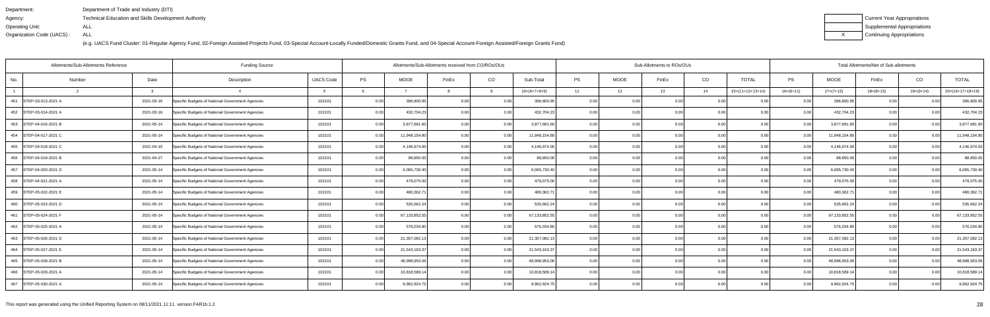| Department:               | Department of Trade and Industry (DTI)               |
|---------------------------|------------------------------------------------------|
| Agency:                   | Technical Education and Skills Development Authority |
| Operating Unit:           | ALL                                                  |
| Organization Code (UACS): | ALL                                                  |

| Current Year Appropriations |
|-----------------------------|
| Supplemental Appropriations |
| Continuing Appropriations   |

| Allotments/Sub-Allotments Reference |        |              | <b>Funding Source</b>                            |                  | Sub-Allotments to ROs/OUs<br>Allotments/Sub-Allotments received from CO/ROs/OUs |               |       |      |                 |           |             |       | Total Allotments/Net of Sub-allotments |                    |             |               |             |                |                    |
|-------------------------------------|--------|--------------|--------------------------------------------------|------------------|---------------------------------------------------------------------------------|---------------|-------|------|-----------------|-----------|-------------|-------|----------------------------------------|--------------------|-------------|---------------|-------------|----------------|--------------------|
| No.                                 | Number | Date         | Description                                      | <b>UACS Code</b> | PS                                                                              | <b>MOOE</b>   | FinEx | CO   | Sub-Total       | <b>PS</b> | <b>MOOE</b> | FinEx | CO                                     | <b>TOTAL</b>       | PS          | <b>MOOE</b>   | FinEx       | CO             | <b>TOTAL</b>       |
|                                     |        | $\mathbf{r}$ |                                                  |                  |                                                                                 |               |       | a    | $10=(6+7+8+9)$  | 11        | 12          | 13    | 14                                     | $15=(11+12+13+14)$ | $16=(6+11)$ | $17=(7+12)$   | $18=(8+13)$ | $19=(9+14)$    | $20=(16+17+18+19)$ |
| 451 STEP-03-013-2021 A              |        | 2021-03-16   | Specific Budgets of National Government Agencies | 102101           | 0.00                                                                            | 396,800.95    | 0.00  | 0.00 | 396,800.95      | 0.00      | 0.00        | 0.00  | 0.0                                    |                    | 0.00        | 396,800.95    | 0.00        | 0.0            | 396,800.95         |
| 452 STEP-03-014-2021 A              |        | 2021-03-16   | Specific Budgets of National Government Agencies | 102101           | 0.00                                                                            | 432,704.23    | 0.00  | 0.00 | 432,704.23      | 0.00      | 0.00        | 0.OC  | 0.00                                   | 0.00               | 0.00        | 432,704.23    | 0.00        | 0 <sub>0</sub> | 432,704.23         |
| 453 STEP-04-016-2021 B              |        | 2021-05-14   | Specific Budgets of National Government Agencies | 102101           | 0.00                                                                            | 3,877,681.60  | 0.00  | 0.00 | 3,877,681.60    | 0.00      | 0.00        | n nc  | 0.00                                   | 0.00               | 0.00        | 3,877,681.60  | 0.00        | 0.00           | 3,877,681.60       |
| 454 STEP-04-017-2021 C              |        | 2021-05-14   | Specific Budgets of National Government Agencies | 102101           | 0.00                                                                            | 11,948,154.80 | 0.00  | 0.00 | 11,948,154.80   | 0.00      | 0.00        | 0.00  | 0.00                                   | 0.00               | 0.00        | 11,948,154.80 | 0.00        | 0.00           | 11,948,154.80      |
| 455 STEP-04-018-2021 C              |        | 2021-04-15   | Specific Budgets of National Government Agencies | 102101           | 0.00                                                                            | 4,146,974.00  | 0.00  | 0.00 | 4,146,974.00    | 0.00      | 0.00        | n nr  | 0.0                                    | 0.00               | 0.00        | 4,146,974.00  | 0.00        | 0 <sub>0</sub> | 4,146,974.00       |
| 456 STEP-04-019-2021 B              |        | 2021-04-27   | Specific Budgets of National Government Agencies | 102101           | 0.00                                                                            | 88,850.00     | 0.00  | 0.00 | 88,850.00       | 0.00      | 0.00        | n nr  | 0.0                                    | 0.00               | 0.00        | 88,850.00     | 0.00        | 0.00           | 88,850.00          |
| 457 STEP-04-020-2021 D              |        | 2021-05-14   | Specific Budgets of National Government Agencies | 102101           | 0.00                                                                            | 6,065,730.40  | 0.00  | 0.00 | 6,065,730.40    | 0.00      | 0.00        | 0.00  | 0.00                                   | 0.00               | 0.00        | 6,065,730.40  | 0.00        | 0.00           | 6,065,730.40       |
| 458   STEP-04-021-2021 A            |        | 2021-05-14   | Specific Budgets of National Government Agencies | 102101           | 0.00                                                                            | 479,075.00    |       | 0.00 | 479,075.00      | 0.00      | 0.00        |       | 0.0                                    | 0.00               | 0.00        | 479,075.00    | 0.00        |                | 479,075.00         |
| 459 STEP-05-022-2021 E              |        | 2021-05-14   | Specific Budgets of National Government Agencies | 102101           | 0.00                                                                            | 480,362.71    |       | 0.00 | 480,362.7       | 0.00      | 0.00        | 0.OC  | 0.0                                    | 0.00               | 0.00        | 480,362.7     | 0.00        |                | 480,362.71         |
| 460 STEP-05-023-2021 D              |        | 2021-05-14   | Specific Budgets of National Government Agencies | 102101           | 0.00                                                                            | 535,662.24    | 0.00  | 0.00 | 535,662.24      | 0.001     | 0.00        | 0.00  | 0.00                                   | 0.00               | 0.00        | 535,662.24    | 0.00        | 0.00           | 535,662.24         |
| 461 STEP-05-024-2021 F              |        | 2021-05-14   | Specific Budgets of National Government Agencies | 102101           | 0.00                                                                            | 67,133,852.55 |       | 0.00 | 67, 133, 852.55 | 0.00      | 0.0         |       | . O O                                  |                    | 0.00        | 67,133,852.55 | 0.00        | 0 <sub>0</sub> | 67,133,852.55      |
| 462 STEP-05-025-2021 A              |        | 2021-05-14   | Specific Budgets of National Government Agencies | 102101           | 0.00                                                                            | 576,034.80    |       | 0.00 | 576,034.80      | 0.00      | 0.00        | n nr  | 0 <sub>0</sub>                         | 0.00               | 0.00        | 576,034.80    | 0.00        |                | 576,034.80         |
| 463 STEP-05-026-2021 D              |        | 2021-05-14   | Specific Budgets of National Government Agencies | 102101           | 0.00                                                                            | 21,357,082.13 | 0.00  | 0.00 | 21,357,082.13   | 0.001     | 0.00        | 0.OC  | 0.00                                   | 0.00               | 0.00        | 21,357,082.13 | 0.00        | 0.00           | 21,357,082.13      |
| 464 STEP-05-027-2021 E              |        | 2021-05-14   | Specific Budgets of National Government Agencies | 102101           | 0.00                                                                            | 21,543,163.37 | 0.00  | 0.00 | 21,543,163.37   | 0.00      | 0.00        | 0.00  | 0.0                                    | 0.00               | 0.00        | 21,543,163.37 | 0.00        |                | 21,543,163.37      |
| 465 STEP-05-028-2021 B              |        | 2021-05-14   | Specific Budgets of National Government Agencies | 102101           | 0.00                                                                            | 48,998,953.06 |       | 0.00 | 48,998,953.06   | 0.001     | 0.00        | n nr  | 0.0                                    | 0.00               |             | 48,998,953.06 | 0.00        |                | 48,998,953.06      |
| 466 STEP-05-029-2021 A              |        | 2021-05-14   | Specific Budgets of National Government Agencies | 102101           | 0.00                                                                            | 10,818,589.14 |       | 0.00 | 10,818,589.14   | 0.00      | 0.00        | n nr  | 0.00                                   | 0.00               | 0. OO       | 10,818,589.14 | 0.00        |                | 10,818,589.14      |
| 467 STEP-05-030-2021 A              |        | 2021-05-14   | Specific Budgets of National Government Agencies | 102101           | 0.00                                                                            | 9,962,924.75  | 0.00  | 0.00 | 9,962,924.75    | 0.001     | 0.00        | 0.00  | 0.00                                   | 0.00               | 0.001       | 9,962,924.75  | 0.00        | 0.00           | 9,962,924.75       |
|                                     |        |              |                                                  |                  |                                                                                 |               |       |      |                 |           |             |       |                                        |                    |             |               |             |                |                    |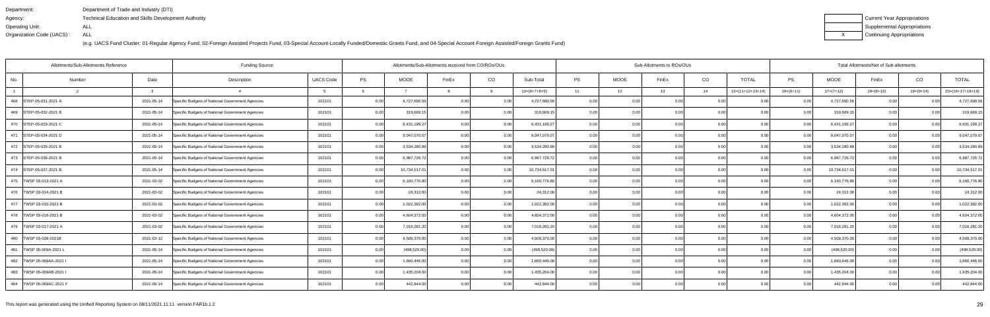| Department:               | Department of Trade and Industry (DTI)               |
|---------------------------|------------------------------------------------------|
| Agency:                   | Technical Education and Skills Development Authority |
| Operating Unit:           | ALL                                                  |
| Organization Code (UACS): | ALL                                                  |

| Current Year Appropriations |
|-----------------------------|
| Supplemental Appropriations |
| Continuing Appropriations   |

| Allotments/Sub-Allotments Reference |        |            | <b>Funding Source</b>                            |                  |      | Allotments/Sub-Allotments received from CO/ROs/OUs |       |          |                |           |             | Sub-Allotments to ROs/OUs |                |                    |                   |               | Total Allotments/Net of Sub-allotments |                |                    |
|-------------------------------------|--------|------------|--------------------------------------------------|------------------|------|----------------------------------------------------|-------|----------|----------------|-----------|-------------|---------------------------|----------------|--------------------|-------------------|---------------|----------------------------------------|----------------|--------------------|
| No.                                 | Number | Date       | Description                                      | <b>UACS Code</b> | PS   | MOOE                                               | FinEx | CO       | Sub-Total      | <b>PS</b> | <b>MOOE</b> | FinEx                     | CO             | <b>TOTAL</b>       | PS                | <b>MOOE</b>   | FinEx                                  | CO             | <b>TOTAL</b>       |
|                                     |        |            |                                                  |                  |      |                                                    |       | <b>Q</b> | $10=(6+7+8+9)$ | 11        | 12          | 13                        | 14             | $15=(11+12+13+14)$ | $16=(6+11)$       | $17=(7+12)$   | $18=(8+13)$                            | $19=(9+14)$    | $20=(16+17+18+19)$ |
| 468 STEP-05-031-2021 A              |        | 2021-05-14 | Specific Budgets of National Government Agencies | 102101           | 0.00 | 4,727,690.56                                       | 0.00  | 0.00     | 4,727,690.56   | 0.00      | 0.00        | 0.00                      | 0.0            |                    | 0.00              | 4,727,690.56  | 0.00                                   | 0.0            | 4,727,690.56       |
| 469 STEP-05-032-2021 B              |        | 2021-05-14 | Specific Budgets of National Government Agencies | 102101           | 0.00 | 319,669.1                                          |       | 0.00     | 319,669.1      | 0.00      | 0.00        | ስ በ(                      | 0.0            | 0.00               | 0.00              | 319,669.1     | 0.00                                   | 0 <sub>0</sub> | 319,669.15         |
| 470 STEP-05-033-2021 C              |        | 2021-05-14 | Specific Budgets of National Government Agencies | 102101           | 0.00 | 6,431,199.27                                       |       | 0.00     | 6,431,199.27   | 0.00      | 0.00        |                           | 0.00           | 0.00               | 0.00              | 6,431,199.27  | 0.00                                   | 0.00           | 6,431,199.27       |
| 471 STEP-05-034-2021 D              |        | 2021-05-14 | Specific Budgets of National Government Agencies | 102101           | 0.00 | 9,047,070.07                                       | n no  | 0.00     | 9,047,070.07   | 0.00      | 0.00        | 0.00                      | 0.00           | 0.00               | 0.00              | 9,047,070.07  | 0.00                                   | 0.00           | 9,047,070.07       |
| 472 STEP-05-035-2021 B              |        | 2021-05-14 | Specific Budgets of National Government Agencies | 102101           | 0.00 | 3,534,280.89                                       |       | 0.00     | 3,534,280.89   | 0.00      | 0.00        |                           | 0.0            | 0.00               | 0.00              | 3,534,280.89  | 0.00                                   | 0 <sub>0</sub> | 3,534,280.89       |
| 473 STEP-05-036-2021 B              |        | 2021-05-14 | Specific Budgets of National Government Agencies | 102101           | 0.00 | 6,987,726.72                                       |       | 0.00     | 6,987,726.72   | 0.00      | 0.00        |                           | 0.00           | 0.00               | 0.00              | 6,987,726.72  | 0.00                                   | 0.00           | 6,987,726.72       |
| 474   STEP-05-037-2021 B            |        | 2021-05-14 | Specific Budgets of National Government Agencies | 102101           | 0.00 | 10,734,517.01                                      | 0.00  | 0.00     | 10,734,517.01  | 0.00      | 0.00        | 0.00                      | 0.00           | 0.00               | 0.00              | 10,734,517.01 | 0.00                                   | 0.00           | 10,734,517.01      |
| 475   TWSP 03-013-2021 A            |        | 2021-03-02 | Specific Budgets of National Government Agencies | 102101           | 0.00 | 6,160,776.80                                       |       | 0.00     | 6,160,776.80   | 0.00      | 0.00        |                           | 0.0            | 0.00               | 0.00              | 6,160,776.80  | 0.00                                   | 0 <sub>0</sub> | 6,160,776.80       |
| 476   TWSP 03-014-2021 B            |        | 2021-03-02 | Specific Budgets of National Government Agencies | 102101           | 0.00 | 24,312.00                                          |       | 0.00     | 24,312.00      | 0.00      | 0.00        | ስ በ(                      | 0.0            | 0 <sub>0</sub>     | 0.001             | 24,312.00     | 0.00                                   | 0 <sub>0</sub> | 24,312.00          |
| 477 TWSP 03-015-2021 B              |        | 2021-03-02 | Specific Budgets of National Government Agencies | 102101           | 0.00 | 1,022,392.00                                       |       | 0.00     | 1,022,392.00   | 0.00      | 0.00        | 0.00                      | 0.00           | 0.00               | 0.00              | 1,022,392.00  | 0.00                                   | 0.00           | 1,022,392.00       |
| 478   TWSP 03-016-2021 B            |        | 2021-03-02 | Specific Budgets of National Government Agencies | 102101           | 0.00 | 4,604,372.00                                       |       | 0.00     | 4,604,372.00   | 0.00      | 0.00        |                           | 0.0            | 0.00               | 0.00              | 4,604,372.00  | 0.00                                   | 0 <sub>0</sub> | 4,604,372.00       |
| 479   TWSP 03-017-2021 A            |        | 2021-03-02 | Specific Budgets of National Government Agencies | 102101           | 0.00 | 7,016,281.20                                       |       | 0.00     | 7,016,281.20   | 0.00      | 0.00        |                           | 0 <sub>0</sub> | 0.00               | 0.OC              | 7,016,281.20  | 0.00                                   | 0 <sub>0</sub> | 7,016,281.20       |
| 480   TWSP 03-038-2021B             |        | 2021-03-12 | Specific Budgets of National Government Agencies | 102101           | 0.00 | 4,509,370.00                                       |       | 0.00     | 4,509,370.00   | 0.00      | 0.00        | ი იი                      | 0.00           | 0.00               | 0.00              | 4,509,370.00  | 0.00                                   | 0.00           | 4,509,370.00       |
| 481<br>TWSP 05-069A-2021 I          |        | 2021-05-14 | Specific Budgets of National Government Agencies | 102101           | 0.00 | (498, 520.00)                                      |       | 0.00     | (498, 520.00)  | 0.00      | 0.00        | 0.00                      | 0.0            | 0.00               | 0.00 <sub>1</sub> | (498, 520.00) | 0.00                                   | 0.0(           | (498, 520.00)      |
| 482<br>TWSP 05-069AA-2021 I         |        | 2021-05-14 | Specific Budgets of National Government Agencies | 102101           | 0.00 | 1,660,446.00                                       |       | 0.00     | 1,660,446.00   | 0.00      | 0.00        | n nn                      | 0.0            | 0.00               |                   | 1,660,446.00  | 0.00                                   | 0 <sub>0</sub> | 1,660,446.00       |
| 483   TWSP 05-069AB-2021            |        | 2021-05-14 | Specific Budgets of National Government Agencies | 102101           | 0.00 | 1,435,204.00                                       |       | 0.00     | 1,435,204.00   | 0.00      | 0.00        |                           | 0.00           | 0.00               | 0.00              | 1,435,204.00  | 0.00                                   | 0 <sub>0</sub> | 1,435,204.00       |
| 484   TWSP 05-069AC-2021 F          |        | 2021-05-14 | Specific Budgets of National Government Agencies | 102101           | 0.00 | 442,844.00                                         |       | 0.001    | 442,844.00     | 0.00      | 0.00        | 0.00                      | 0.00           | 0.00               | 0.001             | 442,844.00    | 0.00                                   | 0.00           | 442,844.00         |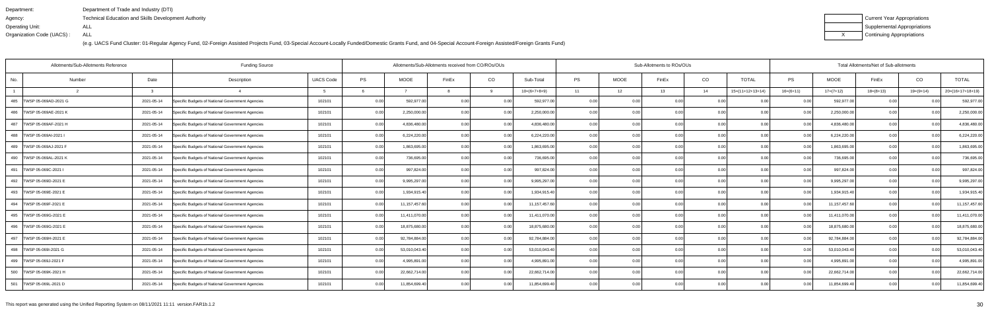| Department:               | Department of Trade and Industry (DTI)               |
|---------------------------|------------------------------------------------------|
| Agency:                   | Technical Education and Skills Development Authority |
| Operating Unit:           | ALL                                                  |
| Organization Code (UACS): | ALL                                                  |

| Current Year Appropriations |
|-----------------------------|
| Supplemental Appropriations |
| Continuing Appropriations   |

| Allotments/Sub-Allotments Reference |            | <b>Funding Source</b>                            |                  |      | Allotments/Sub-Allotments received from CO/ROs/OUs |       |          |                |           |             | Sub-Allotments to ROs/OUs |                |                    |             |                 | Total Allotments/Net of Sub-allotments |                |                    |
|-------------------------------------|------------|--------------------------------------------------|------------------|------|----------------------------------------------------|-------|----------|----------------|-----------|-------------|---------------------------|----------------|--------------------|-------------|-----------------|----------------------------------------|----------------|--------------------|
| No.<br>Number                       | Date       | Description                                      | <b>UACS Code</b> | PS   | MOOE                                               | FinEx | CO       | Sub-Total      | <b>PS</b> | <b>MOOE</b> | FinEx                     | CO             | <b>TOTAL</b>       | PS          | <b>MOOE</b>     | FinEx                                  | CO             | <b>TOTAL</b>       |
|                                     |            |                                                  |                  |      |                                                    |       | $\alpha$ | $10=(6+7+8+9)$ | 11        | 12          | 13                        | 14             | $15=(11+12+13+14)$ | $16=(6+11)$ | $17=(7+12)$     | $18=(8+13)$                            | $19=(9+14)$    | $20=(16+17+18+19)$ |
| 485<br>TWSP 05-069AD-2021 G         | 2021-05-14 | Specific Budgets of National Government Agencies | 102101           | 0.00 | 592,977.00                                         | 0.00  | 0.00     | 592,977.00     | 0.00      | 0.00        | 0.00                      | 0.0            |                    | 0.00        | 592,977.00      | 0.00                                   | 0.0(           | 592,977.00         |
| 486<br>TWSP 05-069AE-2021 K         | 2021-05-14 | Specific Budgets of National Government Agencies | 102101           | 0.00 | 2,250,000.00                                       |       | 0.00     | 2,250,000.00   | 0.00      | 0.00        | ስ በ(                      | 0.00           | 0.00               | 0.00        | 2,250,000.00    | 0.00                                   | 0 <sub>0</sub> | 2,250,000.00       |
| 487   TWSP 05-069AF-2021 H          | 2021-05-14 | Specific Budgets of National Government Agencies | 102101           | 0.00 | 4,836,480.00                                       |       | 0.00     | 4,836,480.00   | 0.00      | 0.00        | ስ በ(                      | 0.00           | 0.00               | 0.00        | 4,836,480.00    | 0.00                                   | 0.00           | 4,836,480.00       |
| 488   TWSP 05-069AI-2021            | 2021-05-14 | Specific Budgets of National Government Agencies | 102101           | 0.00 | 6,224,220.00                                       |       | 0.00     | 6,224,220.00   | 0.00      | 0.00        | 0.00                      | 0.00           | 0.00               | 0.00        | 6,224,220.00    | 0.00                                   | 0.00           | 6,224,220.00       |
| 489<br>TWSP 05-069AJ-2021 F         | 2021-05-14 | Specific Budgets of National Government Agencies | 102101           | 0.00 | 1,863,695.00                                       |       | 0.00     | 1,863,695.00   | 0.00      | 0.00        |                           | 0.0            | 0.00               | 0.00        | 1,863,695.00    | 0.00                                   | 0 <sub>0</sub> | 1,863,695.00       |
| 490   TWSP 05-069AL-2021 K          | 2021-05-14 | Specific Budgets of National Government Agencies | 102101           | 0.00 | 736,695.00                                         |       | 0.00     | 736,695.00     | 0.00      | 0.00        |                           | 0.00           | 0.00               | 0.00        | 736,695.00      | 0.00                                   | 0.0(           | 736,695.00         |
| 491<br>TWSP 05-069C-2021            | 2021-05-14 | Specific Budgets of National Government Agencies | 102101           | 0.00 | 997,824.00                                         |       | 0.00     | 997,824.00     | 0.00      | 0.00        | 0.00                      | 0.00           | 0.00               | 0.00        | 997,824.00      | 0.00                                   | 0.00           | 997,824.00         |
| 492<br>TWSP 05-069D-2021 E          | 2021-05-14 | Specific Budgets of National Government Agencies | 102101           | 0.00 | 9,995,297.00                                       |       | 0.00     | 9,995,297.00   | 0.00      | 0.00        |                           | 0.0            | 0.00               | 0.00        | 9,995,297.00    | 0.00                                   | 0 <sub>0</sub> | 9,995,297.00       |
| 493   TWSP 05-069E-2021 E           | 2021-05-14 | Specific Budgets of National Government Agencies | 102101           | 0.00 | 1,934,915.40                                       |       | 0.00     | 1,934,915.40   | 0.00      | 0.00        | n nr                      | 0.0            | 0.00               | 0.00        | 1,934,915.40    | 0.00                                   | 0 <sub>0</sub> | 1,934,915.40       |
| 494   TWSP 05-069F-2021 E           | 2021-05-14 | Specific Budgets of National Government Agencies | 102101           | 0.00 | 11,157,457.60                                      | 0.00  | 0.00     | 11,157,457.60  | 0.00      | 0.00        | 0.00                      | 0.00           | 0.00               | 0.00        | 11, 157, 457.60 | 0.00                                   | 0.00           | 11,157,457.60      |
| 495<br>TWSP 05-069G-2021 E          | 2021-05-14 | Specific Budgets of National Government Agencies | 102101           | 0.00 | 11,411,070.00                                      |       | 0.00     | 11,411,070.00  | 0.00      | 0.00        |                           | 0 O            | 0.00               | 0.00        | 11,411,070.00   | 0.00                                   | 0 <sub>0</sub> | 11,411,070.00      |
| 496   TWSP 05-069G-2021 E           | 2021-05-14 | Specific Budgets of National Government Agencies | 102101           | 0.00 | 18,875,680.00                                      |       | 0.00     | 18,875,680.00  | 0.00      | 0.00        |                           | 0 <sub>0</sub> | 0.00               |             | 18,875,680.00   | 0.00                                   |                | 18,875,680.00      |
| 497   TWSP 05-069H-2021 E           | 2021-05-14 | Specific Budgets of National Government Agencies | 102101           | 0.00 | 92,784,884.00                                      | n no  | 0.00     | 92,784,884.00  | 0.00      | 0.00        | ი იი                      | 0.00           | 0.00               | 0.00        | 92,784,884.00   | 0.00                                   | 0.00           | 92,784,884.00      |
| 498   TWSP 05-069I-2021 G           | 2021-05-14 | Specific Budgets of National Government Agencies | 102101           | 0.00 | 53,010,043.40                                      |       | 0.00     | 53,010,043.40  | 0.00      | 0.00        | 0.00                      | 0.0            | 0.00               | 0.00        | 53,010,043.40   | 0.00                                   | 0.00           | 53,010,043.40      |
| 499<br>TWSP 05-069J-2021 F          | 2021-05-14 | Specific Budgets of National Government Agencies | 102101           | 0.00 | 4,995,891.00                                       |       | 0.00     | 4,995,891.00   | 0.00      | 0.00        | 0.00                      | 0.0            | 0.00               |             | 4,995,891.00    | 0.00                                   | 0 <sub>0</sub> | 4,995,891.00       |
| 500 TWSP 05-069K-2021 H             | 2021-05-14 | Specific Budgets of National Government Agencies | 102101           | 0.00 | 22,662,714.00                                      |       | 0.00     | 22,662,714.00  | 0.00      | 0.00        |                           | 0.00           | 0.00               | 0.00        | 22,662,714.00   | 0.00                                   | 0 <sub>0</sub> | 22,662,714.00      |
| 501   TWSP 05-069L-2021 D           | 2021-05-14 | Specific Budgets of National Government Agencies | 102101           | 0.00 | 11,854,699.40                                      |       | 0.00     | 11,854,699.40  | 0.001     | 0.00        | 0.00                      | 0.00           | 0.00               | 0.001       | 11,854,699.40   | 0.00                                   | 0 <sub>0</sub> | 11,854,699.40      |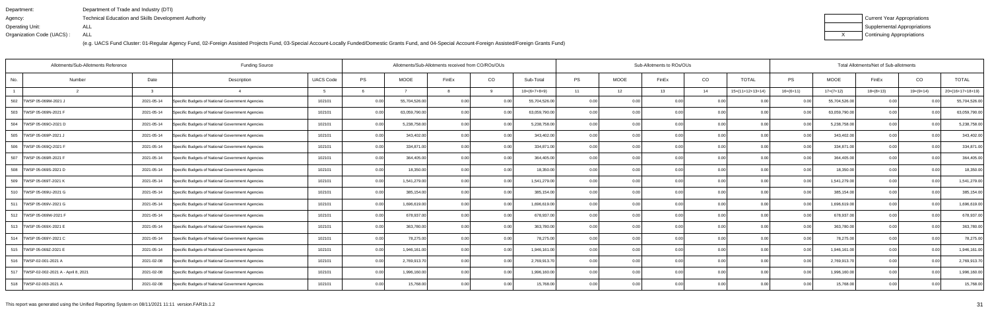| Department:               | Department of Trade and Industry (DTI)                      |
|---------------------------|-------------------------------------------------------------|
| Agency:                   | <b>Technical Education and Skills Development Authority</b> |
| Operating Unit:           | ALL                                                         |
| Organization Code (UACS): | ALL                                                         |

| Current Year Appropriations |
|-----------------------------|
| Supplemental Appropriations |
| Continuing Appropriations   |

| Allotments/Sub-Allotments Reference      |                |  | <b>Funding Source</b>                            |                  |          | Allotments/Sub-Allotments received from CO/ROs/OUs |       |          |                |           |             | Sub-Allotments to ROs/OUs |                |                    |                   |               | Total Allotments/Net of Sub-allotments |                |                    |
|------------------------------------------|----------------|--|--------------------------------------------------|------------------|----------|----------------------------------------------------|-------|----------|----------------|-----------|-------------|---------------------------|----------------|--------------------|-------------------|---------------|----------------------------------------|----------------|--------------------|
| No.                                      | Date<br>Number |  | Description                                      | <b>UACS Code</b> | PS       | MOOE                                               | FinEx | CO       | Sub-Total      | <b>PS</b> | <b>MOOE</b> | FinEx                     | CO             | <b>TOTAL</b>       | PS                | <b>MOOE</b>   | FinEx                                  | CO             | <b>TOTAL</b>       |
|                                          |                |  |                                                  |                  |          |                                                    |       | <b>Q</b> | $10=(6+7+8+9)$ | 11        | 12          | 13                        | 14             | $15=(11+12+13+14)$ | $16=(6+11)$       | $17=(7+12)$   | $18=(8+13)$                            | $19=(9+14)$    | $20=(16+17+18+19)$ |
| 502<br>TWSP 05-069M-2021 J               | 2021-05-14     |  | Specific Budgets of National Government Agencies | 102101           | 0.00     | 55,704,526.00                                      | 0.00  | 0.00     | 55,704,526.00  | 0.00      | 0.00        | 0.00                      | 0.0            |                    | 0.00              | 55,704,526.00 | 0.00                                   |                | 55,704,526.00      |
| 503 TWSP 05-069N-2021 F                  | 2021-05-14     |  | Specific Budgets of National Government Agencies | 102101           | 0.00     | 63,059,790.00                                      |       | 0.00     | 63,059,790.00  | 0.00      | 0.00        | ስ ስበ                      | 0.00           | 0.00               | 0.00              | 63,059,790.00 | 0.00                                   | 0 <sub>0</sub> | 63,059,790.00      |
| 504   TWSP 05-069O-2021 D                | 2021-05-14     |  | Specific Budgets of National Government Agencies | 102101           | $0.00\,$ | 5,238,758.00                                       |       | 0.00     | 5,238,758.00   | 0.00      | 0.00        | ስ በ(                      | 0.00           | 0.00               | 0.00              | 5,238,758.00  | 0.00                                   | 0.00           | 5,238,758.00       |
| 505   TWSP 05-069P-2021                  | 2021-05-14     |  | Specific Budgets of National Government Agencies | 102101           | 0.00     | 343,402.00                                         | n no  | 0.00     | 343,402.00     | 0.00      | 0.00        | 0.00                      | 0.00           | 0.00               | 0.00 <sub>1</sub> | 343,402.00    | 0.00                                   | 0.00           | 343,402.00         |
| 506 TWSP 05-069Q-2021 F                  | 2021-05-14     |  | Specific Budgets of National Government Agencies | 102101           | 0.00     | 334,871.00                                         |       | 0.00     | 334,871.00     | 0.00      | 0.00        |                           | 0.0            | 0.00               | 0.00              | 334,871.00    | 0.00                                   | 0 <sub>0</sub> | 334,871.00         |
| 507 TWSP 05-069R-2021 F                  | 2021-05-14     |  | Specific Budgets of National Government Agencies | 102101           | 0.00     | 364,405.00                                         |       | 0.00     | 364,405.00     | 0.00      | 0.00        |                           | 0.00           | 0.00               | 0.00              | 364,405.00    | 0.00                                   | 0.0(           | 364,405.00         |
| 508   TWSP 05-069S-2021 D                | 2021-05-14     |  | Specific Budgets of National Government Agencies | 102101           | 0.00     | 18,350.00                                          |       | 0.00     | 18,350.00      | 0.00      | 0.00        | 0.00                      | 0.00           | 0.00               | 0.00 <sub>1</sub> | 18,350.00     | 0.00                                   | 0.00           | 18,350.00          |
| 509   TWSP 05-069T-2021 K                | 2021-05-14     |  | Specific Budgets of National Government Agencies | 102101           | 0.00     | 1,541,279.00                                       |       | 0.00     | 1,541,279.00   | 0.00      | 0.00        |                           | 0.0            | 0.00               | 0.00              | 1,541,279.00  | 0.00                                   | 0 <sub>0</sub> | 1,541,279.00       |
| 510   TWSP 05-069U-2021 G                | 2021-05-14     |  | Specific Budgets of National Government Agencies | 102101           | 0.00     | 385,154.00                                         |       | 0.00     | 385,154.00     | 0.00      | 0.00        | ስ በ(                      | 0.0            | 0.00               | 0.00              | 385,154.00    | 0.00                                   | 0 <sub>0</sub> | 385,154.00         |
| 511   TWSP 05-069V-2021 G                | 2021-05-14     |  | Specific Budgets of National Government Agencies | 102101           | 0.00     | 1,696,619.00                                       |       | 0.00     | 1,696,619.00   | 0.00      | 0.00        | 0.00                      | 0.00           | 0.00               | 0.00              | 1,696,619.00  | 0.00                                   | 0.00           | 1,696,619.00       |
| 512   TWSP 05-069W-2021 F                | 2021-05-14     |  | Specific Budgets of National Government Agencies | 102101           | 0.00     | 678,937.00                                         |       | 0.00     | 678,937.00     | 0.00      | 0.00        |                           | 0.0            | 0.00               | 0.00              | 678,937.00    | 0.00                                   | 0 <sub>0</sub> | 678,937.00         |
| 513   TWSP 05-069X-2021 E                | 2021-05-14     |  | Specific Budgets of National Government Agencies | 102101           | 0.00     | 363,780.00                                         |       | 0.00     | 363,780.00     | 0.00      | 0.00        |                           | 0 <sub>0</sub> | 0.00               | 0.00              | 363,780.00    | 0.00                                   | 0 <sub>0</sub> | 363,780.00         |
| 514   TWSP 05-069Y-2021 C                | 2021-05-14     |  | Specific Budgets of National Government Agencies | 102101           | 0.00     | 78,275.00                                          |       | 0.00     | 78,275.00      | 0.00      | 0.00        | ი იი                      | 0.00           | 0.00               | 0.00              | 78,275.00     | 0.00                                   | 0.00           | 78,275.00          |
| 515   TWSP 05-069Z-2021 E                | 2021-05-14     |  | Specific Budgets of National Government Agencies | 102101           | 0.00     | 1,946,161.00                                       |       | 0.00     | 1,946,161.00   | 0.00      | 0.00        | 0.00                      | 0.0            | 0.00               | 0.00              | 1,946,161.00  | 0.00                                   | 0.00           | 1,946,161.00       |
| 516   TWSP-02-001-2021 A                 | 2021-02-08     |  | Specific Budgets of National Government Agencies | 102101           | 0.00     | 2,769,913.70                                       |       | 0.00     | 2,769,913.70   | 0.00      | 0.00        | n nn                      | 0.0            | 0.00               |                   | 2,769,913.70  | 0.00                                   | 0 <sub>0</sub> | 2,769,913.70       |
| 517   TWSP-02-002-2021 A - April 8, 2021 | 2021-02-08     |  | Specific Budgets of National Government Agencies | 102101           | $0.00\,$ | 1,996,160.00                                       |       | 0.00     | 1,996,160.00   | 0.00      | 0.00        |                           | 0.00           | 0.00               | 0.00              | 1,996,160.00  | 0.00                                   | 0 <sub>0</sub> | 1,996,160.00       |
| 518   TWSP-02-003-2021 A                 | 2021-02-08     |  | Specific Budgets of National Government Agencies | 102101           | 0.00     | 15,768.00                                          |       | 0.001    | 15,768.00      | 0.00      | 0.00        | 0.00                      | 0.00           | 0.00               | 0.001             | 15,768.00     | 0.00                                   | 0.00           | 15,768.00          |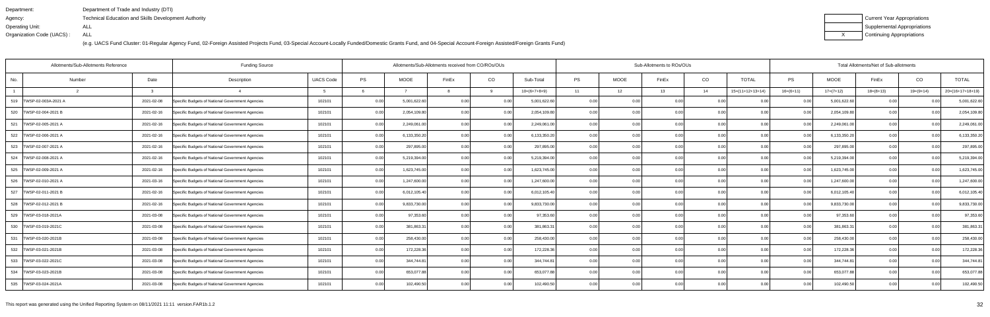| Department:               | Department of Trade and Industry (DTI)                      |
|---------------------------|-------------------------------------------------------------|
| Agency:                   | <b>Technical Education and Skills Development Authority</b> |
| Operating Unit:           | ALL                                                         |
| Organization Code (UACS): | ALL                                                         |

| Current Year Appropriations |
|-----------------------------|
| Supplemental Appropriations |
| Continuing Appropriations   |

| Allotments/Sub-Allotments Reference |        |            | <b>Funding Source</b>                            |                  |      | Allotments/Sub-Allotments received from CO/ROs/OUs |                |          |                |           |      | Sub-Allotments to ROs/OUs |      | Total Allotments/Net of Sub-allotments |             |              |             |                |                    |  |
|-------------------------------------|--------|------------|--------------------------------------------------|------------------|------|----------------------------------------------------|----------------|----------|----------------|-----------|------|---------------------------|------|----------------------------------------|-------------|--------------|-------------|----------------|--------------------|--|
| No.                                 | Number | Date       | Description                                      | <b>UACS Code</b> | PS   | <b>MOOE</b>                                        | FinEx          | CO       | Sub-Total      | <b>PS</b> | MOOE | FinEx                     | CO   | <b>TOTAL</b>                           | PS          | <b>MOOE</b>  | FinEx       | CO             | <b>TOTAL</b>       |  |
|                                     |        | ູ          |                                                  |                  |      |                                                    |                | <b>Q</b> | $10=(6+7+8+9)$ | 11        | 12   | 13                        | 14   | $15=(11+12+13+14)$                     | $16=(6+11)$ | $17=(7+12)$  | $18=(8+13)$ | $19=(9+14)$    | $20=(16+17+18+19)$ |  |
| 519 TWSP-02-003A-2021 A             |        | 2021-02-08 | Specific Budgets of National Government Agencies | 102101           | 0.00 | 5,001,622.60                                       | 0.00           | 0.00     | 5,001,622.60   | 0.00      | 0.00 | 0.00                      | 0.0  | 0.00                                   | 0.001       | 5,001,622.60 | 0.00        | 0.0(           | 5,001,622.60       |  |
| 520   TWSP-02-004-2021 B            |        | 2021-02-16 | Specific Budgets of National Government Agencies | 102101           | 0.00 | 2,054,109.80                                       | 0.00           | 0.00     | 2,054,109.80   | 0.00      | 0.00 | 0.00                      | 0.00 | 0.00                                   | 0.00        | 2,054,109.80 | 0.00        | 0.00           | 2,054,109.80       |  |
| 521<br>TWSP-02-005-2021 A           |        | 2021-02-16 | Specific Budgets of National Government Agencies | 102101           | 0.00 | 2,249,061.00                                       | 0.00           | 0.00     | 2,249,061.00   | 0.00      | 0.00 | 0.00                      | 0.00 | 0.00                                   | 0.00        | 2,249,061.00 | 0.00        | 0.00           | 2,249,061.00       |  |
| 522 TWSP-02-006-2021 A              |        | 2021-02-16 | Specific Budgets of National Government Agencies | 102101           | 0.00 | 6,133,350.20                                       | 0.00           | 0.00     | 6,133,350.20   | 0.00      | 0.00 | 0.00                      | 0.00 | 0.00                                   | 0.00        | 6,133,350.20 | 0.00        | 0.00           | 6,133,350.20       |  |
| 523<br>TWSP-02-007-2021 A           |        | 2021-02-16 | Specific Budgets of National Government Agencies | 102101           | 0.00 | 297,895.00                                         | 0.00           | 0.00     | 297,895.00     | 0.00      | 0.00 | 0.00                      | 0.0  | 0.00                                   | 0.00        | 297,895.00   | 0.00        | 0.0(           | 297,895.00         |  |
| 524   TWSP-02-008-2021 A            |        | 2021-02-16 | Specific Budgets of National Government Agencies | 102101           | 0.00 | 5,219,394.00                                       | 0.00           | 0.00     | 5,219,394.00   | 0.00      | 0.00 | n nc                      | 0.00 | 0.00                                   | 0.00        | 5,219,394.00 | 0.00        | 0.00           | 5,219,394.00       |  |
| 525   TWSP-02-009-2021 A            |        | 2021-02-16 | Specific Budgets of National Government Agencies | 102101           | 0.00 | 1,623,745.00                                       | 0.00           | 0.00     | 1,623,745.00   | 0.00      | 0.00 | 0.00                      | 0.00 | 0.00                                   | 0.00        | 1,623,745.00 | 0.00        | 0.00           | 1,623,745.00       |  |
| 526   TWSP-02-010-2021 A            |        | 2021-03-16 | Specific Budgets of National Government Agencies | 102101           | 0.00 | 1,247,600.00                                       | 0.00           | 0.00     | 1,247,600.00   | 0.00      | 0.00 |                           | 0.0  | 0.00                                   | 0.00        | 1,247,600.00 | 0.00        | 0.0(           | 1,247,600.00       |  |
| 527   TWSP-02-011-2021 B            |        | 2021-02-16 | Specific Budgets of National Government Agencies | 102101           | 0.00 | 6,012,105.40                                       | 0.00           | 0.00     | 6,012,105.40   | 0.00      | 0.00 | 0.OC                      | 0.0  | 0.00                                   | 0.00        | 6,012,105.40 | 0.00        | 0 <sub>0</sub> | 6,012,105.40       |  |
| 528   TWSP-02-012-2021 B            |        | 2021-02-16 | Specific Budgets of National Government Agencies | 102101           | 0.00 | 9,833,730.00                                       | 0.00           | 0.00     | 9,833,730.00   | 0.00      | 0.00 | 0.00                      | 0.00 | 0.00                                   | 0.00        | 9,833,730.00 | 0.00        | 0.00           | 9,833,730.00       |  |
| 529   TWSP-03-018-2021A             |        | 2021-03-08 | Specific Budgets of National Government Agencies | 102101           | 0.00 | 97,353.60                                          | 0.00           | 0.00     | 97,353.60      | 0.00      | 0.00 | 0.00                      | 0.0  |                                        | 0.00        | 97,353.60    | 0.00        | 0.0(           | 97,353.60          |  |
| 530   TWSP-03-019-2021C             |        | 2021-03-08 | Specific Budgets of National Government Agencies | 102101           | 0.00 | 381,863.31                                         |                | 0.00     | 381,863.31     | 0.00      | 0.00 | n nr                      | 0.0  | 0.00                                   | 0.00        | 381,863.31   | 0.00        | 0 <sub>0</sub> | 381,863.31         |  |
| 531   TWSP-03-020-2021B             |        | 2021-03-08 | Specific Budgets of National Government Agencies | 102101           | 0.00 | 258,430.00                                         | 0.00           | 0.00     | 258,430.00     | 0.00      | 0.00 | 0.OC                      | 0.00 | 0.00                                   | 0.00        | 258,430.00   | 0.00        | 0.00           | 258,430.00         |  |
| 532   TWSP-03-021-2021B             |        | 2021-03-08 | Specific Budgets of National Government Agencies | 102101           | 0.00 | 172,228.36                                         | 0 <sub>0</sub> | 0.00     | 172,228.36     | 0.00      | 0.00 | 0.00                      | 0.0  | 0.00                                   | 0.00        | 172,228.36   | 0.00        | 0.00           | 172,228.36         |  |
| 533 TWSP-03-022-2021C               |        | 2021-03-08 | Specific Budgets of National Government Agencies | 102101           | 0.00 | 344,744.81                                         | 0 <sub>0</sub> | 0.00     | 344,744.81     | 0.00      | 0.00 | 0.OC                      | 0.0  | 0.00                                   | 0.00        | 344,744.81   | 0.00        |                | 344,744.81         |  |
| 534   TWSP-03-023-2021B             |        | 2021-03-08 | Specific Budgets of National Government Agencies | 102101           | 0.00 | 653,077.88                                         |                | 0.00     | 653,077.88     | 0.00      | 0.00 | n nr                      | 0.00 | 0.00                                   | 0.00        | 653,077.88   | 0.00        |                | 653,077.88         |  |
| 535 TWSP-03-024-2021A               |        | 2021-03-08 | Specific Budgets of National Government Agencies | 102101           | 0.00 | 102,490.50                                         | 0.00           | 0.00     | 102,490.50     | 0.001     | 0.00 | 0.00                      | 0.00 | 0.00                                   | 0.001       | 102,490.50   | 0.00        | 0.00           | 102,490.50         |  |
|                                     |        |            |                                                  |                  |      |                                                    |                |          |                |           |      |                           |      |                                        |             |              |             |                |                    |  |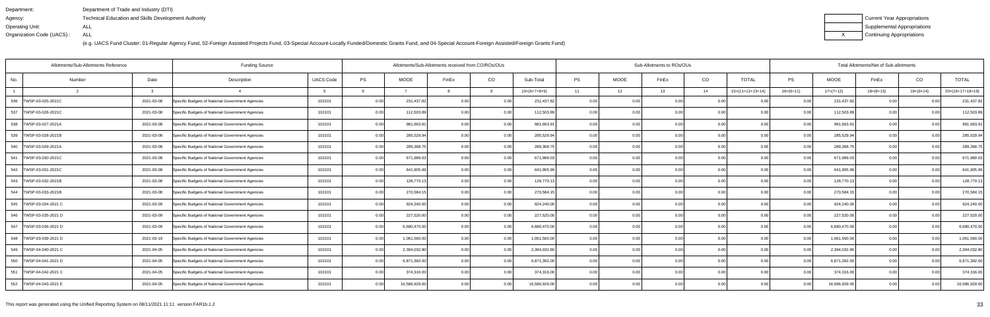| Department:               | Department of Trade and Industry (DTI)                      |
|---------------------------|-------------------------------------------------------------|
| Agency:                   | <b>Technical Education and Skills Development Authority</b> |
| Operating Unit:           | ALL                                                         |
| Organization Code (UACS): | ALL                                                         |

| Current Year Appropriations |
|-----------------------------|
| Supplemental Appropriations |
| Continuing Appropriations   |

| <b>Funding Source</b><br>Allotments/Sub-Allotments Reference |        |            |                                                  |                  |           |               | Allotments/Sub-Allotments received from CO/ROs/OUs |      |                |      |             | Sub-Allotments to ROs/OUs |      |                    |                | Total Allotments/Net of Sub-allotments |             |                |                    |  |  |
|--------------------------------------------------------------|--------|------------|--------------------------------------------------|------------------|-----------|---------------|----------------------------------------------------|------|----------------|------|-------------|---------------------------|------|--------------------|----------------|----------------------------------------|-------------|----------------|--------------------|--|--|
| No.                                                          | Number | Date       | Description                                      | <b>UACS Code</b> | <b>PS</b> | <b>MOOE</b>   | FinEx                                              | CO   | Sub-Total      | PS   | <b>MOOE</b> | FinEx                     | CO   | <b>TOTAL</b>       | PS             | MOOE                                   | FinEx       | CO             | <b>TOTAL</b>       |  |  |
|                                                              |        |            |                                                  |                  |           |               |                                                    |      | $10=(6+7+8+9)$ | 11   | 12          | 13                        | 14   | $15=(11+12+13+14)$ | $16=(6+11)$    | $17=(7+12)$                            | $18=(8+13)$ | $19=(9+14)$    | $20=(16+17+18+19)$ |  |  |
| 536 TWSP-03-025-2021C                                        |        | 2021-03-08 | Specific Budgets of National Government Agencies | 102101           | 0.00      | 231,437.82    | 0.00                                               | 0.00 | 231,437.82     | 0.00 | 0.00        | 0.00                      | 0.00 | 0.00               | 0.00           | 231,437.82                             | 0.00        |                | 231,437.82         |  |  |
| 537<br>TWSP-03-026-2021C                                     |        | 2021-03-08 | Specific Budgets of National Government Agencies | 102101           | 0.00      | 112,503.89    | 0.00                                               | 0.00 | 112,503.89     | 0.00 | 0.00        | 0.00                      | 0.00 | 0.00               | 0.00           | 112,503.89                             | 0.00        | 0 <sub>0</sub> | 112,503.89         |  |  |
| 538   TWSP-03-027-2021A                                      |        | 2021-03-08 | Specific Budgets of National Government Agencies | 102101           | 0.00      | 981,663.9     | 0.00                                               | 0.00 | 981,663.91     | 0.00 | 0.00        | 0.00                      | 0.00 | 0.00               | 0.00           | 981,663.91                             | 0.00        | 0 <sub>0</sub> | 981,663.9          |  |  |
| 539   TWSP-03-028-2021B                                      |        | 2021-03-08 | Specific Budgets of National Government Agencies | 102101           | 0.00      | 285,529.94    | 0.00                                               | 0.00 | 285,529.94     | 0.00 | 0.00        | 0.00                      | 0.00 | 0.00               | 0.00           | 285,529.94                             | 0.00        | 0.00           | 285,529.94         |  |  |
| 540<br>TWSP-03-029-2021A                                     |        | 2021-03-08 | Specific Budgets of National Government Agencies | 102101           | 0.00      | 289,368.7     | 0.00                                               | 0.00 | 289,368.75     | 0.00 | 0.0         |                           | 0.00 | 0.00               | 0.00           | 289,368.75                             | 0.0         |                | 289,368.7          |  |  |
| 541   TWSP-03-030-2021C                                      |        | 2021-03-08 | Specific Budgets of National Government Agencies | 102101           | 0.00      | 671,989.03    | 0.00                                               | 0.00 | 671,989.03     | 0.00 | 0.00        | n nr                      | 0.00 | 0.00               | $\cap$         | 671,989.03                             | 0.00        |                | 671,989.03         |  |  |
| 542   TWSP-03-031-2021C                                      |        | 2021-03-08 | Specific Budgets of National Government Agencies | 102101           | 0.00      | 641,905.99    | 0.00                                               | 0.00 | 641,905.99     | 0.00 | 0.00        | 0.00                      | 0.00 | 0.00               | 0.00           | 641,905.99                             | 0.00        | 0.00           | 641,905.99         |  |  |
| 543 TWSP-03-032-2021B                                        |        | 2021-03-08 | Specific Budgets of National Government Agencies | 102101           | 0.00      | 128,770.13    | 0.00                                               | 0.00 | 128,770.13     | 0.00 | 0.00        |                           | 0.00 | 0.00               | 0 <sub>0</sub> | 128,770.13                             | 0.0         |                | 128,770.13         |  |  |
| 544   TWSP-03-033-2021B                                      |        | 2021-03-08 | Specific Budgets of National Government Agencies | 102101           | 0.00      | 270,584.1     | 0.00                                               | 0.00 | 270,584.15     | 0.00 | 0.00        | 0.00                      | 0.00 | 0.001              | 0 <sub>0</sub> | 270,584.1                              | 0.00        | 0 <sub>0</sub> | 270,584.1          |  |  |
| 545   TWSP-03-034-2021 C                                     |        | 2021-03-09 | Specific Budgets of National Government Agencies | 102101           | 0.00      | 924,240.00    | 0.00                                               | 0.00 | 924,240.00     | 0.00 | 0.00        | 0.00                      | 0.00 | 0.00               | 0.00           | 924,240.00                             | 0.00        | 0.00           | 924,240.00         |  |  |
| 546   TWSP-03-035-2021 D                                     |        | 2021-03-09 | Specific Budgets of National Government Agencies | 102101           | 0.00      | 227,520.00    | 0.00                                               | 0.00 | 227,520.00     | 0.00 | 0.00        | 0.00                      | 0.00 | 0.00               | 0.00           | 227,520.00                             | 0.00        |                | 227,520.00         |  |  |
| 547   TWSP-03-036-2021 D                                     |        | 2021-03-09 | Specific Budgets of National Government Agencies | 102101           | 0.00      | 6,680,470.00  | 0.00                                               | 0.00 | 6,680,470.00   | 0.00 | 0.00        | 0.00                      | 0.00 | 0.00               | 0 <sub>0</sub> | 6,680,470.00                           | 0.00        | 0 <sub>0</sub> | 6,680,470.00       |  |  |
| 548  TWSP-03-039-2021 D                                      |        | 2021-03-19 | Specific Budgets of National Government Agencies | 102101           | 0.00      | 1,061,560.00  | 0.00                                               | 0.00 | 1,061,560.00   | 0.00 | 0.00        | 0.00                      | 0.00 | 0.00               | 0.00           | 1,061,560.00                           | 0.00        | 0.00           | 1,061,560.00       |  |  |
| 549   TWSP-04-040-2021 C                                     |        | 2021-04-05 | Specific Budgets of National Government Agencies | 102101           | 0.00      | 2,394,032.80  | 0.00                                               | 0.00 | 2,394,032.80   | 0.00 | 0.00        | 0.00                      | 0.00 | 0.00               | 0.00           | 2,394,032.80                           | 0.00        | 0 <sub>0</sub> | 2,394,032.80       |  |  |
| 550   TWSP-04-041-2021 D                                     |        | 2021-04-05 | Specific Budgets of National Government Agencies | 102101           | 0.00      | 6,871,392.00  | 0.00                                               | 0.00 | 6,871,392.00   | 0.00 | 0.00        | 0.00                      | 0.00 | 0.00               | 0 <sub>0</sub> | 6,871,392.00                           | 0.00        |                | 6,871,392.00       |  |  |
| 551   TWSP-04-042-2021 C                                     |        | 2021-04-05 | Specific Budgets of National Government Agencies | 102101           | 0.00      | 374,316.00    | 0.00                                               | 0.00 | 374,316.00     | 0.00 | 0.00        | 0.00                      | 0.00 | 0.00               | 0 <sub>0</sub> | 374,316.00                             | 0.00        |                | 374,316.00         |  |  |
| 552   TWSP-04-043-2021 E                                     |        | 2021-04-05 | Specific Budgets of National Government Agencies | 102101           | 0.00      | 16,586,929.00 | 0.00                                               | 0.00 | 16,586,929.00  | 0.00 | 0.00        | 0.00                      | 0.00 | 0.00               | 0.00           | 16,586,929.00                          | 0.00        | 0 <sub>0</sub> | 16,586,929.00      |  |  |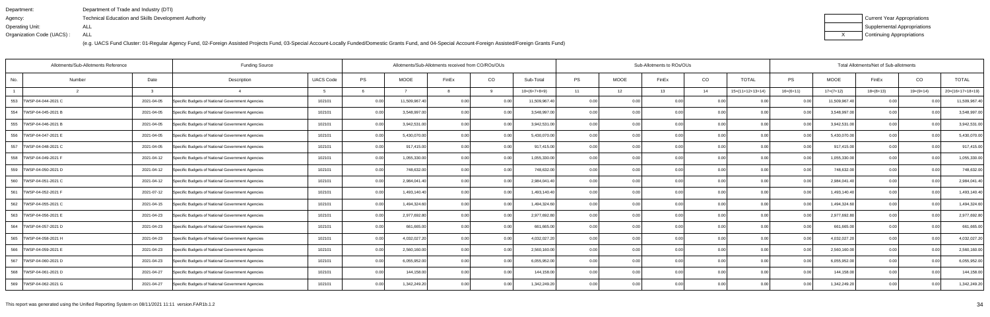| Department:               | Department of Trade and Industry (DTI)                      |
|---------------------------|-------------------------------------------------------------|
| Agency:                   | <b>Technical Education and Skills Development Authority</b> |
| Operating Unit:           | ALL                                                         |
| Organization Code (UACS): | ALL                                                         |

| Current Year Appropriations |
|-----------------------------|
| Supplemental Appropriations |
| Continuing Appropriations   |

|                           | Allotments/Sub-Allotments Reference | <b>Funding Source</b>                            | Allotments/Sub-Allotments received from CO/ROs/OUs |           |               |                |      |                | Sub-Allotments to ROs/OUs |             |       | Total Allotments/Net of Sub-allotments |                    |             |               |             |                |                    |
|---------------------------|-------------------------------------|--------------------------------------------------|----------------------------------------------------|-----------|---------------|----------------|------|----------------|---------------------------|-------------|-------|----------------------------------------|--------------------|-------------|---------------|-------------|----------------|--------------------|
| No.                       | Date<br>Number                      | Description                                      | <b>UACS Code</b>                                   | <b>PS</b> | <b>MOOE</b>   | FinEx          | CO   | Sub-Total      | <b>PS</b>                 | <b>MOOE</b> | FinEx | CO                                     | <b>TOTAL</b>       | <b>PS</b>   | <b>MOOE</b>   | FinEx       | CO             | <b>TOTAL</b>       |
|                           | વ                                   |                                                  |                                                    |           |               |                | q    | $10=(6+7+8+9)$ | 11                        | 12          | 13    | 14                                     | $15=(11+12+13+14)$ | $16=(6+11)$ | $17=(7+12)$   | $18=(8+13)$ | $19=(9+14)$    | $20=(16+17+18+19)$ |
| 553<br>TWSP-04-044-2021 C | 2021-04-05                          | Specific Budgets of National Government Agencies | 102101                                             | 0.00      | 11,509,967.40 | 0.0(           |      | 11,509,967.40  | 0.00                      |             | 0.00  |                                        |                    |             | 11,509,967.40 | 0.00        |                | 11,509,967.40      |
| 554 TWSP-04-045-2021 B    | 2021-04-05                          | Specific Budgets of National Government Agencies | 102101                                             | 0.00      | 3,548,997.00  | 0 <sub>0</sub> | 0.00 | 3,548,997.00   | 0.001                     | 0.00        | 0.00  | 0.00                                   | 0.00               | 0.00        | 3,548,997.00  | 0.00        | 0 <sub>0</sub> | 3,548,997.00       |
| 555 TWSP-04-046-2021 B    | 2021-04-05                          | Specific Budgets of National Government Agencies | 102101                                             | 0.00      | 3,942,531.00  | 0.00           | 0.00 | 3,942,531.00   | 0.00                      | 0.00        | 0.00  | 0.00                                   | 0.00               | 0.00        | 3,942,531.00  | 0.00        | 0.00           | 3,942,531.00       |
| 556   TWSP-04-047-2021 E  | 2021-04-05                          | Specific Budgets of National Government Agencies | 102101                                             | 0.00      | 5,430,070.00  | 0.00           | 0.00 | 5,430,070.00   | 0.00                      | 0.00        | 0.00  | 0.00                                   | 0.00               | 0.00        | 5,430,070.00  | 0.00        | 0.00           | 5,430,070.00       |
| 557   TWSP-04-048-2021 C  | 2021-04-05                          | Specific Budgets of National Government Agencies | 102101                                             | 0.00      | 917,415.00    | 0 <sub>0</sub> | 0.00 | 917,415.00     | 0.00                      | 0.00        | 0.00  | 0.00                                   | 0.00               | 0.00        | 917,415.00    | 0.00        | 0.0            | 917,415.00         |
| 558   TWSP-04-049-2021 F  | 2021-04-12                          | Specific Budgets of National Government Agencies | 102101                                             | 0.00      | 1,055,330.00  | 0.00           | 0.00 | 1,055,330.00   | 0.00                      | 0.00        | 0.00  | 0.00                                   | 0.00               | 0.00        | 1,055,330.00  | 0.00        | 0.00           | 1,055,330.00       |
| 559   TWSP-04-050-2021 D  | 2021-04-12                          | Specific Budgets of National Government Agencies | 102101                                             | 0.00      | 748,632.00    | 0.00           | 0.00 | 748,632.00     | 0.00                      | 0.00        | 0.00  | 0.00                                   | 0.00               | 0.001       | 748,632.00    | 0.00        | 0.00           | 748,632.00         |
| 560   TWSP-04-051-2021 C  | 2021-04-12                          | Specific Budgets of National Government Agencies | 102101                                             | 0.00      | 2,984,041.40  | 0.00           | 0.00 | 2,984,041.40   | 0.001                     | 0.00        | 0.00  | 0.00                                   | 0.00               | 0.00        | 2,984,041.40  | 0.00        | 0 <sub>0</sub> | 2,984,041.40       |
| 561   TWSP-04-052-2021 F  | 2021-07-12                          | Specific Budgets of National Government Agencies | 102101                                             | 0.00      | 1,493,140.40  | 0.00           | 0.00 | 1,493,140.40   | 0.001                     | 0.00        | 0.00  | 0.00                                   | 0.00               | 0.00        | 1,493,140.40  | 0.00        | 0.00           | 1,493,140.40       |
| 562   TWSP-04-055-2021 C  | 2021-04-15                          | Specific Budgets of National Government Agencies | 102101                                             | 0.00      | 1,494,324.60  | 0.00           | 0.00 | 1,494,324.60   | 0.00                      | 0.00        | 0.00  | 0.00                                   | 0.00               | 0.001       | 1,494,324.60  | 0.00        | 0.00           | 1,494,324.60       |
| 563 TWSP-04-056-2021 E    | 2021-04-23                          | Specific Budgets of National Government Agencies | 102101                                             | 0.00      | 2,977,692.80  | 0.00           | 0.00 | 2,977,692.80   | 0.001                     | 0.00        | 0.00  | 0.00                                   | 0.00               | 0.00        | 2,977,692.80  | 0.00        | 0.0(           | 2,977,692.80       |
| 564   TWSP-04-057-2021 D  | 2021-04-23                          | Specific Budgets of National Government Agencies | 102101                                             | 0.00      | 661,665.00    | 0 <sub>0</sub> | 0.00 | 661,665.00     | 0.00                      | 0.00        | 0.00  | 0.00                                   | 0.00               | 0.00        | 661,665.00    | 0.00        | 0 <sub>0</sub> | 661,665.00         |
| 565 TWSP-04-058-2021 H    | 2021-04-23                          | Specific Budgets of National Government Agencies | 102101                                             | 0.00      | 4,032,027.20  | 0.00           | 0.00 | 4,032,027.20   | 0.00                      | 0.00        | 0.00  | 0.00                                   | 0.00               | 0.00        | 4,032,027.20  | 0.00        | 0.00           | 4,032,027.20       |
| 566   TWSP-04-059-2021 E  | 2021-04-23                          | Specific Budgets of National Government Agencies | 102101                                             | 0.00      | 2,560,160.00  | 0.00           | 0.00 | 2,560,160.00   | 0.001                     | 0.00        | 0.00  | 0.00                                   | 0.00               | 0.00        | 2,560,160.00  | 0.00        | 0.00           | 2,560,160.00       |
| 567   TWSP-04-060-2021 D  | 2021-04-23                          | Specific Budgets of National Government Agencies | 102101                                             | 0.00      | 6,055,952.00  | 0.00           | 0.00 | 6,055,952.00   | 0.001                     | 0.00        | 0.00  | 0.00                                   | 0.00               | 0.00        | 6,055,952.00  | 0.00        | $\Omega$       | 6,055,952.00       |
| 568   TWSP-04-061-2021 D  | 2021-04-27                          | Specific Budgets of National Government Agencies | 102101                                             | 0.00      | 144,158.00    |                | 0.00 | 144,158.00     | 0.00                      | 0.00        | 0.OC  | 0.00                                   | 0.00               | 0.00        | 144,158.00    | 0.00        |                | 144,158.00         |
| 569   TWSP-04-062-2021 G  | 2021-04-27                          | Specific Budgets of National Government Agencies | 102101                                             | 0.00      | 1,342,249.20  | 0.00           | 0.00 | 1,342,249.20   | 0.001                     | 0.00        | 0.00  | 0.00                                   | 0.00               | 0.001       | 1,342,249.20  | 0.00        | 0 <sub>0</sub> | 1,342,249.20       |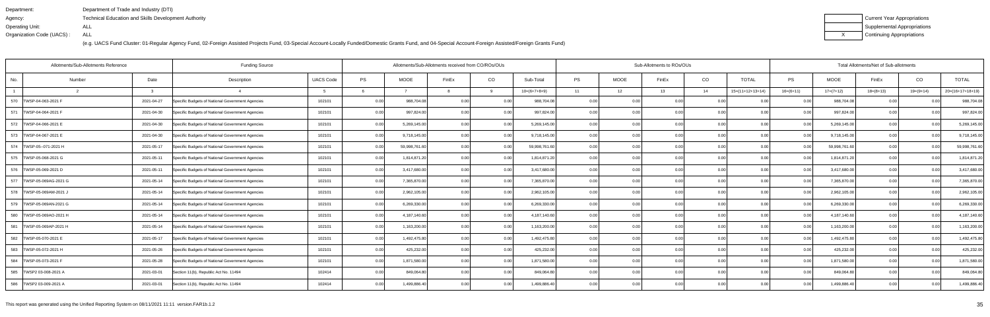| Department:               | Department of Trade and Industry (DTI)               |
|---------------------------|------------------------------------------------------|
| Agency:                   | Technical Education and Skills Development Authority |
| Operating Unit:           | ALL                                                  |
| Organization Code (UACS): | ALL                                                  |

| Current Year Appropriations |
|-----------------------------|
| Supplemental Appropriations |
| Continuing Appropriations   |

| Allotments/Sub-Allotments Reference |        |            | <b>Funding Source</b>                            |                  | Allotments/Sub-Allotments received from CO/ROs/OUs |               |                |      | Sub-Allotments to ROs/OUs<br>Total Allotments/Net of Sub-allotments |           |             |       |                |                    |             |               |             |                |                    |
|-------------------------------------|--------|------------|--------------------------------------------------|------------------|----------------------------------------------------|---------------|----------------|------|---------------------------------------------------------------------|-----------|-------------|-------|----------------|--------------------|-------------|---------------|-------------|----------------|--------------------|
| No.                                 | Number | Date       | Description                                      | <b>UACS Code</b> | PS                                                 | <b>MOOE</b>   | FinEx          | CO   | Sub-Total                                                           | <b>PS</b> | <b>MOOE</b> | FinEx | CO             | <b>TOTAL</b>       | PS          | <b>MOOE</b>   | FinEx       | CO             | <b>TOTAL</b>       |
|                                     |        |            |                                                  |                  |                                                    |               |                |      | $10=(6+7+8+9)$                                                      | 11        | 12          | 13    | 14             | $15=(11+12+13+14)$ | $16=(6+11)$ | $17=(7+12)$   | $18=(8+13)$ | $19=(9+14)$    | $20=(16+17+18+19)$ |
| 570   TWSP-04-063-2021 F            |        | 2021-04-27 | Specific Budgets of National Government Agencies | 102101           | 0.00                                               | 988,704.08    | 0 <sub>0</sub> | 0.00 | 988,704.08                                                          | 0.00      |             | 0.00  | 0.0            |                    | 0.00        | 988,704.08    | 0.00        |                | 988,704.08         |
| 571   TWSP-04-064-2021 F            |        | 2021-04-30 | Specific Budgets of National Government Agencies | 102101           | 0.00                                               | 997,824.00    |                | 0.00 | 997,824.00                                                          | 0.001     | 0.00        | n nr  | 0.0            | 0.00               | 0.00        | 997,824.00    | 0.00        | 0 <sub>0</sub> | 997,824.00         |
| 572 TWSP-04-066-2021 E              |        | 2021-04-30 | Specific Budgets of National Government Agencies | 102101           | 0.00                                               | 5,269,145.00  |                | 0.00 | 5,269,145.00                                                        | 0.00      | 0.00        | n nc  | 0.00           | 0.00               | 0.00        | 5,269,145.00  | 0.00        | 0 <sub>0</sub> | 5,269,145.00       |
| 573   TWSP-04-067-2021 E            |        | 2021-04-30 | Specific Budgets of National Government Agencies | 102101           | 0.00                                               | 9,718,145.00  | 0.00           | 0.00 | 9,718,145.00                                                        | 0.001     | 0.00        | 0.00  | 0.00           | 0.00               | 0.00        | 9,718,145.00  | 0.00        | 0.00           | 9,718,145.00       |
| 574   TWSP-05--071-2021 H           |        | 2021-05-17 | Specific Budgets of National Government Agencies | 102101           | 0.00                                               | 59,998,761.60 | 0 <sub>0</sub> | 0.00 | 59,998,761.60                                                       | 0.00      | 0.0         |       | 0 <sub>0</sub> | ი იი               |             | 59,998,761.60 | 0.00        |                | 59,998,761.60      |
| 575   TWSP-05-068-2021 G            |        | 2021-05-11 | Specific Budgets of National Government Agencies | 102101           | 0.00                                               | 1,814,871.20  | 0.00           | 0.00 | 1,814,871.20                                                        | 0.001     | 0.00        | 0.OC  | 0.0            | ი იი               | 0.00        | 1,814,871.20  | 0.00        | 0.0(           | 1,814,871.20       |
| 576   TWSP-05-069-2021 D            |        | 2021-05-11 | Specific Budgets of National Government Agencies | 102101           | 0.00                                               | 3,417,680.00  | 0.00           | 0.00 | 3,417,680.00                                                        | 0.00      | 0.00        | 0.00  | 0.00           | 0.00               | 0.00        | 3,417,680.00  | 0.00        | 0.00           | 3,417,680.00       |
| 577   TWSP-05-069AG-2021 G          |        | 2021-05-14 | Specific Budgets of National Government Agencies | 102101           | 0.00                                               | 7,365,870.00  | 0 <sub>0</sub> | 0.00 | 7,365,870.00                                                        | 0.00      | 0.00        |       | 0 <sub>0</sub> |                    |             | 7,365,870.00  | 0.00        |                | 7,365,870.00       |
| 578   TWSP-05-069AM-2021 J          |        | 2021-05-14 | Specific Budgets of National Government Agencies | 102101           | 0.00                                               | 2,962,105.00  | 0.00           | 0.00 | 2,962,105.00                                                        | 0.00      | 0.00        | 0.00  | 0 <sub>0</sub> | 0.00               | 0.00        | 2,962,105.00  | 0.00        | 0.00           | 2,962,105.00       |
| 579   TWSP-05-069AN-2021 G          |        | 2021-05-14 | Specific Budgets of National Government Agencies | 102101           | 0.00                                               | 6,269,330.00  | 0.00           | 0.00 | 6,269,330.00                                                        | 0.00      | 0.00        | 0.00  | 0.00           | 0.00               | 0.00        | 6,269,330.00  | 0.00        | 0.00           | 6,269,330.00       |
| 580 TWSP-05-069AO-2021 H            |        | 2021-05-14 | Specific Budgets of National Government Agencies | 102101           | 0.00                                               | 4,187,140.60  | 0.00           | 0.00 | 4,187,140.60                                                        | 0.00      | 0.00        | 0.00  | 0.0            | 0.00               | 0.00        | 4,187,140.60  | 0.00        | 0.00           | 4,187,140.60       |
| 581<br>TWSP-05-069AP-2021 H         |        | 2021-05-14 | Specific Budgets of National Government Agencies | 102101           | 0.00                                               | 1,163,200.00  | 0.00           | 0.00 | 1,163,200.00                                                        | 0.00      | 0.00        | 0.00  | 0.0            | 0.00               | 0.00        | 1,163,200.00  | 0.00        | 0.00           | 1,163,200.00       |
| 582 TWSP-05-070-2021 E              |        | 2021-05-17 | Specific Budgets of National Government Agencies | 102101           | 0.00                                               | 1,492,475.80  | 0.00           | 0.00 | 1,492,475.80                                                        | 0.00      | 0.00        | 0.OC  | 0.00           | 0.00               | 0.00        | 1,492,475.80  | 0.00        | 0.00           | 1,492,475.80       |
| 583   TWSP-05-072-2021 H            |        | 2021-05-26 | Specific Budgets of National Government Agencies | 102101           | 0.00                                               | 425,232.00    | 0.00           | 0.00 | 425,232.00                                                          | 0.001     | 0.00        | 0.00  | 0.00           | 0.00               | 0.00        | 425,232.00    | 0.00        | 0.00           | 425,232.00         |
| 584   TWSP-05-073-2021 F            |        | 2021-05-28 | Specific Budgets of National Government Agencies | 102101           | 0.00                                               | 1,871,580.00  | 0.00           | 0.00 | 1,871,580.00                                                        | 0.001     | 0.00        | 0.00  | 0.00           | 0.00               | 0.00        | 1,871,580.00  | 0.00        | 0.00           | 1,871,580.00       |
| 585 TWSP2 03-008-2021 A             |        | 2021-03-01 | Section 11(b), Republic Act No. 11494            | 102414           | 0.00                                               | 849,064.80    | 0.00           | 0.00 | 849,064.80                                                          | 0.00      | 0.00        | 0.00  | 0.00           | 0.00               | 0.00        | 849,064.80    | 0.00        | 0.00           | 849,064.80         |
| 586 TWSP2 03-009-2021 A             |        | 2021-03-01 | Section 11(b), Republic Act No. 11494            | 102414           | 0.00                                               | 1,499,886.40  | 0.00           | 0.00 | 1,499,886.40                                                        | 0.001     | 0.00        | 0.00  | 0.00           | 0.00               | 0.00        | 1,499,886.40  | 0.00        | 0.00           | 1,499,886.40       |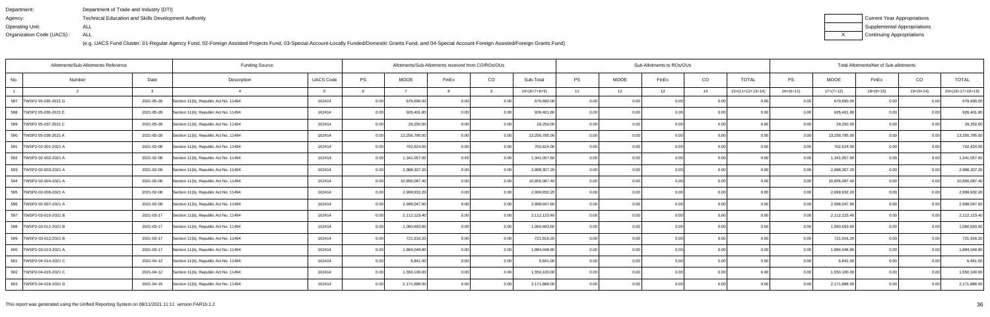| Department:               | Department of Trade and Industry (DTI)               |
|---------------------------|------------------------------------------------------|
| Agency:                   | Technical Education and Skills Development Authority |
| Operating Unit:           | ALL                                                  |
| Organization Code (UACS): | ALL                                                  |

| Current Year Appropriations |
|-----------------------------|
| Supplemental Appropriations |
| Continuing Appropriations   |

| <b>Funding Source</b><br>Allotments/Sub-Allotments Reference |              |                                       |                  |      |               | Allotments/Sub-Allotments received from CO/ROs/OUs |          |                |           |             | Sub-Allotments to ROs/OUs |      |                    |                | Total Allotments/Net of Sub-allotments |             |             |                    |  |  |
|--------------------------------------------------------------|--------------|---------------------------------------|------------------|------|---------------|----------------------------------------------------|----------|----------------|-----------|-------------|---------------------------|------|--------------------|----------------|----------------------------------------|-------------|-------------|--------------------|--|--|
| No.<br>Number                                                | Date         | Description                           | <b>UACS Code</b> | PS   | <b>MOOE</b>   | FinEx                                              | CO       | Sub-Total      | <b>PS</b> | <b>MOOE</b> | FinEx                     | CO   | <b>TOTAL</b>       | <b>PS</b>      | <b>MOOE</b>                            | FinEx       | CO          | <b>TOTAL</b>       |  |  |
| $\overline{2}$                                               | $\mathbf{R}$ |                                       | - 5              |      |               |                                                    | $\alpha$ | $10=(6+7+8+9)$ | 11        | 12          | 13                        | 14   | $15=(11+12+13+14)$ | $16=(6+11)$    | $17=(7+12)$                            | $18=(8+13)$ | $19=(9+14)$ | $20=(16+17+18+19)$ |  |  |
| 587<br>TWSP2 05-035-2021 G                                   | 2021-05-28   | Section 11(b), Republic Act No. 11494 | 102414           | 0.00 | 679,690.00    | 0.00                                               | 0.00     | 679,690.00     | 0.00      | 0.00        | 0.00                      | 0.00 | 0.00               | 0.00           | 679,690.00                             | 0.00        | 0.00        | 679,690.00         |  |  |
| 588   TWSP2 05-036-2021 E                                    | 2021-05-28   | Section 11(b), Republic Act No. 11494 | 102414           | 0.00 | 926,401.80    | 0.00                                               | 0.00     | 926,401.80     | 0.00      | 0.00        | 0.00                      | 0.00 | 0.00               | 0.00           | 926,401.80                             | 0.00        | 0.00        | 926,401.80         |  |  |
| 589   TWSP2 05-037-2021 C                                    | 2021-05-28   | Section 11(b), Republic Act No. 11494 | 102414           | 0.00 | 29,250.00     | 0.00                                               | 0.00     | 29,250.00      | 0.001     | 0.00        | 0.00                      | 0.00 | 0.00               | 0.00           | 29,250.00                              | 0.00        | 0.00        | 29,250.00          |  |  |
| 590 TWSP2 05-038-2021 A                                      | 2021-05-28   | Section 11(b), Republic Act No. 11494 | 102414           | 0.00 | 13,256,795.00 | 0.00                                               | 0.00     | 13,256,795.00  | 0.00      | 0.00        | 0.00                      | 0.00 | 0.00               | 0.00           | 13,256,795.00                          | 0.00        | 0.00        | 13,256,795.00      |  |  |
| 591<br>TWSP2-02-001-2021 A                                   | 2021-02-08   | Section 11(b), Republic Act No. 11494 | 102414           | 0.00 | 702,624.00    | 0.00                                               | 0.00     | 702,624.00     | 0.00      | 0.00        | 0.00                      | 0.00 | 0.00               | 0.00           | 702,624.00                             | 0.00        | 0.00        | 702,624.00         |  |  |
| 592   TWSP2-02-002-2021 A                                    | 2021-02-08   | Section 11(b), Republic Act No. 11494 | 102414           | 0.00 | 1,341,057.60  | 0.00                                               | 0.00     | 1,341,057.60   | 0.001     | 0.00        | 0.00                      | 0.00 | 0.00               | 0.00           | 1,341,057.60                           | 0.00        | 0.00        | 1,341,057.60       |  |  |
| 593 TWSP2-02-003-2021 A                                      | 2021-02-08   | Section 11(b), Republic Act No. 11494 | 102414           | 0.00 | 2,988,307.20  | 0.00                                               | 0.00     | 2,988,307.20   | 0.00      | 0.00        | 0.00                      | 0.00 | 0.00               | 0.00           | 2,988,307.20                           | 0.00        | 0.00        | 2,988,307.20       |  |  |
| 594   TWSP2-02-004-2021 A                                    | 2021-02-08   | Section 11(b), Republic Act No. 11494 | 102414           | 0.00 | 10,856,087.40 | 0.00                                               | 0.00     | 10,856,087.40  | 0.00      | 0.00        | 0.00                      | 0.00 | 0.00               | 0.00           | 10,856,087.40                          | 0.00        | 0.00        | 10,856,087.40      |  |  |
| 595   TWSP2-02-006-2021 A                                    | 2021-02-08   | Section 11(b), Republic Act No. 11494 | 102414           | 0.00 | 2,999,932.20  | 0.00                                               | 0.00     | 2,999,932.20   | 0.001     | 0.00        | 0.00                      | 0.00 | 0.00               | 0.00           | 2,999,932.20                           | 0.00        | 0.00        | 2,999,932.20       |  |  |
| 596   TWSP2-02-007-2021 A                                    | 2021-02-08   | Section 11(b), Republic Act No. 11494 | 102414           | 0.00 | 2,998,047.60  | 0.00                                               | 0.00     | 2,998,047.60   | 0.00      | 0.00        | 0.00                      | 0.00 | 0.00               | 0.00           | 2,998,047.60                           | 0.00        | 0.00        | 2,998,047.60       |  |  |
| 597  TWSP2-03-010-2021 B                                     | 2021-03-17   | Section 11(b), Republic Act No. 11494 | 102414           | 0.00 | 2,112,123.40  | 0.00                                               | 0.00     | 2,112,123.40   | 0.00      | 0.00        | 0.00                      | 0.00 | 0.00               | 0.00           | 2,112,123.40                           | 0.00        | 0.00        | 2,112,123.40       |  |  |
| 598   TWSP2-03-011-2021 B                                    | 2021-03-17   | Section 11(b), Republic Act No. 11494 | 102414           | 0.00 | 1,060,693.60  | 0.00                                               | 0.00     | 1,060,693.60   | 0.00      | 0.00        | 0.00                      | 0.00 | 0.00               |                | 1,060,693.60                           | 0.00        | 0.00        | 1,060,693.60       |  |  |
| 599   TWSP2-03-012-2021 B                                    | 2021-03-17   | Section 11(b), Republic Act No. 11494 | 102414           | 0.00 | 721,916.20    | 0.00                                               | 0.00     | 721,916.20     | 0.00      | 0.00        | 0.00                      | 0.00 | 0.00               | 0.00           | 721,916.20                             | 0.00        | 0.00        | 721,916.20         |  |  |
| 600 TWSP2-03-013-2021 A                                      | 2021-03-17   | Section 11(b), Republic Act No. 11494 | 102414           | 0.00 | 1,884,048.80  | 0.OC                                               | 0.00     | 1,884,048.80   | 0.00      | 0.00        | 0.00                      | 0.00 | 0.00               | 0.00           | 1,884,048.80                           | 0.00        | 0.OC        | 1,884,048.80       |  |  |
| 601   TWSP2-04-014-2021 C                                    | 2021-04-12   | Section 11(b), Republic Act No. 11494 | 102414           | 0.00 | 6.841.00      | 0.00                                               | 0.00     | 6.841.00       | 0.00      | 0.00        | 0.00 <sub>1</sub>         | 0.00 | 0.00               | 0 <sub>0</sub> | 6,841.00                               | 0.00        | 0.00        | 6.841.00           |  |  |
| 602   TWSP2-04-015-2021 C                                    | 2021-04-12   | Section 11(b), Republic Act No. 11494 | 102414           | 0.00 | 1,550,100.00  | 0 <sub>0</sub>                                     | 0.00     | 1,550,100.00   | 0.00      | 0.00        | 0.001                     | 0.00 | 0.00               | n nr           | 1,550,100.00                           | 0.00        | 0.00        | 1,550,100.00       |  |  |
| 603   TWSP2-04-016-2021 D                                    | 2021-04-15   | Section 11(b), Republic Act No. 11494 | 102414           | 0.00 | 2,171,888.00  | 0.OC                                               | 0.00     | 2,171,888.00   | 0.00      | 0.00        | 0.001                     | 0.00 | 0.00               | 0.00           | 2,171,888.00                           | 0.00        | 0.00        | 2,171,888.00       |  |  |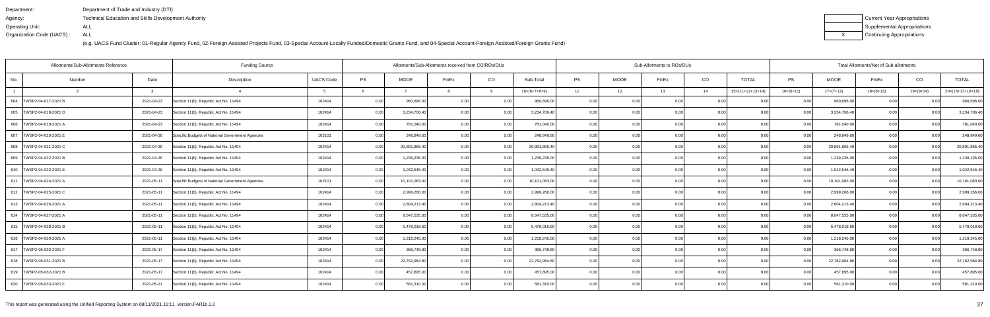| Department:               | Department of Trade and Industry (DTI)                      |
|---------------------------|-------------------------------------------------------------|
| Agency:                   | <b>Technical Education and Skills Development Authority</b> |
| Operating Unit:           | ALL                                                         |
| Organization Code (UACS): | ALL                                                         |

| Current Year Appropriations |
|-----------------------------|
| Supplemental Appropriations |
| Continuing Appropriations   |

|                           | Allotments/Sub-Allotments Reference |            | <b>Funding Source</b>                            |                  | Allotments/Sub-Allotments received from CO/ROs/OUs |               |                   |          |                |           | Sub-Allotments to ROs/OUs |                   |                | Total Allotments/Net of Sub-allotments |                   |               |             |                |                    |
|---------------------------|-------------------------------------|------------|--------------------------------------------------|------------------|----------------------------------------------------|---------------|-------------------|----------|----------------|-----------|---------------------------|-------------------|----------------|----------------------------------------|-------------------|---------------|-------------|----------------|--------------------|
| No.                       | Number                              | Date       | Description                                      | <b>UACS Code</b> | PS                                                 | <b>MOOE</b>   | FinEx             | CO       | Sub-Total      | <b>PS</b> | <b>MOOE</b>               | FinEx             | CO             | <b>TOTAL</b>                           | PS                | <b>MOOE</b>   | FinEx       | CO             | <b>TOTAL</b>       |
|                           |                                     | ູ          | $\mathbf{A}$                                     |                  |                                                    |               |                   | <b>Q</b> | $10=(6+7+8+9)$ | 11        | 12                        | 13                | 14             | $15=(11+12+13+14)$                     | $16=(6+11)$       | $17=(7+12)$   | $18=(8+13)$ | $19=(9+14)$    | $20=(16+17+18+19)$ |
| 604   TWSP2-04-017-2021 B |                                     | 2021-04-23 | Section 11(b), Republic Act No. 11494            | 102414           | 0.00                                               | 960,696.00    | 0.00              | 0.00     | 960,696.00     | 0.00      |                           | 0.00              | 0.0            |                                        | 0.00              | 960,696.00    | 0.00        |                | 960,696.00         |
| 605   TWSP2-04-018-2021 D |                                     | 2021-04-23 | Section 11(b), Republic Act No. 11494            | 102414           | 0.00                                               | 3,234,706.40  | 0.00              | 0.00     | 3,234,706.40   | 0.001     | 0.00                      | n nr              | 0.00           |                                        | 0.00              | 3,234,706.40  | 0.00        | 0 <sub>0</sub> | 3,234,706.40       |
| 606   TWSP2-04-019-2021 A |                                     | 2021-04-23 | Section 11(b), Republic Act No. 11494            | 102414           | 0.00                                               | 781,040.00    |                   | 0.00     | 781,040.00     | 0.001     | 0.00                      | 0.OC              | 0.00           | 0.00                                   | 0.00              | 781,040.00    | 0.00        | 0 <sub>0</sub> | 781,040.00         |
| 607   TWSP2-04-020-2021 E |                                     | 2021-04-30 | Specific Budgets of National Government Agencies | 102101           | 0.00                                               | 248,849.60    | 0.00              | 0.00     | 248,849.60     | 0.001     | 0.00                      | 0.00              | 0.00           | 0.00                                   | 0.001             | 248,849.60    | 0.00        | 0 <sub>0</sub> | 248,849.60         |
| 608   TWSP2-04-021-2021 C |                                     | 2021-04-30 | Section 11(b). Republic Act No. 11494            | 102414           | 0.00                                               | 20,891,865.40 | $\cap$ $\cap$     | 0.00     | 20,891,865.40  | 0.00      | 0.00                      |                   | 0 <sub>0</sub> | ი იი                                   |                   | 20,891,865.40 | 0.00        | 0 <sub>0</sub> | 20,891,865.40      |
| 609   TWSP2-04-022-2021 B |                                     | 2021-04-30 | Section 11(b), Republic Act No. 11494            | 102414           | 0.00                                               | 1,239,235.00  | 0.00              | 0.00     | 1,239,235.00   | 0.001     | 0.00                      | 0.OC              | 0.00           | 0.00                                   | 0.00              | 1,239,235.00  | 0.00        | 0.00           | 1,239,235.00       |
| 610   TWSP2-04-023-2021 E |                                     | 2021-04-30 | Section 11(b), Republic Act No. 11494            | 102414           | 0.00                                               | 1,042,546.40  | 0.00              | 0.00     | 1,042,546.40   | 0.00      | 0.00                      | 0.00              | 0.00           | 0.00                                   | 0.00 <sub>l</sub> | 1,042,546.40  | 0.00        | 0.00           | 1,042,546.40       |
| 611   TWSP2-04-024-2021 A |                                     | 2021-05-11 | Specific Budgets of National Government Agencies | 102101           | 0.00                                               | 10,101,083.00 | 0.00              | 0.00     | 10,101,083.00  | 0.00      | 0.00                      |                   | 0 <sub>0</sub> |                                        |                   | 10,101,083.00 | 0.00        |                | 10,101,083.00      |
| 612   TWSP2-04-025-2021 C |                                     | 2021-05-11 | Section 11(b), Republic Act No. 11494            | 102414           | 0.00                                               | 2,999,266.00  | 0.00              | 0.00     | 2,999,266.00   | 0.00      | 0.00                      | 0.00              | 0.00           | 0.00                                   | 0.00              | 2,999,266.00  | 0.00        | 0.00           | 2,999,266.00       |
| 613 TWSP2-04-026-2021 A   |                                     | 2021-05-11 | Section 11(b), Republic Act No. 11494            | 102414           | 0.00                                               | 2,804,213.40  | 0.00              | 0.00     | 2,804,213.40   | 0.00      | 0.00                      | 0.00              | 0.00           | 0.00                                   | 0.00              | 2,804,213.40  | 0.00        | 0.00           | 2,804,213.40       |
| 614   TWSP2-04-027-2021 A |                                     | 2021-05-11 | Section 11(b), Republic Act No. 11494            | 102414           | 0.00                                               | 8,647,535.00  | 0.00              | 0.00     | 8,647,535.00   | 0.001     | 0.00                      | 0.00              | 0.0            | 0.00                                   | 0.00              | 8,647,535.00  | 0.00        | 0.00           | 8.647.535.00       |
| 615   TWSP2-04-028-2021 B |                                     | 2021-05-11 | Section 11(b), Republic Act No. 11494            | 102414           | 0.00                                               | 5,478,018.60  | 0.00              | 0.00     | 5,478,018.60   | 0.00      | 0.00                      | 0.00              | 0.00           | 0.00                                   | 0.00              | 5,478,018.60  | 0.00        | 0.00           | 5,478,018.60       |
| 616   TWSP2-04-029-2021 A |                                     | 2021-05-11 | Section 11(b), Republic Act No. 11494            | 102414           | 0.00                                               | 1,218,245.00  | 0.00              | 0.00     | 1,218,245.00   | 0.00      | 0.00                      | 0.00              | 0.00           | 0.00                                   | 0.00              | 1,218,245.00  | 0.00        | 0.00           | 1,218,245.00       |
| 617   TWSP2-05-030-2021 F |                                     | 2021-05-17 | Section 11(b), Republic Act No. 11494            | 102414           | 0.00                                               | 366,748.80    | 0.00 <sub>l</sub> | 0.00     | 366,748.80     | 0.00      | 0.00                      | 0.00              | 0.00           | 0.00                                   | 0.00              | 366,748.80    | 0.00        | 0.00           | 366,748.80         |
| 618   TWSP2-05-031-2021 B |                                     | 2021-05-17 | Section 11(b), Republic Act No. 11494            | 102414           | 0.00                                               | 22,762,984.80 | 0.00              | 0.00     | 22,762,984.80  | 0.001     | 0.00                      | 0.00              | 0.00           | 0.00                                   | 0.00              | 22,762,984.80 | 0.00        | 0.00           | 22,762,984.80      |
| 619   TWSP2-05-032-2021 B |                                     | 2021-05-17 | Section 11(b), Republic Act No. 11494            | 102414           | 0.00                                               | 457,895.00    | 0.00              | 0.00     | 457,895.00     | 0.00      | 0.00                      | 0.00              | 0.00           | 0.00                                   | 0.00              | 457,895.00    | 0.00        | 0.00           | 457,895.00         |
| 620 TWSP2-05-033-2021 F   |                                     | 2021-05-21 | Section 11(b), Republic Act No. 11494            | 102414           | 0.00                                               | 581,310.00    | 0.001             | 0.001    | 581,310.00     | 0.001     | 0.00                      | 0.00 <sub>1</sub> | 0.00           | 0.00                                   | 0.00 <sub>1</sub> | 581,310.00    | 0.00        | 0.00           | 581,310.00         |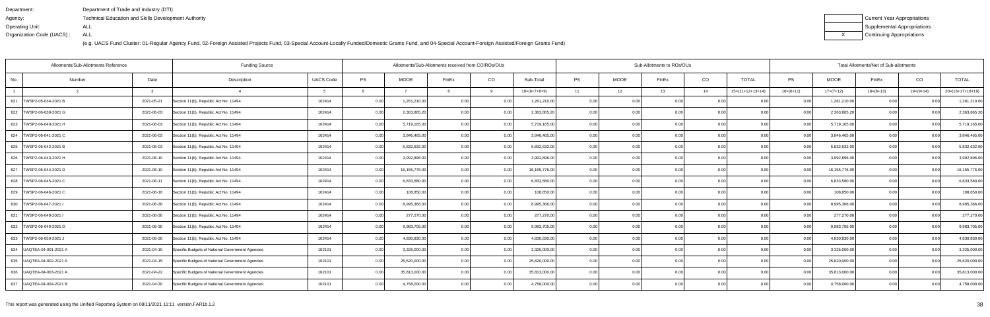| Department:               | Department of Trade and Industry (DTI)               |
|---------------------------|------------------------------------------------------|
| Agency:                   | Technical Education and Skills Development Authority |
| Operating Unit:           | ALL                                                  |
| Organization Code (UACS): | ALL                                                  |

| Current Year Appropriations |
|-----------------------------|
| Supplemental Appropriations |
| Continuing Appropriations   |

| Allotments/Sub-Allotments Reference |                                                                |                  | Allotments/Sub-Allotments received from CO/ROs/OUs |               |                |          |                 | Sub-Allotments to ROs/OUs |             | Total Allotments/Net of Sub-allotments |      |                    |                |               |             |             |                    |
|-------------------------------------|----------------------------------------------------------------|------------------|----------------------------------------------------|---------------|----------------|----------|-----------------|---------------------------|-------------|----------------------------------------|------|--------------------|----------------|---------------|-------------|-------------|--------------------|
| No.<br>Number                       | Date<br>Description                                            | <b>UACS Code</b> | <b>PS</b>                                          | <b>MOOE</b>   | FinEx          | CO       | Sub-Total       | <b>PS</b>                 | <b>MOOE</b> | FinEx                                  | CO   | <b>TOTAL</b>       | <b>PS</b>      | <b>MOOE</b>   | FinEx       | CO          | <b>TOTAL</b>       |
| $\overline{2}$                      | $\mathbf{R}$                                                   |                  |                                                    |               |                | $\alpha$ | $10=(6+7+8+9)$  | 11                        | 12          | 13                                     | 14   | $15=(11+12+13+14)$ | $16=(6+11)$    | $17=(7+12)$   | $18=(8+13)$ | $19=(9+14)$ | $20=(16+17+18+19)$ |
| 621   TWSP2-05-034-2021 B           | 2021-05-21<br>Section 11(b), Republic Act No. 11494            | 102414           | 0.00                                               | 1,261,210.00  | 0.00           | 0.00     | 1,261,210.00    | 0.001                     | 0.00        | 0.00                                   | 0.00 |                    | 0.00           | 1,261,210.00  | 0.00        | 0.00        | 1,261,210.00       |
| 622   TWSP2-06-039-2021 G           | 2021-06-03<br>Section 11(b), Republic Act No. 11494            | 102414           | 0.00                                               | 2,363,865.20  | 0.00           | 0.00     | 2,363,865.20    | 0.00                      | 0.00        | 0.00                                   | 0.00 | 0 <sub>0</sub>     | 0.00           | 2,363,865.2   | 0.00        | 0.00        | 2,363,865.20       |
| 623   TWSP2-06-040-2021 H           | 2021-06-03<br>Section 11(b), Republic Act No. 11494            | 102414           | 0.00                                               | 5,719,165.00  | 0.00           | 0.00     | 5,719,165.00    | 0.00                      | 0.00        | 0.00                                   | 0.00 | 0.00               | 0.00           | 5,719,165.00  | 0.00        | 0.00        | 5,719,165.00       |
| 624   TWSP2-06-041-2021 C           | 2021-06-03<br>Section 11(b), Republic Act No. 11494            | 102414           | 0.00                                               | 3,846,465.00  | 0.00           | 0.00     | 3,846,465.00    | 0.001                     | 0.00        | 0.00                                   | 0.00 | 0.00               | 0.00           | 3,846,465.00  | 0.00        | 0.00        | 3,846,465.00       |
| 625<br>TWSP2-06-042-2021 B          | 2021-06-03<br>Section 11(b), Republic Act No. 11494            | 102414           | 0.00                                               | 5,832,632.00  | 0 <sub>0</sub> | 0.00     | 5,832,632.00    | 0.00                      | 0.00        | 0.00                                   | 0.00 |                    | 0.00           | 5,832,632.00  | 0.00        | 0.00        | 5,832,632.00       |
| 626   TWSP2-06-043-2021 H           | 2021-06-10<br>Section 11(b), Republic Act No. 11494            | 102414           | 0.00                                               | 3,992,896.00  | 0.00           | 0.00     | 3,992,896.00    | 0.00                      | 0.00        | 0.00                                   | 0.00 | 0 <sub>0</sub>     | 0.00           | 3,992,896.00  | 0.00        | 0.00        | 3,992,896.00       |
| 627   TWSP2-06-044-2021 D           | 2021-06-10<br>Section 11(b), Republic Act No. 11494            | 102414           | 0.00                                               | 16,155,776.00 | 0.00           | 0.00     | 16, 155, 776.00 | 0.00                      | 0.00        | 0.00                                   | 0.00 | 0.00               | 0.00           | 16,155,776.00 | 0.00        | 0.00        | 16,155,776.00      |
| 628   TWSP2-06-045-2021 C           | 2021-06-11<br>Section 11(b), Republic Act No. 11494            | 102414           | 0.00                                               | 6,833,580.00  | 0 <sub>0</sub> | 0.00     | 6,833,580.00    | 0.00                      | 0.00        | 0.00                                   | 0.00 |                    | 0.00           | 6,833,580.00  | 0.00        | 0.00        | 6,833,580.00       |
| 629   TWSP2-06-046-2021 C           | 2021-06-16<br>Section 11(b), Republic Act No. 11494            | 102414           | 0.00                                               | 108,850.00    | 0.00           | 0.00     | 108,850.00      | 0.00                      | 0.00        | 0.00                                   | 0.00 | 0 <sub>0</sub>     | 0 <sub>0</sub> | 108,850.00    | 0.00        | 0.00        | 108,850.00         |
| 630 TWSP2-06-047-2021               | 2021-06-30<br>Section 11(b), Republic Act No. 11494            | 102414           | 0.00                                               | 8,995,366.00  | 0 <sub>0</sub> | 0.00     | 8,995,366.00    | 0.00                      | 0.00        | 0.00 <sub>l</sub>                      | 0.00 | 0.00               | 0.00           | 8,995,366.00  | 0.00        | 0.00        | 8,995,366.00       |
| 631<br>TWSP2-06-048-2021 I          | 2021-06-30<br>Section 11(b), Republic Act No. 11494            | 102414           | 0.00                                               | 277,270.00    | 0.00           | 0.00     | 277,270.00      | 0.00                      | 0.00        | 0.00                                   | 0.00 | 0.00               | 0.00           | 277,270.00    | 0.00        | 0.00        | 277,270.00         |
| 632 TWSP2-06-049-2021 D             | 2021-06-30<br>Section 11(b), Republic Act No. 11494            | 102414           | 0.00                                               | 9,983,705.00  | 0.00           | 0.00     | 9,983,705.00    | 0.00                      | 0.00        | 0.00                                   | 0.00 | 0 <sub>0</sub>     | 0.00           | 9,983,705.00  | 0.00        | 0.00        | 9,983,705.00       |
| 633   TWSP2-06-050-2021 J           | 2021-06-30<br>Section 11(b), Republic Act No. 11494            | 102414           | 0.00                                               | 4,830,830.00  | 0.00           | 0.00     | 4.830.830.00    | 0.00                      | 0.00        | 0.00                                   | 0.00 | 0 <sub>0</sub>     | 0.00           | 4,830,830.00  | 0.00        | 0.00        | 4,830,830.00       |
| 634   UAQTEA-04-001-2021 A          | 2021-04-15<br>Specific Budgets of National Government Agencies | 102101           | 0.00                                               | 3,325,000.00  | 0.00           | 0.00     | 3,325,000.00    | 0.001                     | 0.00        | 0.00                                   | 0.00 | 0.00               | 0.00           | 3,325,000.00  | 0.00        | 0.00        | 3,325,000.00       |
| 635 UAQTEA-04-002-2021 A            | 2021-04-15<br>Specific Budgets of National Government Agencies | 102101           | 0.00                                               | 25,620,000.00 | 0.00           | 0.00     | 25,620,000.00   | 0.00                      | 0.00        | 0.00                                   | 0.00 | 0.00               | 0 <sub>0</sub> | 25,620,000.00 | 0.00        | 0.00        | 25,620,000.00      |
| 636   UAQTEA-04-003-2021 A          | 2021-04-22<br>Specific Budgets of National Government Agencies | 102101           | 0.00                                               | 35,813,000.00 | 0.00           | 0.00     | 35,813,000.00   | 0.001                     | 0.00        | 0.00 <sub>l</sub>                      | 0.00 | 0.00               | $\cap$ $\cap$  | 35,813,000.00 | 0.00        | 0.00        | 35,813,000.00      |
| 637   UAQTEA-04-004-2021 B          | Specific Budgets of National Government Agencies<br>2021-04-30 | 102101           | 0.00                                               | 4,758,000.00  | 0.00           | 0.00     | 4,758,000.00    | 0.00                      | 0.00        | 0.00                                   | 0.00 | 0.00               | 0.00           | 4,758,000.00  | 0.00        | 0.00        | 4,758,000.00       |